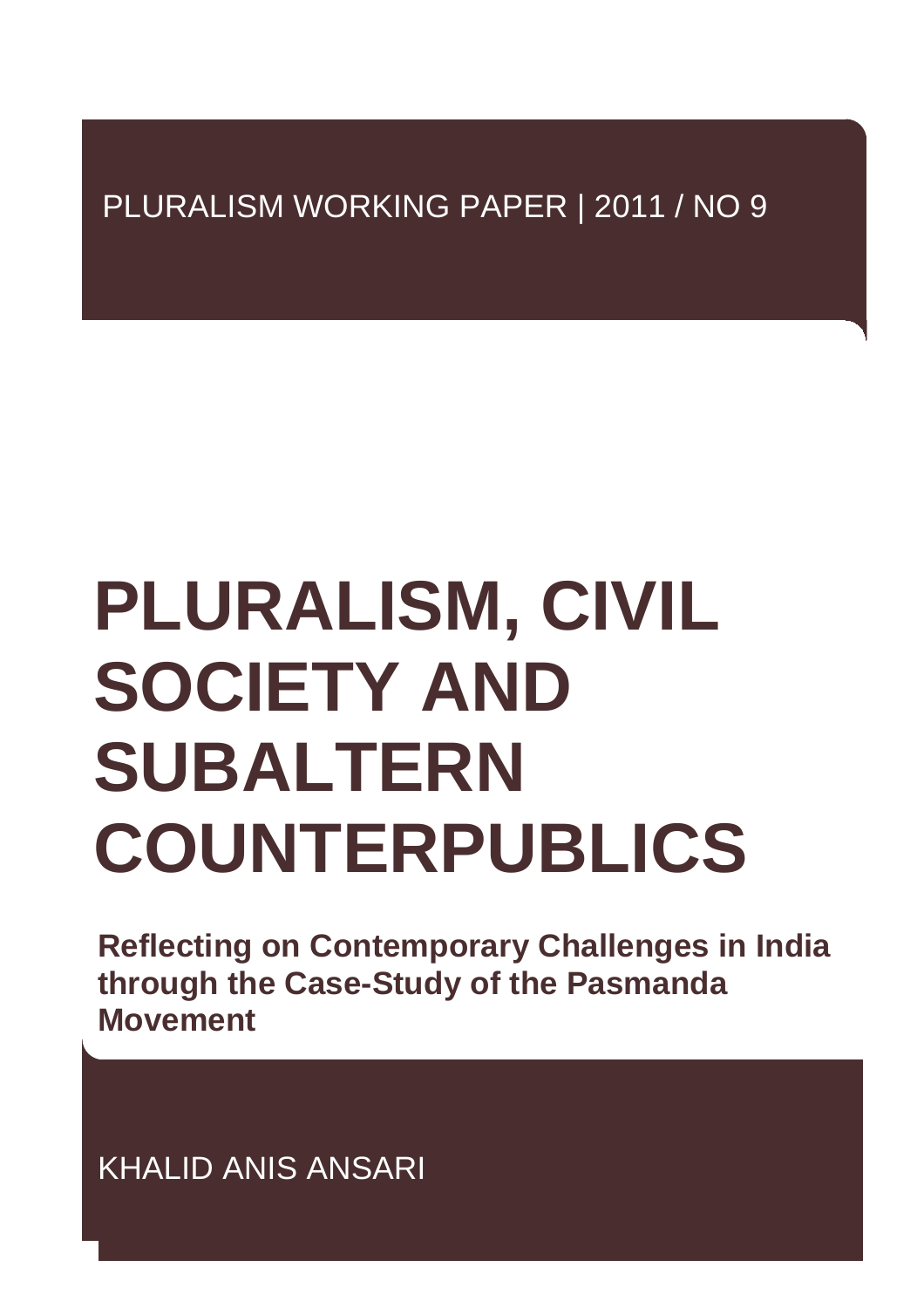# PLURALISM WORKING PAPER | 2011 / NO 9

# **PLURALISM, CIVIL SOCIETY AND SUBALTERN COUNTERPUBLICS**

**Reflecting on Contemporary Challenges in India through the Case-Study of the Pasmanda Movement** 

KHALID ANIS ANSARI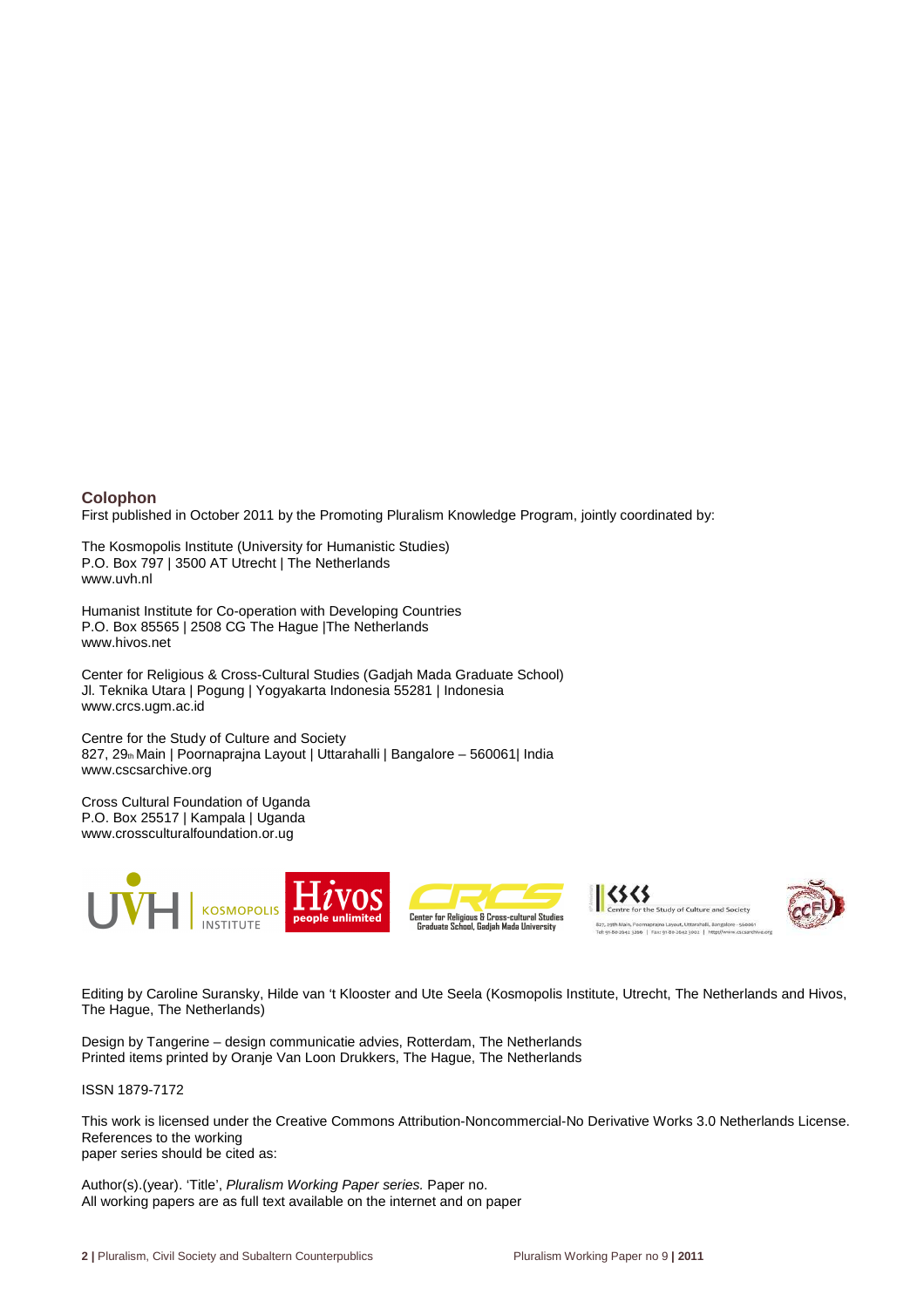#### **Colophon**

First published in October 2011 by the Promoting Pluralism Knowledge Program, jointly coordinated by:

The Kosmopolis Institute (University for Humanistic Studies) P.O. Box 797 | 3500 AT Utrecht | The Netherlands www.uvh.nl

Humanist Institute for Co-operation with Developing Countries P.O. Box 85565 | 2508 CG The Hague |The Netherlands www.hivos.net

Center for Religious & Cross-Cultural Studies (Gadjah Mada Graduate School) Jl. Teknika Utara | Pogung | Yogyakarta Indonesia 55281 | Indonesia www.crcs.ugm.ac.id

Centre for the Study of Culture and Society 827, 29th Main | Poornaprajna Layout | Uttarahalli | Bangalore – 560061| India www.cscsarchive.org

Cross Cultural Foundation of Uganda P.O. Box 25517 | Kampala | Uganda www.crossculturalfoundation.or.ug







Editing by Caroline Suransky, Hilde van 't Klooster and Ute Seela (Kosmopolis Institute, Utrecht, The Netherlands and Hivos, The Hague, The Netherlands)

Design by Tangerine – design communicatie advies, Rotterdam, The Netherlands Printed items printed by Oranje Van Loon Drukkers, The Hague, The Netherlands

ISSN 1879-7172

This work is licensed under the Creative Commons Attribution-Noncommercial-No Derivative Works 3.0 Netherlands License. References to the working

paper series should be cited as:

Author(s).(year). 'Title', Pluralism Working Paper series. Paper no. All working papers are as full text available on the internet and on paper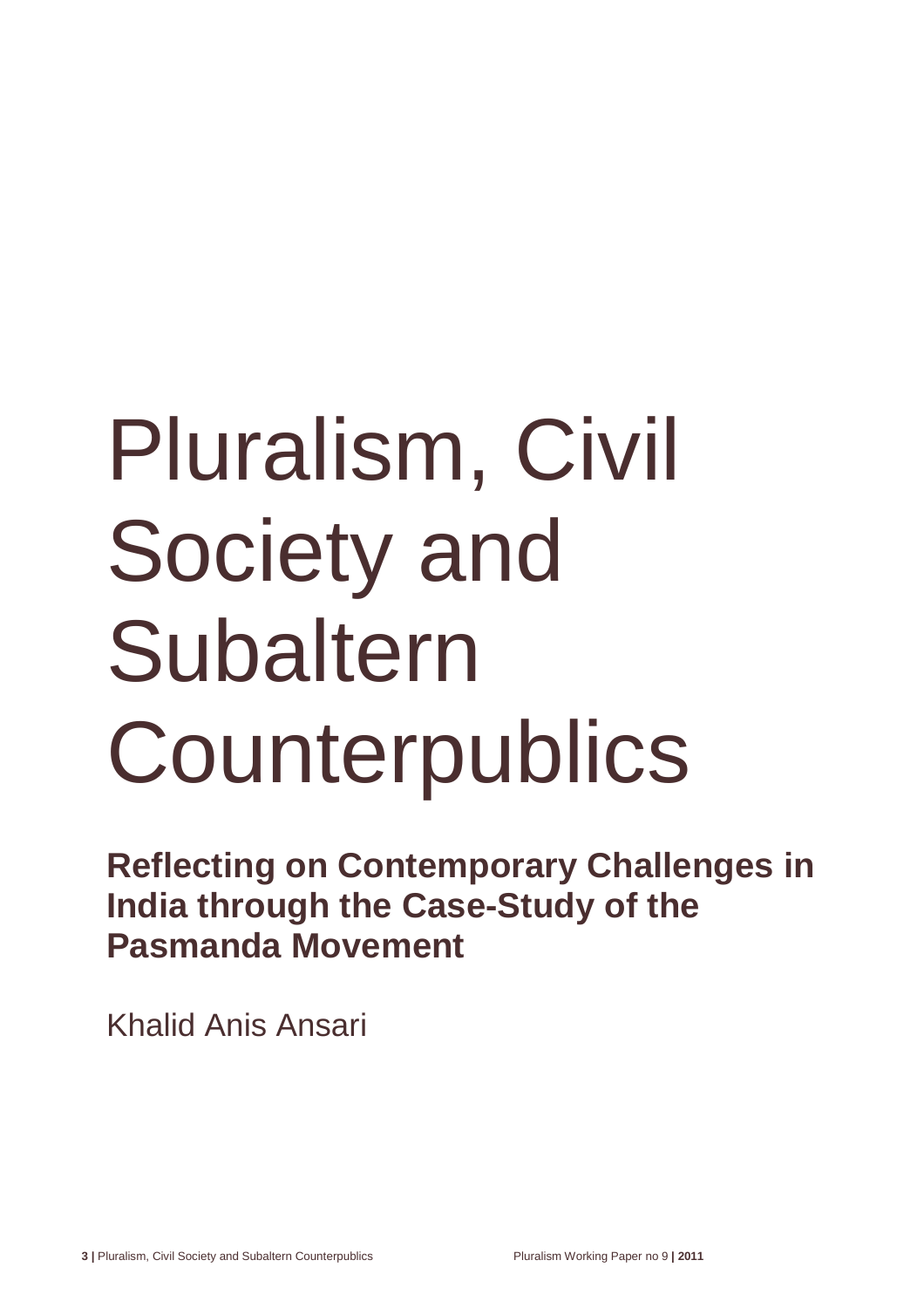# Pluralism, Civil Society and Subaltern **Counterpublics**

**Reflecting on Contemporary Challenges in India through the Case-Study of the Pasmanda Movement** 

Khalid Anis Ansari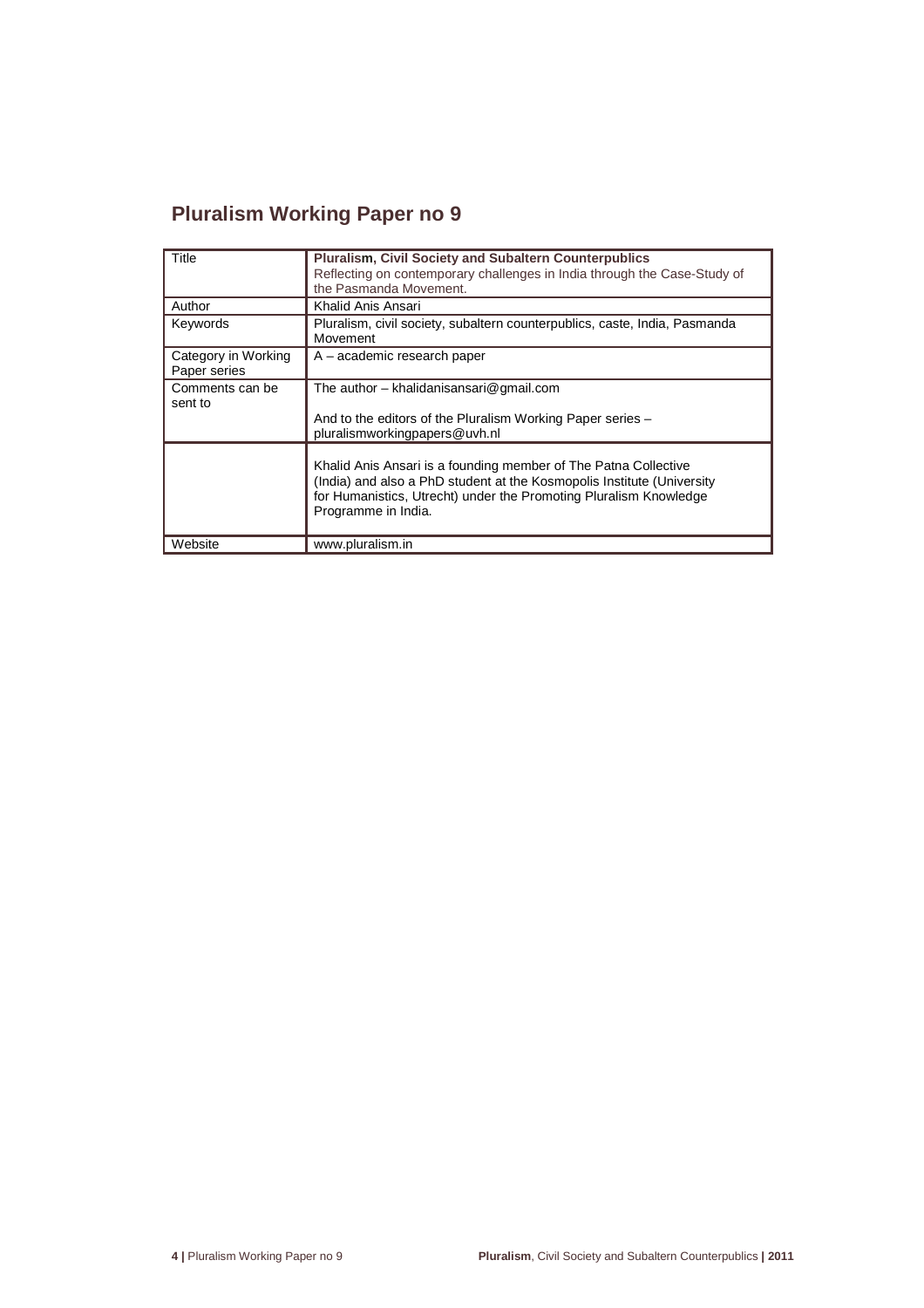# **Pluralism Working Paper no 9**

| Title                               | <b>Pluralism, Civil Society and Subaltern Counterpublics</b><br>Reflecting on contemporary challenges in India through the Case-Study of<br>the Pasmanda Movement.                                                                    |
|-------------------------------------|---------------------------------------------------------------------------------------------------------------------------------------------------------------------------------------------------------------------------------------|
| Author                              | Khalid Anis Ansari                                                                                                                                                                                                                    |
| Keywords                            | Pluralism, civil society, subaltern counterpublics, caste, India, Pasmanda<br>Movement                                                                                                                                                |
| Category in Working<br>Paper series | A – academic research paper                                                                                                                                                                                                           |
| Comments can be<br>sent to          | The author - khalidanisansari@gmail.com<br>And to the editors of the Pluralism Working Paper series –<br>pluralismworkingpapers@uvh.nl                                                                                                |
|                                     | Khalid Anis Ansari is a founding member of The Patna Collective<br>(India) and also a PhD student at the Kosmopolis Institute (University<br>for Humanistics, Utrecht) under the Promoting Pluralism Knowledge<br>Programme in India. |
| Website                             | www.pluralism.in                                                                                                                                                                                                                      |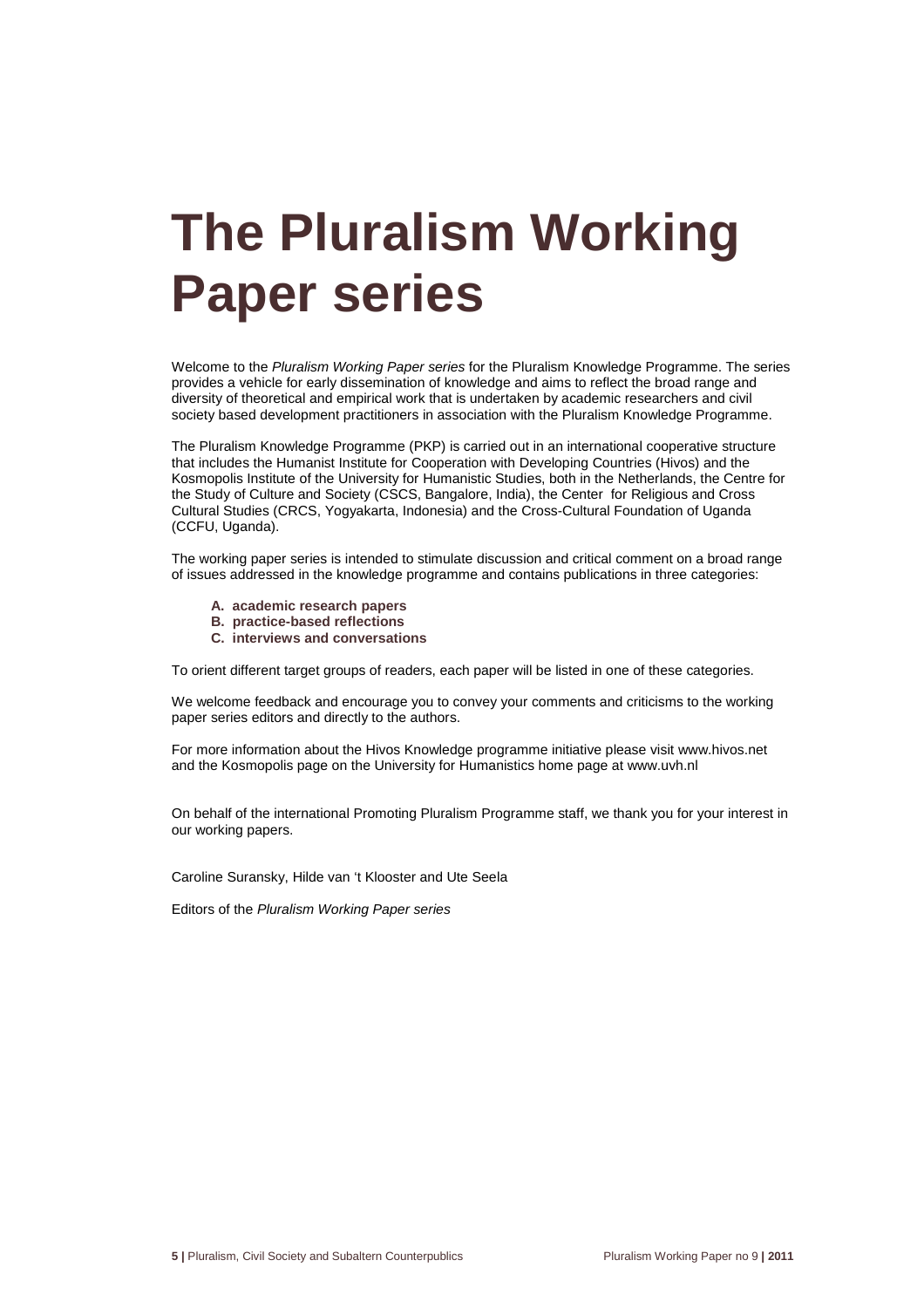# **The Pluralism Working Paper series**

Welcome to the Pluralism Working Paper series for the Pluralism Knowledge Programme. The series provides a vehicle for early dissemination of knowledge and aims to reflect the broad range and diversity of theoretical and empirical work that is undertaken by academic researchers and civil society based development practitioners in association with the Pluralism Knowledge Programme.

The Pluralism Knowledge Programme (PKP) is carried out in an international cooperative structure that includes the Humanist Institute for Cooperation with Developing Countries (Hivos) and the Kosmopolis Institute of the University for Humanistic Studies, both in the Netherlands, the Centre for the Study of Culture and Society (CSCS, Bangalore, India), the Center for Religious and Cross Cultural Studies (CRCS, Yogyakarta, Indonesia) and the Cross-Cultural Foundation of Uganda (CCFU, Uganda).

The working paper series is intended to stimulate discussion and critical comment on a broad range of issues addressed in the knowledge programme and contains publications in three categories:

- **A. academic research papers**
- **B. practice-based reflections**
- **C. interviews and conversations**

To orient different target groups of readers, each paper will be listed in one of these categories.

We welcome feedback and encourage you to convey your comments and criticisms to the working paper series editors and directly to the authors.

For more information about the Hivos Knowledge programme initiative please visit www.hivos.net and the Kosmopolis page on the University for Humanistics home page at www.uvh.nl

On behalf of the international Promoting Pluralism Programme staff, we thank you for your interest in our working papers.

Caroline Suransky, Hilde van 't Klooster and Ute Seela

Editors of the Pluralism Working Paper series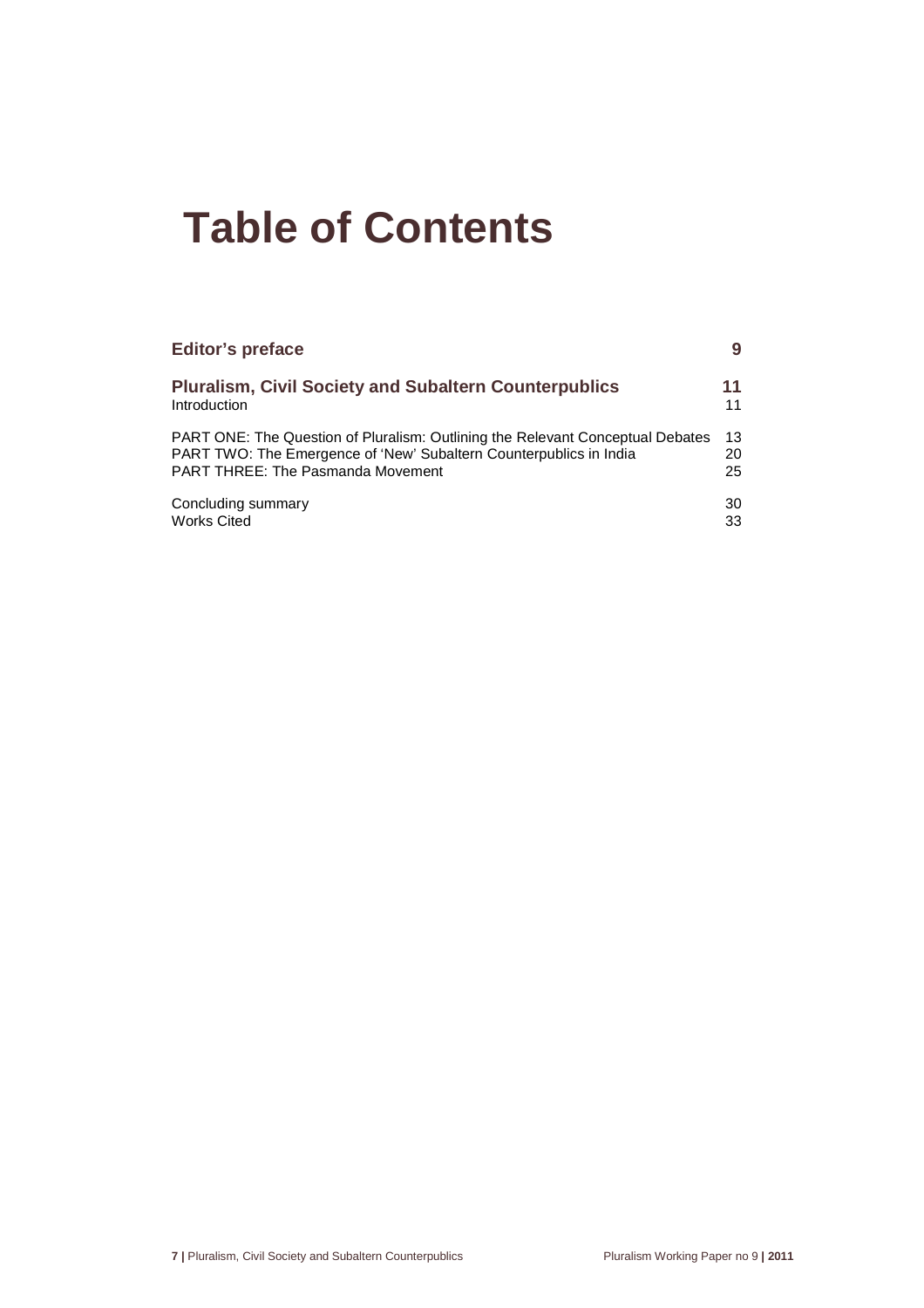# **Table of Contents**

| <b>Editor's preface</b>                                                        | 9  |
|--------------------------------------------------------------------------------|----|
| <b>Pluralism, Civil Society and Subaltern Counterpublics</b>                   | 11 |
| Introduction                                                                   | 11 |
| PART ONE: The Question of Pluralism: Outlining the Relevant Conceptual Debates | 13 |
| PART TWO: The Emergence of 'New' Subaltern Counterpublics in India             | 20 |
| <b>PART THREE: The Pasmanda Movement</b>                                       | 25 |
| Concluding summary                                                             | 30 |
| <b>Works Cited</b>                                                             | 33 |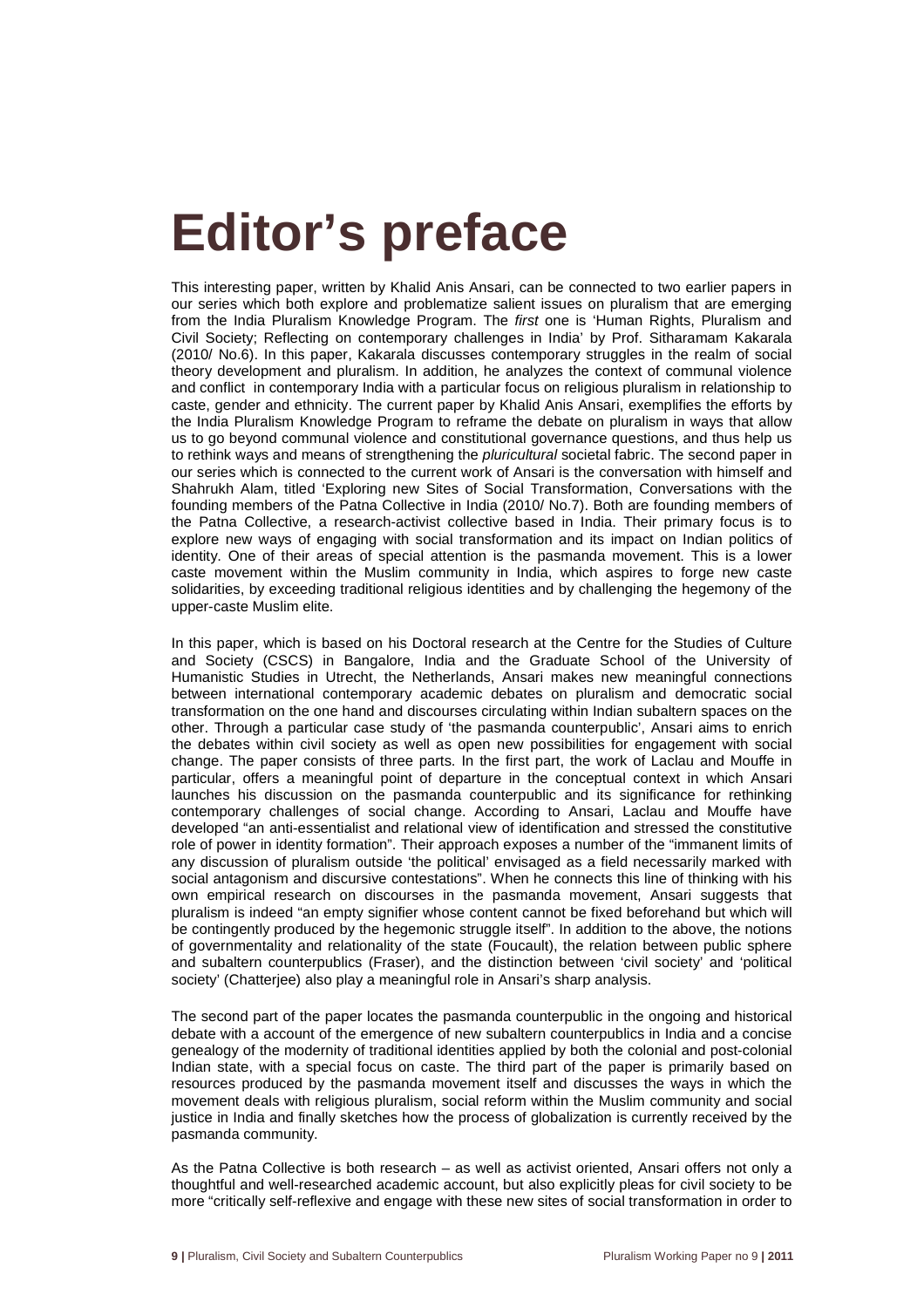# **Editor's preface**

This interesting paper, written by Khalid Anis Ansari, can be connected to two earlier papers in our series which both explore and problematize salient issues on pluralism that are emerging from the India Pluralism Knowledge Program. The first one is 'Human Rights, Pluralism and Civil Society; Reflecting on contemporary challenges in India' by Prof. Sitharamam Kakarala (2010/ No.6). In this paper, Kakarala discusses contemporary struggles in the realm of social theory development and pluralism. In addition, he analyzes the context of communal violence and conflict in contemporary India with a particular focus on religious pluralism in relationship to caste, gender and ethnicity. The current paper by Khalid Anis Ansari, exemplifies the efforts by the India Pluralism Knowledge Program to reframe the debate on pluralism in ways that allow us to go beyond communal violence and constitutional governance questions, and thus help us to rethink ways and means of strengthening the *pluricultural* societal fabric. The second paper in our series which is connected to the current work of Ansari is the conversation with himself and Shahrukh Alam, titled 'Exploring new Sites of Social Transformation, Conversations with the founding members of the Patna Collective in India (2010/ No.7). Both are founding members of the Patna Collective, a research-activist collective based in India. Their primary focus is to explore new ways of engaging with social transformation and its impact on Indian politics of identity. One of their areas of special attention is the pasmanda movement. This is a lower caste movement within the Muslim community in India, which aspires to forge new caste solidarities, by exceeding traditional religious identities and by challenging the hegemony of the upper-caste Muslim elite.

In this paper, which is based on his Doctoral research at the Centre for the Studies of Culture and Society (CSCS) in Bangalore, India and the Graduate School of the University of Humanistic Studies in Utrecht, the Netherlands, Ansari makes new meaningful connections between international contemporary academic debates on pluralism and democratic social transformation on the one hand and discourses circulating within Indian subaltern spaces on the other. Through a particular case study of 'the pasmanda counterpublic', Ansari aims to enrich the debates within civil society as well as open new possibilities for engagement with social change. The paper consists of three parts. In the first part, the work of Laclau and Mouffe in particular, offers a meaningful point of departure in the conceptual context in which Ansari launches his discussion on the pasmanda counterpublic and its significance for rethinking contemporary challenges of social change. According to Ansari, Laclau and Mouffe have developed "an anti-essentialist and relational view of identification and stressed the constitutive role of power in identity formation". Their approach exposes a number of the "immanent limits of any discussion of pluralism outside 'the political' envisaged as a field necessarily marked with social antagonism and discursive contestations". When he connects this line of thinking with his own empirical research on discourses in the pasmanda movement, Ansari suggests that pluralism is indeed "an empty signifier whose content cannot be fixed beforehand but which will be contingently produced by the hegemonic struggle itself". In addition to the above, the notions of governmentality and relationality of the state (Foucault), the relation between public sphere and subaltern counterpublics (Fraser), and the distinction between 'civil society' and 'political society' (Chatterjee) also play a meaningful role in Ansari's sharp analysis.

The second part of the paper locates the pasmanda counterpublic in the ongoing and historical debate with a account of the emergence of new subaltern counterpublics in India and a concise genealogy of the modernity of traditional identities applied by both the colonial and post-colonial Indian state, with a special focus on caste. The third part of the paper is primarily based on resources produced by the pasmanda movement itself and discusses the ways in which the movement deals with religious pluralism, social reform within the Muslim community and social justice in India and finally sketches how the process of globalization is currently received by the pasmanda community.

As the Patna Collective is both research – as well as activist oriented, Ansari offers not only a thoughtful and well-researched academic account, but also explicitly pleas for civil society to be more "critically self-reflexive and engage with these new sites of social transformation in order to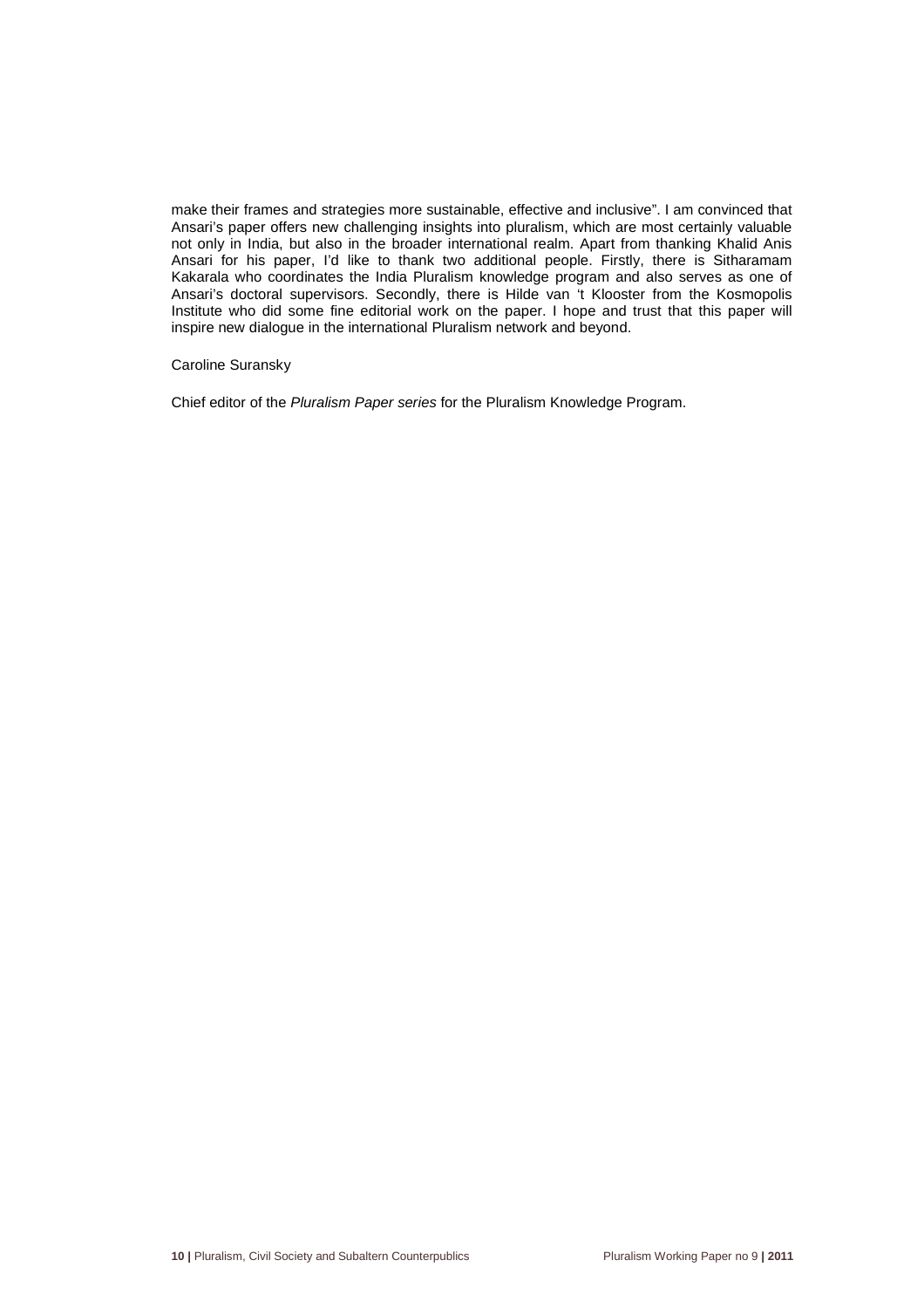make their frames and strategies more sustainable, effective and inclusive". I am convinced that Ansari's paper offers new challenging insights into pluralism, which are most certainly valuable not only in India, but also in the broader international realm. Apart from thanking Khalid Anis Ansari for his paper, I'd like to thank two additional people. Firstly, there is Sitharamam Kakarala who coordinates the India Pluralism knowledge program and also serves as one of Ansari's doctoral supervisors. Secondly, there is Hilde van 't Klooster from the Kosmopolis Institute who did some fine editorial work on the paper. I hope and trust that this paper will inspire new dialogue in the international Pluralism network and beyond.

#### Caroline Suransky

Chief editor of the Pluralism Paper series for the Pluralism Knowledge Program.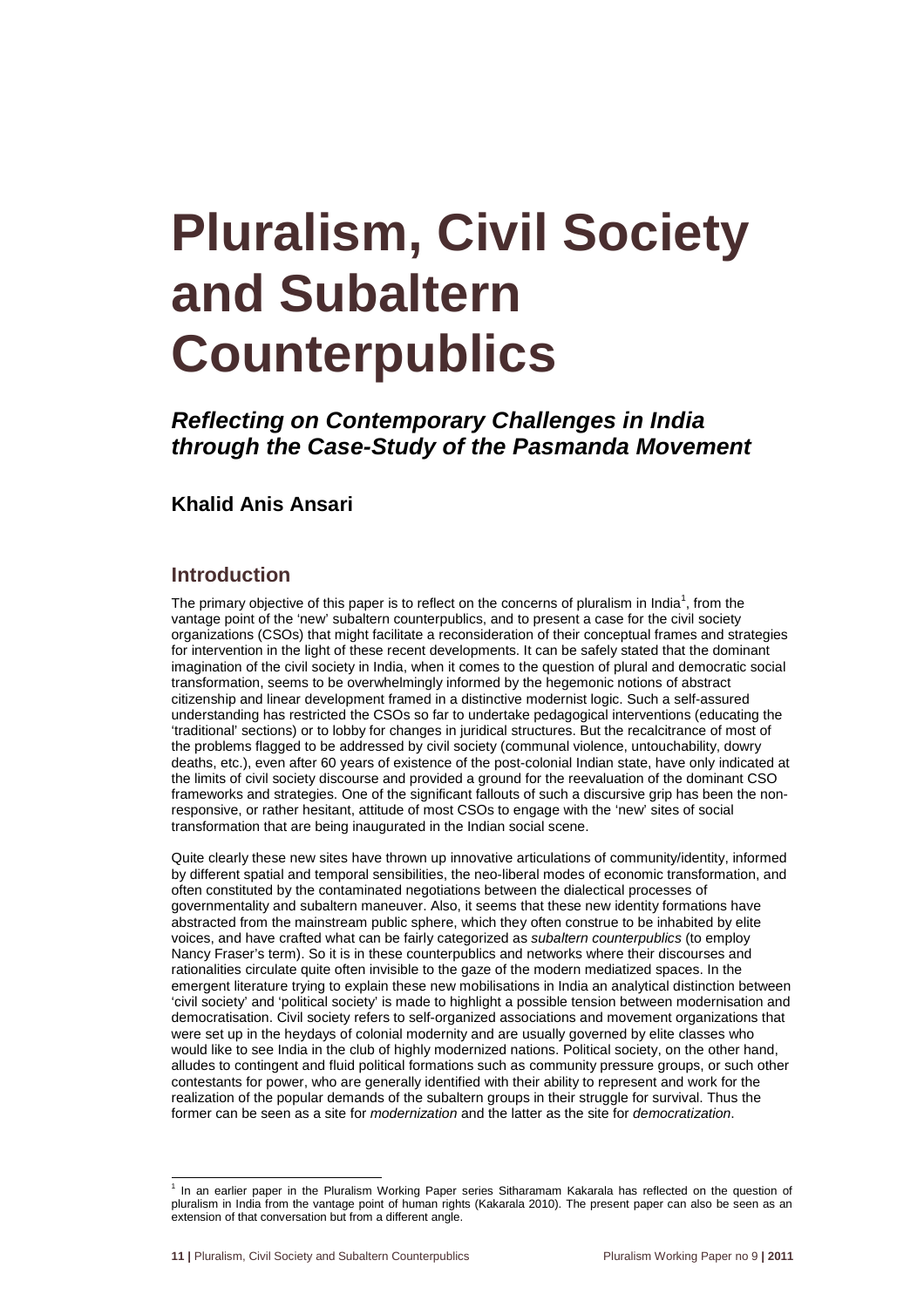# **Pluralism, Civil Society and Subaltern Counterpublics**

**Reflecting on Contemporary Challenges in India through the Case-Study of the Pasmanda Movement** 

# **Khalid Anis Ansari**

## **Introduction**

The primary objective of this paper is to reflect on the concerns of pluralism in India<sup>1</sup>, from the vantage point of the 'new' subaltern counterpublics, and to present a case for the civil society organizations (CSOs) that might facilitate a reconsideration of their conceptual frames and strategies for intervention in the light of these recent developments. It can be safely stated that the dominant imagination of the civil society in India, when it comes to the question of plural and democratic social transformation, seems to be overwhelmingly informed by the hegemonic notions of abstract citizenship and linear development framed in a distinctive modernist logic. Such a self-assured understanding has restricted the CSOs so far to undertake pedagogical interventions (educating the 'traditional' sections) or to lobby for changes in juridical structures. But the recalcitrance of most of the problems flagged to be addressed by civil society (communal violence, untouchability, dowry deaths, etc.), even after 60 years of existence of the post-colonial Indian state, have only indicated at the limits of civil society discourse and provided a ground for the reevaluation of the dominant CSO frameworks and strategies. One of the significant fallouts of such a discursive grip has been the nonresponsive, or rather hesitant, attitude of most CSOs to engage with the 'new' sites of social transformation that are being inaugurated in the Indian social scene.

Quite clearly these new sites have thrown up innovative articulations of community/identity, informed by different spatial and temporal sensibilities, the neo-liberal modes of economic transformation, and often constituted by the contaminated negotiations between the dialectical processes of governmentality and subaltern maneuver. Also, it seems that these new identity formations have abstracted from the mainstream public sphere, which they often construe to be inhabited by elite voices, and have crafted what can be fairly categorized as subaltern counterpublics (to employ Nancy Fraser's term). So it is in these counterpublics and networks where their discourses and rationalities circulate quite often invisible to the gaze of the modern mediatized spaces. In the emergent literature trying to explain these new mobilisations in India an analytical distinction between 'civil society' and 'political society' is made to highlight a possible tension between modernisation and democratisation. Civil society refers to self-organized associations and movement organizations that were set up in the heydays of colonial modernity and are usually governed by elite classes who would like to see India in the club of highly modernized nations. Political society, on the other hand, alludes to contingent and fluid political formations such as community pressure groups, or such other contestants for power, who are generally identified with their ability to represent and work for the realization of the popular demands of the subaltern groups in their struggle for survival. Thus the former can be seen as a site for modernization and the latter as the site for democratization.

l

<sup>&</sup>lt;sup>1</sup> In an earlier paper in the Pluralism Working Paper series Sitharamam Kakarala has reflected on the question of pluralism in India from the vantage point of human rights (Kakarala 2010). The present paper can also be seen as an extension of that conversation but from a different angle.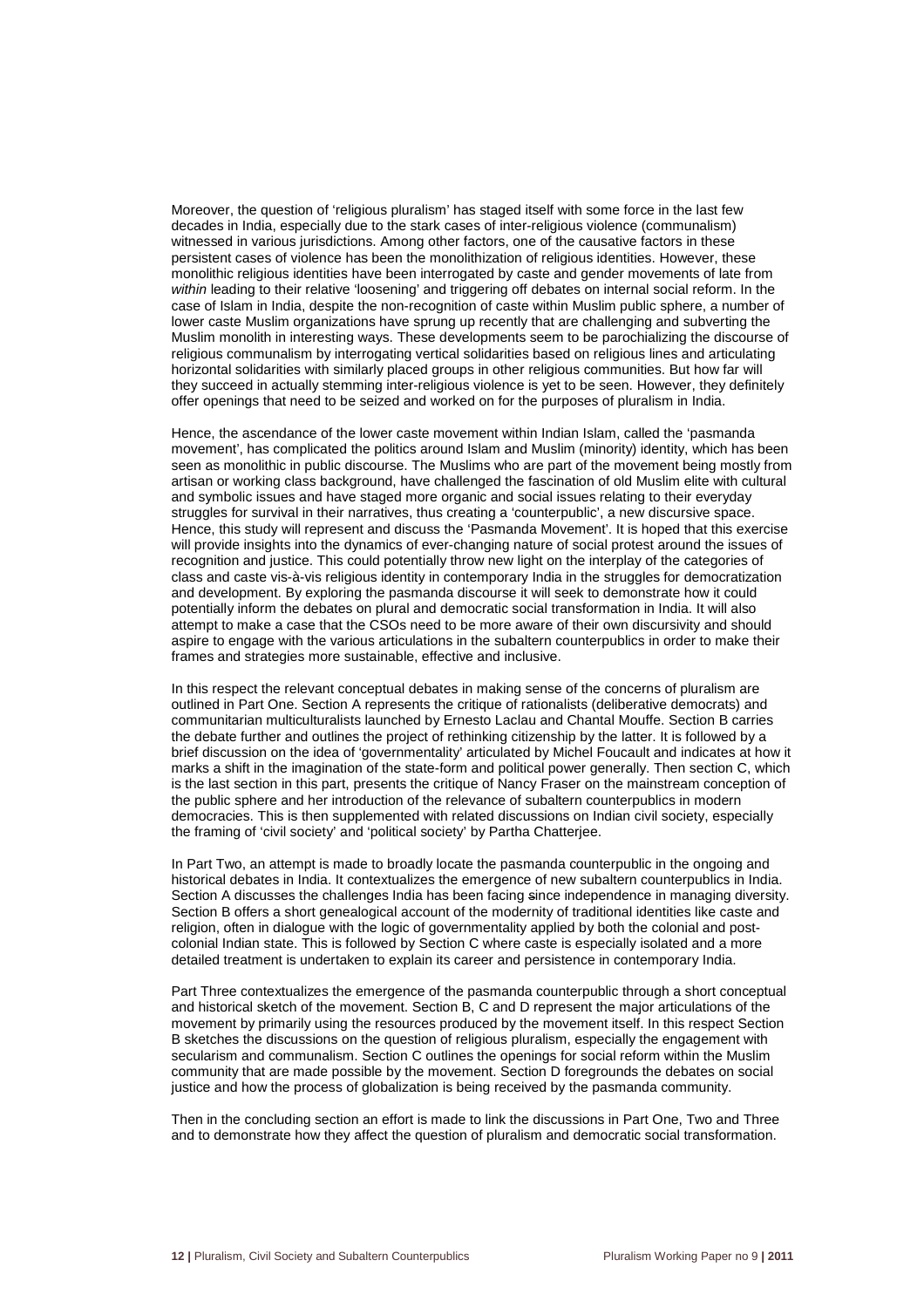Moreover, the question of 'religious pluralism' has staged itself with some force in the last few decades in India, especially due to the stark cases of inter-religious violence (communalism) witnessed in various jurisdictions. Among other factors, one of the causative factors in these persistent cases of violence has been the monolithization of religious identities. However, these monolithic religious identities have been interrogated by caste and gender movements of late from within leading to their relative 'loosening' and triggering off debates on internal social reform. In the case of Islam in India, despite the non-recognition of caste within Muslim public sphere, a number of lower caste Muslim organizations have sprung up recently that are challenging and subverting the Muslim monolith in interesting ways. These developments seem to be parochializing the discourse of religious communalism by interrogating vertical solidarities based on religious lines and articulating horizontal solidarities with similarly placed groups in other religious communities. But how far will they succeed in actually stemming inter-religious violence is yet to be seen. However, they definitely offer openings that need to be seized and worked on for the purposes of pluralism in India.

Hence, the ascendance of the lower caste movement within Indian Islam, called the 'pasmanda movement', has complicated the politics around Islam and Muslim (minority) identity, which has been seen as monolithic in public discourse. The Muslims who are part of the movement being mostly from artisan or working class background, have challenged the fascination of old Muslim elite with cultural and symbolic issues and have staged more organic and social issues relating to their everyday struggles for survival in their narratives, thus creating a 'counterpublic', a new discursive space. Hence, this study will represent and discuss the 'Pasmanda Movement'. It is hoped that this exercise will provide insights into the dynamics of ever-changing nature of social protest around the issues of recognition and justice. This could potentially throw new light on the interplay of the categories of class and caste vis-à-vis religious identity in contemporary India in the struggles for democratization and development. By exploring the pasmanda discourse it will seek to demonstrate how it could potentially inform the debates on plural and democratic social transformation in India. It will also attempt to make a case that the CSOs need to be more aware of their own discursivity and should aspire to engage with the various articulations in the subaltern counterpublics in order to make their frames and strategies more sustainable, effective and inclusive.

In this respect the relevant conceptual debates in making sense of the concerns of pluralism are outlined in Part One. Section A represents the critique of rationalists (deliberative democrats) and communitarian multiculturalists launched by Ernesto Laclau and Chantal Mouffe. Section B carries the debate further and outlines the project of rethinking citizenship by the latter. It is followed by a brief discussion on the idea of 'governmentality' articulated by Michel Foucault and indicates at how it marks a shift in the imagination of the state-form and political power generally. Then section C, which is the last section in this part, presents the critique of Nancy Fraser on the mainstream conception of the public sphere and her introduction of the relevance of subaltern counterpublics in modern democracies. This is then supplemented with related discussions on Indian civil society, especially the framing of 'civil society' and 'political society' by Partha Chatterjee.

In Part Two, an attempt is made to broadly locate the pasmanda counterpublic in the ongoing and historical debates in India. It contextualizes the emergence of new subaltern counterpublics in India. Section A discusses the challenges India has been facing since independence in managing diversity. Section B offers a short genealogical account of the modernity of traditional identities like caste and religion, often in dialogue with the logic of governmentality applied by both the colonial and postcolonial Indian state. This is followed by Section C where caste is especially isolated and a more detailed treatment is undertaken to explain its career and persistence in contemporary India.

Part Three contextualizes the emergence of the pasmanda counterpublic through a short conceptual and historical sketch of the movement. Section B, C and D represent the major articulations of the movement by primarily using the resources produced by the movement itself. In this respect Section B sketches the discussions on the question of religious pluralism, especially the engagement with secularism and communalism. Section C outlines the openings for social reform within the Muslim community that are made possible by the movement. Section D foregrounds the debates on social justice and how the process of globalization is being received by the pasmanda community.

Then in the concluding section an effort is made to link the discussions in Part One, Two and Three and to demonstrate how they affect the question of pluralism and democratic social transformation.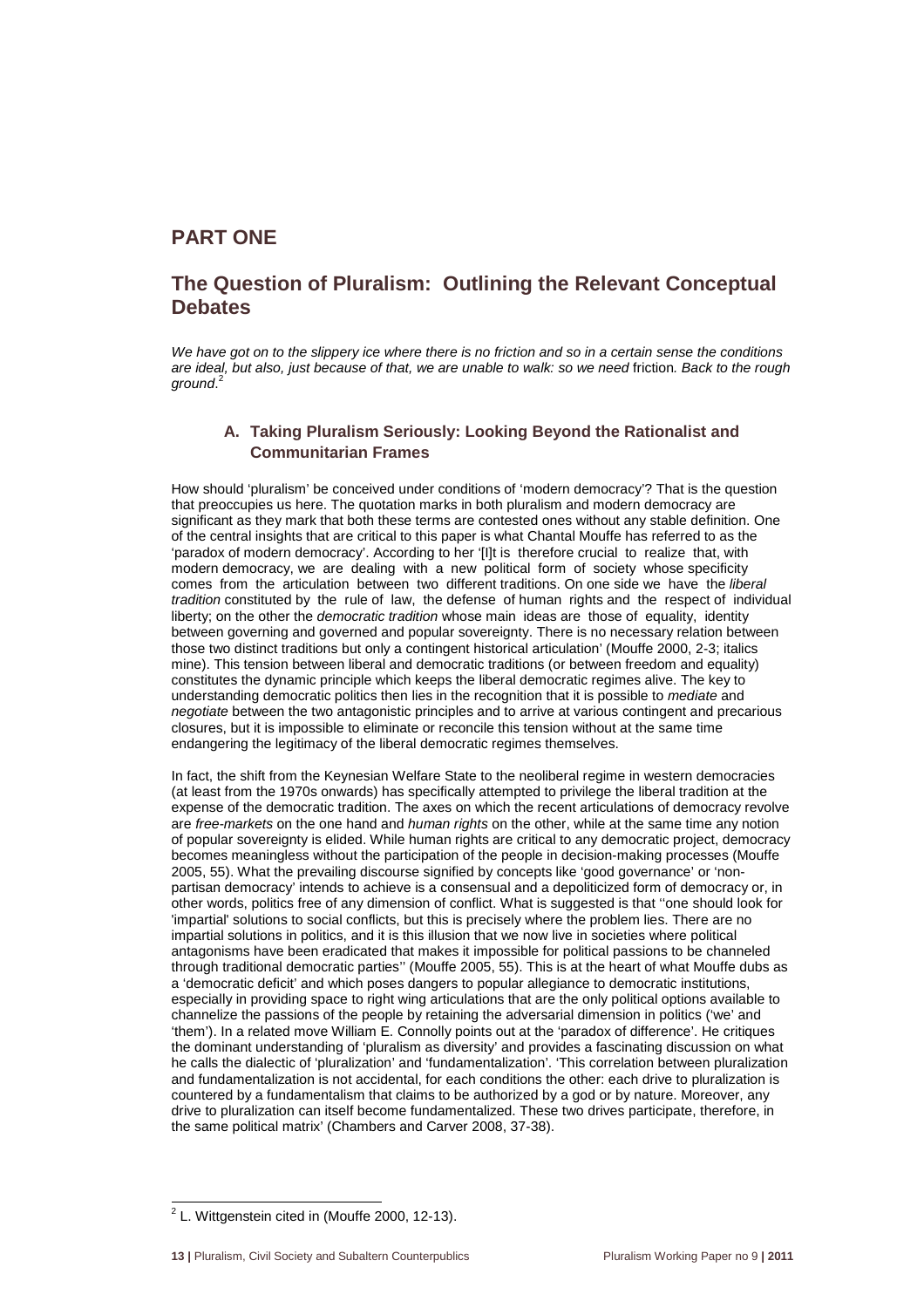# **PART ONE**

# **The Question of Pluralism: Outlining the Relevant Conceptual Debates**

We have got on to the slippery ice where there is no friction and so in a certain sense the conditions are ideal, but also, just because of that, we are unable to walk: so we need friction. Back to the rough ground.<sup>2</sup>

### **A. Taking Pluralism Seriously: Looking Beyond the Rationalist and Communitarian Frames**

How should 'pluralism' be conceived under conditions of 'modern democracy'? That is the question that preoccupies us here. The quotation marks in both pluralism and modern democracy are significant as they mark that both these terms are contested ones without any stable definition. One of the central insights that are critical to this paper is what Chantal Mouffe has referred to as the 'paradox of modern democracy'. According to her '[I]t is therefore crucial to realize that, with modern democracy, we are dealing with a new political form of society whose specificity comes from the articulation between two different traditions. On one side we have the liberal tradition constituted by the rule of law, the defense of human rights and the respect of individual liberty; on the other the *democratic tradition* whose main ideas are those of equality, identity between governing and governed and popular sovereignty. There is no necessary relation between those two distinct traditions but only a contingent historical articulation' (Mouffe 2000, 2-3; italics mine). This tension between liberal and democratic traditions (or between freedom and equality) constitutes the dynamic principle which keeps the liberal democratic regimes alive. The key to understanding democratic politics then lies in the recognition that it is possible to mediate and negotiate between the two antagonistic principles and to arrive at various contingent and precarious closures, but it is impossible to eliminate or reconcile this tension without at the same time endangering the legitimacy of the liberal democratic regimes themselves.

In fact, the shift from the Keynesian Welfare State to the neoliberal regime in western democracies (at least from the 1970s onwards) has specifically attempted to privilege the liberal tradition at the expense of the democratic tradition. The axes on which the recent articulations of democracy revolve are free-markets on the one hand and human rights on the other, while at the same time any notion of popular sovereignty is elided. While human rights are critical to any democratic project, democracy becomes meaningless without the participation of the people in decision-making processes (Mouffe 2005, 55). What the prevailing discourse signified by concepts like 'good governance' or 'nonpartisan democracy' intends to achieve is a consensual and a depoliticized form of democracy or, in other words, politics free of any dimension of conflict. What is suggested is that ''one should look for 'impartial' solutions to social conflicts, but this is precisely where the problem lies. There are no impartial solutions in politics, and it is this illusion that we now live in societies where political antagonisms have been eradicated that makes it impossible for political passions to be channeled through traditional democratic parties'' (Mouffe 2005, 55). This is at the heart of what Mouffe dubs as a 'democratic deficit' and which poses dangers to popular allegiance to democratic institutions, especially in providing space to right wing articulations that are the only political options available to channelize the passions of the people by retaining the adversarial dimension in politics ('we' and 'them'). In a related move William E. Connolly points out at the 'paradox of difference'. He critiques the dominant understanding of 'pluralism as diversity' and provides a fascinating discussion on what he calls the dialectic of 'pluralization' and 'fundamentalization'. 'This correlation between pluralization and fundamentalization is not accidental, for each conditions the other: each drive to pluralization is countered by a fundamentalism that claims to be authorized by a god or by nature. Moreover, any drive to pluralization can itself become fundamentalized. These two drives participate, therefore, in the same political matrix' (Chambers and Carver 2008, 37-38).

 2 L. Wittgenstein cited in (Mouffe 2000, 12-13).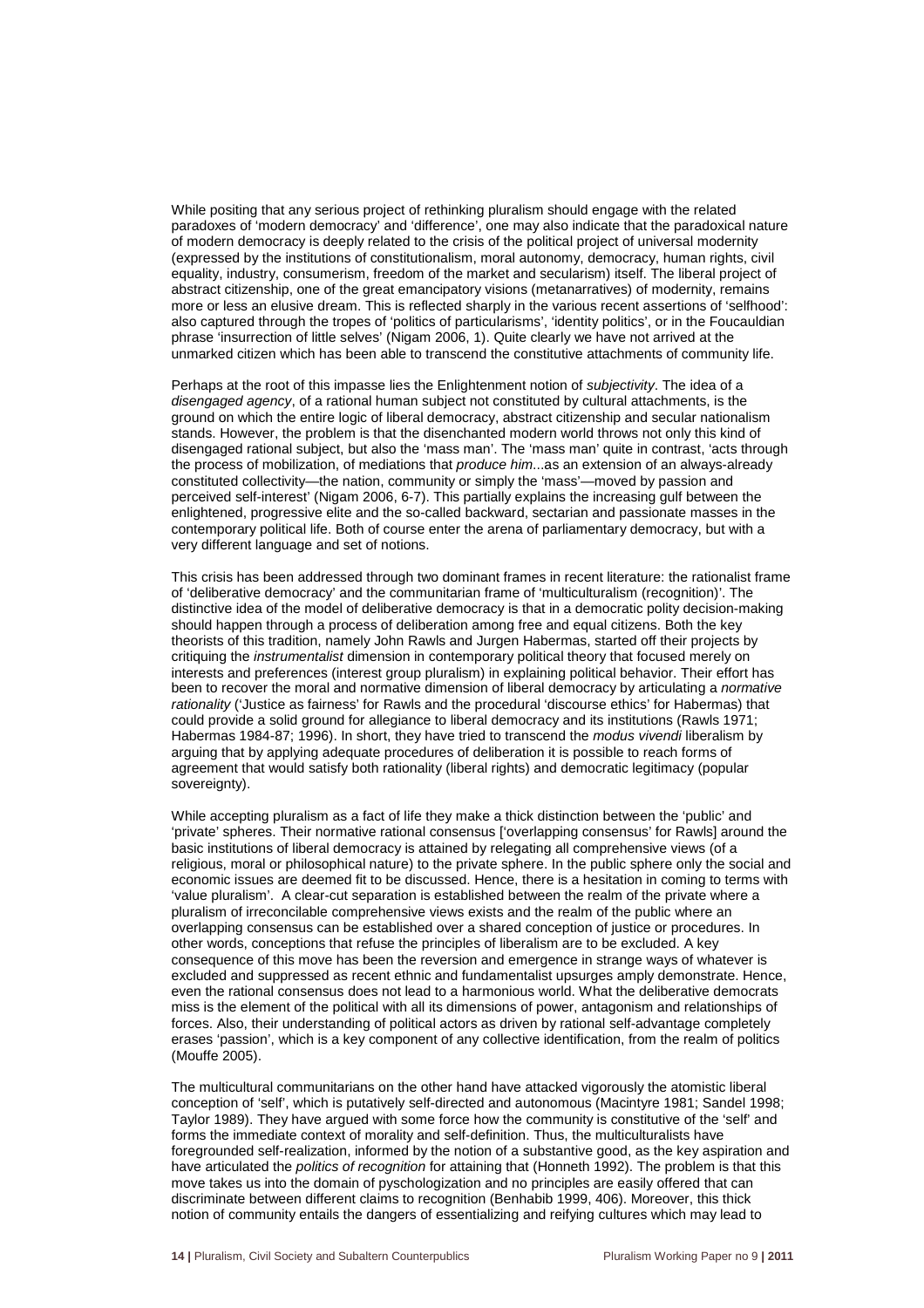While positing that any serious project of rethinking pluralism should engage with the related paradoxes of 'modern democracy' and 'difference', one may also indicate that the paradoxical nature of modern democracy is deeply related to the crisis of the political project of universal modernity (expressed by the institutions of constitutionalism, moral autonomy, democracy, human rights, civil equality, industry, consumerism, freedom of the market and secularism) itself. The liberal project of abstract citizenship, one of the great emancipatory visions (metanarratives) of modernity, remains more or less an elusive dream. This is reflected sharply in the various recent assertions of 'selfhood': also captured through the tropes of 'politics of particularisms', 'identity politics', or in the Foucauldian phrase 'insurrection of little selves' (Nigam 2006, 1). Quite clearly we have not arrived at the unmarked citizen which has been able to transcend the constitutive attachments of community life.

Perhaps at the root of this impasse lies the Enlightenment notion of *subjectivity*. The idea of a disengaged agency, of a rational human subject not constituted by cultural attachments, is the ground on which the entire logic of liberal democracy, abstract citizenship and secular nationalism stands. However, the problem is that the disenchanted modern world throws not only this kind of disengaged rational subject, but also the 'mass man'. The 'mass man' quite in contrast, 'acts through the process of mobilization, of mediations that *produce him...as* an extension of an always-already constituted collectivity—the nation, community or simply the 'mass'—moved by passion and perceived self-interest' (Nigam 2006, 6-7). This partially explains the increasing gulf between the enlightened, progressive elite and the so-called backward, sectarian and passionate masses in the contemporary political life. Both of course enter the arena of parliamentary democracy, but with a very different language and set of notions.

This crisis has been addressed through two dominant frames in recent literature: the rationalist frame of 'deliberative democracy' and the communitarian frame of 'multiculturalism (recognition)'. The distinctive idea of the model of deliberative democracy is that in a democratic polity decision-making should happen through a process of deliberation among free and equal citizens. Both the key theorists of this tradition, namely John Rawls and Jurgen Habermas, started off their projects by critiquing the instrumentalist dimension in contemporary political theory that focused merely on interests and preferences (interest group pluralism) in explaining political behavior. Their effort has been to recover the moral and normative dimension of liberal democracy by articulating a normative rationality ('Justice as fairness' for Rawls and the procedural 'discourse ethics' for Habermas) that could provide a solid ground for allegiance to liberal democracy and its institutions (Rawls 1971; Habermas 1984-87; 1996). In short, they have tried to transcend the *modus vivendi* liberalism by arguing that by applying adequate procedures of deliberation it is possible to reach forms of agreement that would satisfy both rationality (liberal rights) and democratic legitimacy (popular sovereignty).

While accepting pluralism as a fact of life they make a thick distinction between the 'public' and 'private' spheres. Their normative rational consensus ['overlapping consensus' for Rawls] around the basic institutions of liberal democracy is attained by relegating all comprehensive views (of a religious, moral or philosophical nature) to the private sphere. In the public sphere only the social and economic issues are deemed fit to be discussed. Hence, there is a hesitation in coming to terms with 'value pluralism'. A clear-cut separation is established between the realm of the private where a pluralism of irreconcilable comprehensive views exists and the realm of the public where an overlapping consensus can be established over a shared conception of justice or procedures. In other words, conceptions that refuse the principles of liberalism are to be excluded. A key consequence of this move has been the reversion and emergence in strange ways of whatever is excluded and suppressed as recent ethnic and fundamentalist upsurges amply demonstrate. Hence, even the rational consensus does not lead to a harmonious world. What the deliberative democrats miss is the element of the political with all its dimensions of power, antagonism and relationships of forces. Also, their understanding of political actors as driven by rational self-advantage completely erases 'passion', which is a key component of any collective identification, from the realm of politics (Mouffe 2005).

The multicultural communitarians on the other hand have attacked vigorously the atomistic liberal conception of 'self', which is putatively self-directed and autonomous (Macintyre 1981; Sandel 1998; Taylor 1989). They have argued with some force how the community is constitutive of the 'self' and forms the immediate context of morality and self-definition. Thus, the multiculturalists have foregrounded self-realization, informed by the notion of a substantive good, as the key aspiration and have articulated the politics of recognition for attaining that (Honneth 1992). The problem is that this move takes us into the domain of pyschologization and no principles are easily offered that can discriminate between different claims to recognition (Benhabib 1999, 406). Moreover, this thick notion of community entails the dangers of essentializing and reifying cultures which may lead to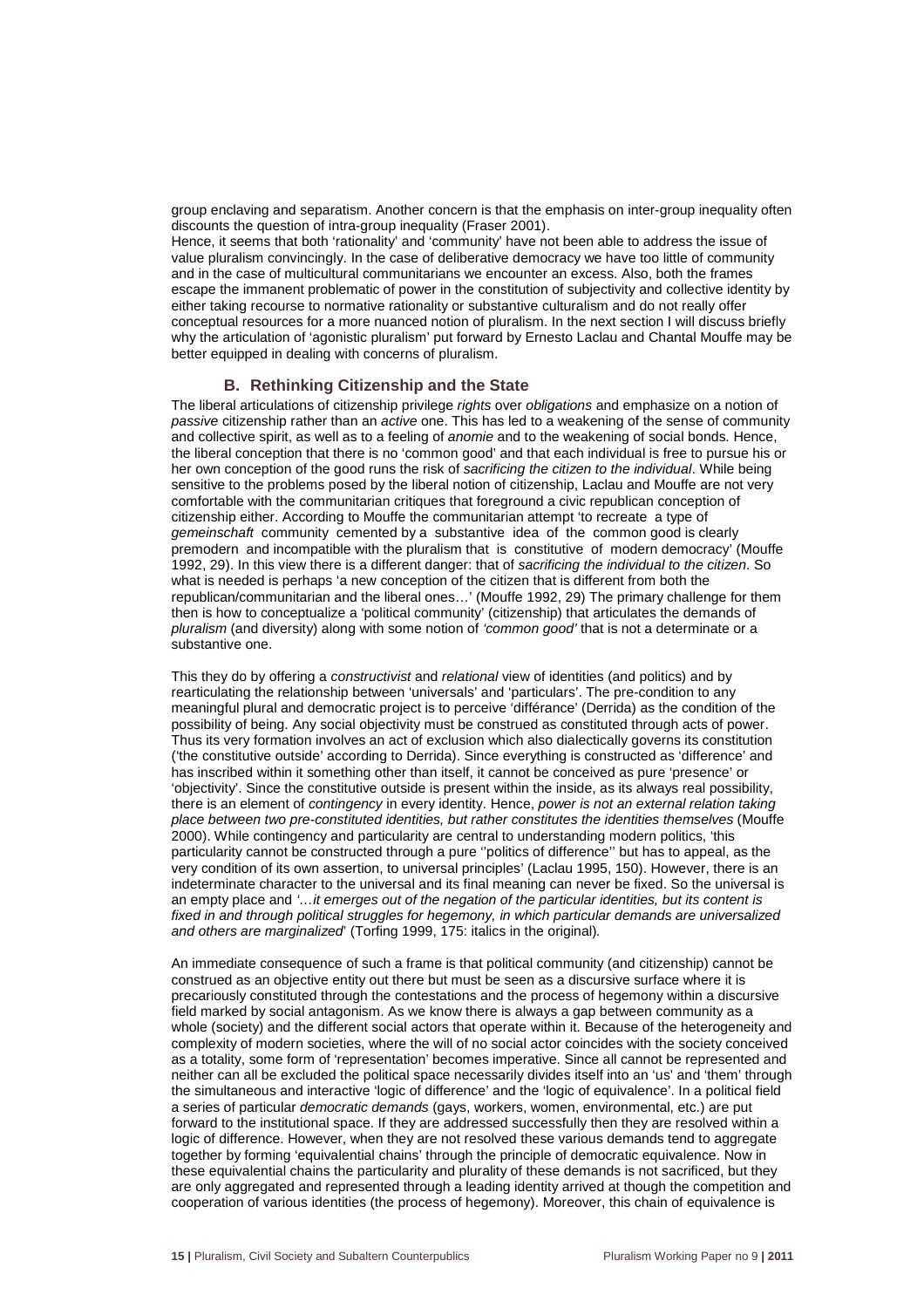group enclaving and separatism. Another concern is that the emphasis on inter-group inequality often discounts the question of intra-group inequality (Fraser 2001).

Hence, it seems that both 'rationality' and 'community' have not been able to address the issue of value pluralism convincingly. In the case of deliberative democracy we have too little of community and in the case of multicultural communitarians we encounter an excess. Also, both the frames escape the immanent problematic of power in the constitution of subjectivity and collective identity by either taking recourse to normative rationality or substantive culturalism and do not really offer conceptual resources for a more nuanced notion of pluralism. In the next section I will discuss briefly why the articulation of 'agonistic pluralism' put forward by Ernesto Laclau and Chantal Mouffe may be better equipped in dealing with concerns of pluralism.

#### **B. Rethinking Citizenship and the State**

The liberal articulations of citizenship privilege rights over obligations and emphasize on a notion of passive citizenship rather than an active one. This has led to a weakening of the sense of community and collective spirit, as well as to a feeling of *anomie* and to the weakening of social bonds. Hence, the liberal conception that there is no 'common good' and that each individual is free to pursue his or her own conception of the good runs the risk of sacrificing the citizen to the individual. While being sensitive to the problems posed by the liberal notion of citizenship, Laclau and Mouffe are not very comfortable with the communitarian critiques that foreground a civic republican conception of citizenship either. According to Mouffe the communitarian attempt 'to recreate a type of gemeinschaft community cemented by a substantive idea of the common good is clearly premodern and incompatible with the pluralism that is constitutive of modern democracy' (Mouffe 1992, 29). In this view there is a different danger: that of sacrificing the individual to the citizen. So what is needed is perhaps 'a new conception of the citizen that is different from both the republican/communitarian and the liberal ones…' (Mouffe 1992, 29) The primary challenge for them then is how to conceptualize a 'political community' (citizenship) that articulates the demands of pluralism (and diversity) along with some notion of 'common good' that is not a determinate or a substantive one.

This they do by offering a constructivist and relational view of identities (and politics) and by rearticulating the relationship between 'universals' and 'particulars'. The pre-condition to any meaningful plural and democratic project is to perceive 'différance' (Derrida) as the condition of the possibility of being. Any social objectivity must be construed as constituted through acts of power. Thus its very formation involves an act of exclusion which also dialectically governs its constitution ('the constitutive outside' according to Derrida). Since everything is constructed as 'difference' and has inscribed within it something other than itself, it cannot be conceived as pure 'presence' or 'objectivity'. Since the constitutive outside is present within the inside, as its always real possibility, there is an element of contingency in every identity. Hence, power is not an external relation taking place between two pre-constituted identities, but rather constitutes the identities themselves (Mouffe 2000). While contingency and particularity are central to understanding modern politics, 'this particularity cannot be constructed through a pure ''politics of difference'' but has to appeal, as the very condition of its own assertion, to universal principles' (Laclau 1995, 150). However, there is an indeterminate character to the universal and its final meaning can never be fixed. So the universal is an empty place and '...it emerges out of the negation of the particular identities, but its content is fixed in and through political struggles for hegemony, in which particular demands are universalized and others are marginalized' (Torfing 1999, 175: italics in the original).

An immediate consequence of such a frame is that political community (and citizenship) cannot be construed as an objective entity out there but must be seen as a discursive surface where it is precariously constituted through the contestations and the process of hegemony within a discursive field marked by social antagonism. As we know there is always a gap between community as a whole (society) and the different social actors that operate within it. Because of the heterogeneity and complexity of modern societies, where the will of no social actor coincides with the society conceived as a totality, some form of 'representation' becomes imperative. Since all cannot be represented and neither can all be excluded the political space necessarily divides itself into an 'us' and 'them' through the simultaneous and interactive 'logic of difference' and the 'logic of equivalence'. In a political field a series of particular democratic demands (gays, workers, women, environmental, etc.) are put forward to the institutional space. If they are addressed successfully then they are resolved within a logic of difference. However, when they are not resolved these various demands tend to aggregate together by forming 'equivalential chains' through the principle of democratic equivalence. Now in these equivalential chains the particularity and plurality of these demands is not sacrificed, but they are only aggregated and represented through a leading identity arrived at though the competition and cooperation of various identities (the process of hegemony). Moreover, this chain of equivalence is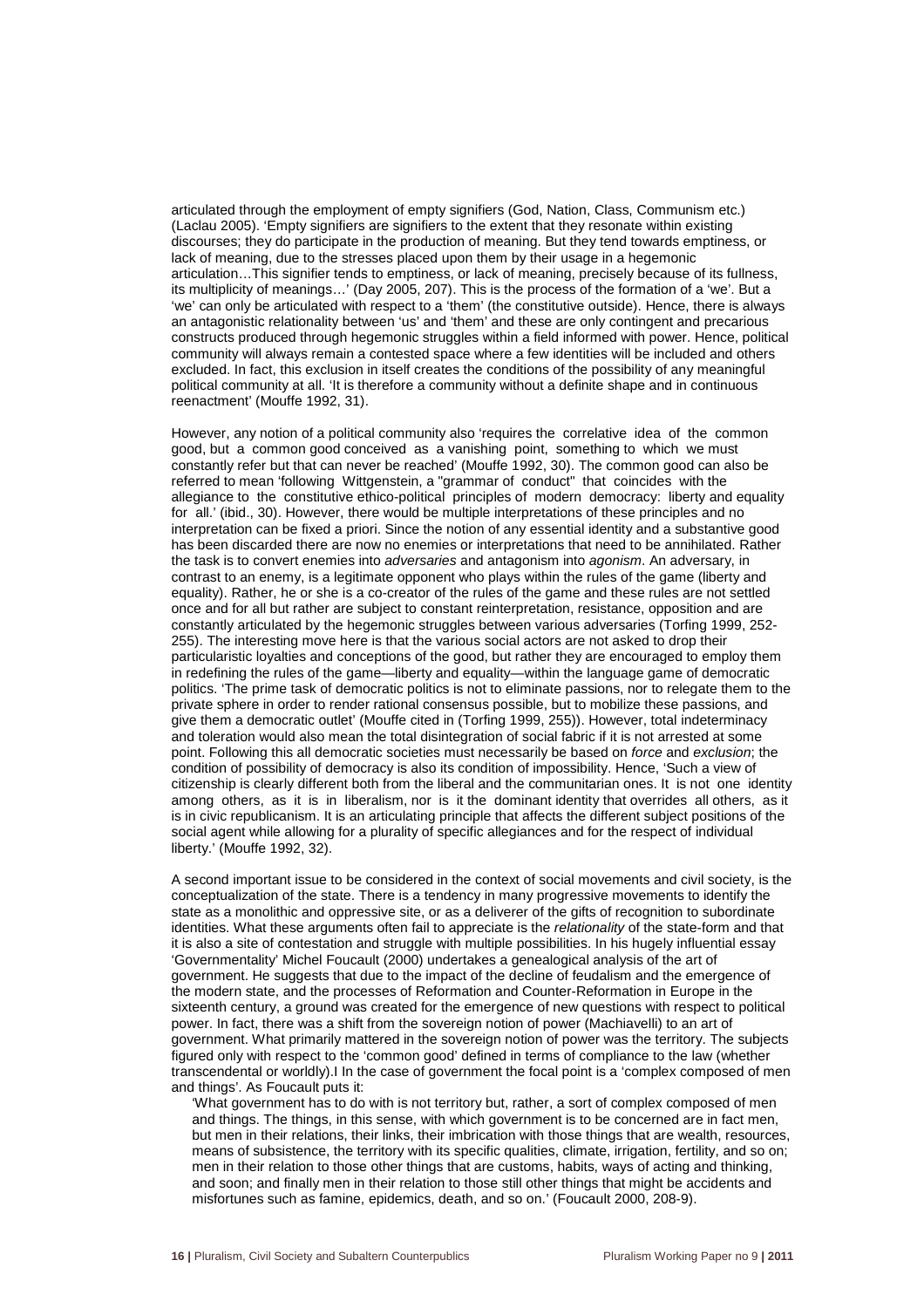articulated through the employment of empty signifiers (God, Nation, Class, Communism etc.) (Laclau 2005). 'Empty signifiers are signifiers to the extent that they resonate within existing discourses; they do participate in the production of meaning. But they tend towards emptiness, or lack of meaning, due to the stresses placed upon them by their usage in a hegemonic articulation…This signifier tends to emptiness, or lack of meaning, precisely because of its fullness, its multiplicity of meanings…' (Day 2005, 207). This is the process of the formation of a 'we'. But a 'we' can only be articulated with respect to a 'them' (the constitutive outside). Hence, there is always an antagonistic relationality between 'us' and 'them' and these are only contingent and precarious constructs produced through hegemonic struggles within a field informed with power. Hence, political community will always remain a contested space where a few identities will be included and others excluded. In fact, this exclusion in itself creates the conditions of the possibility of any meaningful political community at all. 'It is therefore a community without a definite shape and in continuous reenactment' (Mouffe 1992, 31).

However, any notion of a political community also 'requires the correlative idea of the common good, but a common good conceived as a vanishing point, something to which we must constantly refer but that can never be reached' (Mouffe 1992, 30). The common good can also be referred to mean 'following Wittgenstein, a "grammar of conduct" that coincides with the allegiance to the constitutive ethico-political principles of modern democracy: liberty and equality for all.' (ibid., 30). However, there would be multiple interpretations of these principles and no interpretation can be fixed a priori. Since the notion of any essential identity and a substantive good has been discarded there are now no enemies or interpretations that need to be annihilated. Rather the task is to convert enemies into adversaries and antagonism into agonism. An adversary, in contrast to an enemy, is a legitimate opponent who plays within the rules of the game (liberty and equality). Rather, he or she is a co-creator of the rules of the game and these rules are not settled once and for all but rather are subject to constant reinterpretation, resistance, opposition and are constantly articulated by the hegemonic struggles between various adversaries (Torfing 1999, 252- 255). The interesting move here is that the various social actors are not asked to drop their particularistic loyalties and conceptions of the good, but rather they are encouraged to employ them in redefining the rules of the game—liberty and equality—within the language game of democratic politics. 'The prime task of democratic politics is not to eliminate passions, nor to relegate them to the private sphere in order to render rational consensus possible, but to mobilize these passions, and give them a democratic outlet' (Mouffe cited in (Torfing 1999, 255)). However, total indeterminacy and toleration would also mean the total disintegration of social fabric if it is not arrested at some point. Following this all democratic societies must necessarily be based on force and exclusion; the condition of possibility of democracy is also its condition of impossibility. Hence, 'Such a view of citizenship is clearly different both from the liberal and the communitarian ones. It is not one identity among others, as it is in liberalism, nor is it the dominant identity that overrides all others, as it is in civic republicanism. It is an articulating principle that affects the different subject positions of the social agent while allowing for a plurality of specific allegiances and for the respect of individual liberty.' (Mouffe 1992, 32).

A second important issue to be considered in the context of social movements and civil society, is the conceptualization of the state. There is a tendency in many progressive movements to identify the state as a monolithic and oppressive site, or as a deliverer of the gifts of recognition to subordinate identities. What these arguments often fail to appreciate is the relationality of the state-form and that it is also a site of contestation and struggle with multiple possibilities. In his hugely influential essay 'Governmentality' Michel Foucault (2000) undertakes a genealogical analysis of the art of government. He suggests that due to the impact of the decline of feudalism and the emergence of the modern state, and the processes of Reformation and Counter-Reformation in Europe in the sixteenth century, a ground was created for the emergence of new questions with respect to political power. In fact, there was a shift from the sovereign notion of power (Machiavelli) to an art of government. What primarily mattered in the sovereign notion of power was the territory. The subjects figured only with respect to the 'common good' defined in terms of compliance to the law (whether transcendental or worldly).I In the case of government the focal point is a 'complex composed of men and things'. As Foucault puts it:

'What government has to do with is not territory but, rather, a sort of complex composed of men and things. The things, in this sense, with which government is to be concerned are in fact men, but men in their relations, their links, their imbrication with those things that are wealth, resources, means of subsistence, the territory with its specific qualities, climate, irrigation, fertility, and so on; men in their relation to those other things that are customs, habits, ways of acting and thinking, and soon; and finally men in their relation to those still other things that might be accidents and misfortunes such as famine, epidemics, death, and so on.' (Foucault 2000, 208-9).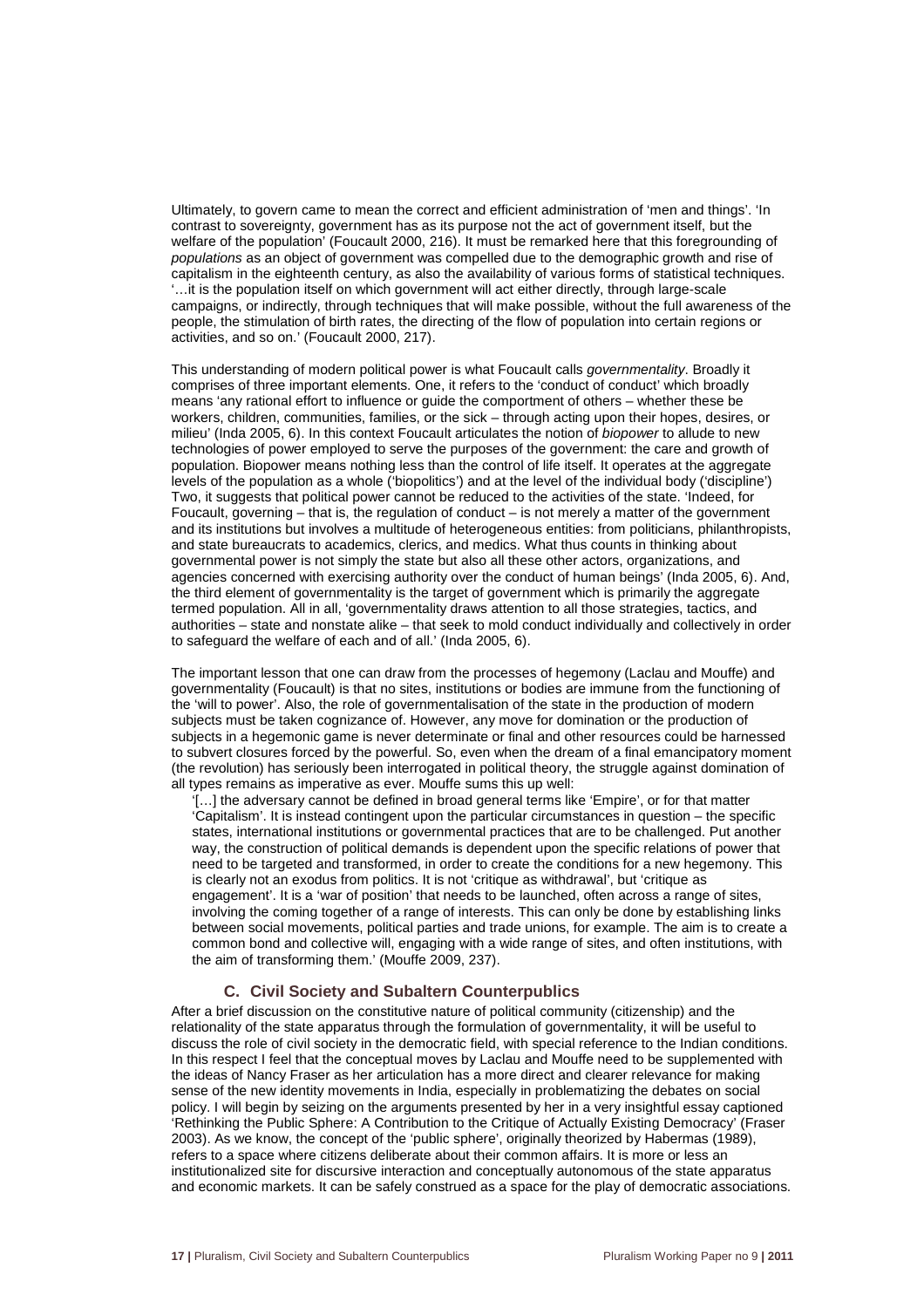Ultimately, to govern came to mean the correct and efficient administration of 'men and things'. 'In contrast to sovereignty, government has as its purpose not the act of government itself, but the welfare of the population' (Foucault 2000, 216). It must be remarked here that this foregrounding of populations as an object of government was compelled due to the demographic growth and rise of capitalism in the eighteenth century, as also the availability of various forms of statistical techniques. '…it is the population itself on which government will act either directly, through large-scale campaigns, or indirectly, through techniques that will make possible, without the full awareness of the people, the stimulation of birth rates, the directing of the flow of population into certain regions or activities, and so on.' (Foucault 2000, 217).

This understanding of modern political power is what Foucault calls governmentality. Broadly it comprises of three important elements. One, it refers to the 'conduct of conduct' which broadly means 'any rational effort to influence or guide the comportment of others – whether these be workers, children, communities, families, or the sick – through acting upon their hopes, desires, or milieu' (Inda 2005, 6). In this context Foucault articulates the notion of biopower to allude to new technologies of power employed to serve the purposes of the government: the care and growth of population. Biopower means nothing less than the control of life itself. It operates at the aggregate levels of the population as a whole ('biopolitics') and at the level of the individual body ('discipline') Two, it suggests that political power cannot be reduced to the activities of the state. 'Indeed, for Foucault, governing – that is, the regulation of conduct – is not merely a matter of the government and its institutions but involves a multitude of heterogeneous entities: from politicians, philanthropists, and state bureaucrats to academics, clerics, and medics. What thus counts in thinking about governmental power is not simply the state but also all these other actors, organizations, and agencies concerned with exercising authority over the conduct of human beings' (Inda 2005, 6). And, the third element of governmentality is the target of government which is primarily the aggregate termed population. All in all, 'governmentality draws attention to all those strategies, tactics, and authorities – state and nonstate alike – that seek to mold conduct individually and collectively in order to safeguard the welfare of each and of all.' (Inda 2005, 6).

The important lesson that one can draw from the processes of hegemony (Laclau and Mouffe) and governmentality (Foucault) is that no sites, institutions or bodies are immune from the functioning of the 'will to power'. Also, the role of governmentalisation of the state in the production of modern subjects must be taken cognizance of. However, any move for domination or the production of subjects in a hegemonic game is never determinate or final and other resources could be harnessed to subvert closures forced by the powerful. So, even when the dream of a final emancipatory moment (the revolution) has seriously been interrogated in political theory, the struggle against domination of all types remains as imperative as ever. Mouffe sums this up well:

'[…] the adversary cannot be defined in broad general terms like 'Empire', or for that matter 'Capitalism'. It is instead contingent upon the particular circumstances in question – the specific states, international institutions or governmental practices that are to be challenged. Put another way, the construction of political demands is dependent upon the specific relations of power that need to be targeted and transformed, in order to create the conditions for a new hegemony. This is clearly not an exodus from politics. It is not 'critique as withdrawal', but 'critique as engagement'. It is a 'war of position' that needs to be launched, often across a range of sites, involving the coming together of a range of interests. This can only be done by establishing links between social movements, political parties and trade unions, for example. The aim is to create a common bond and collective will, engaging with a wide range of sites, and often institutions, with the aim of transforming them.' (Mouffe 2009, 237).

#### **C. Civil Society and Subaltern Counterpublics**

After a brief discussion on the constitutive nature of political community (citizenship) and the relationality of the state apparatus through the formulation of governmentality, it will be useful to discuss the role of civil society in the democratic field, with special reference to the Indian conditions. In this respect I feel that the conceptual moves by Laclau and Mouffe need to be supplemented with the ideas of Nancy Fraser as her articulation has a more direct and clearer relevance for making sense of the new identity movements in India, especially in problematizing the debates on social policy. I will begin by seizing on the arguments presented by her in a very insightful essay captioned 'Rethinking the Public Sphere: A Contribution to the Critique of Actually Existing Democracy' (Fraser 2003). As we know, the concept of the 'public sphere', originally theorized by Habermas (1989), refers to a space where citizens deliberate about their common affairs. It is more or less an institutionalized site for discursive interaction and conceptually autonomous of the state apparatus and economic markets. It can be safely construed as a space for the play of democratic associations.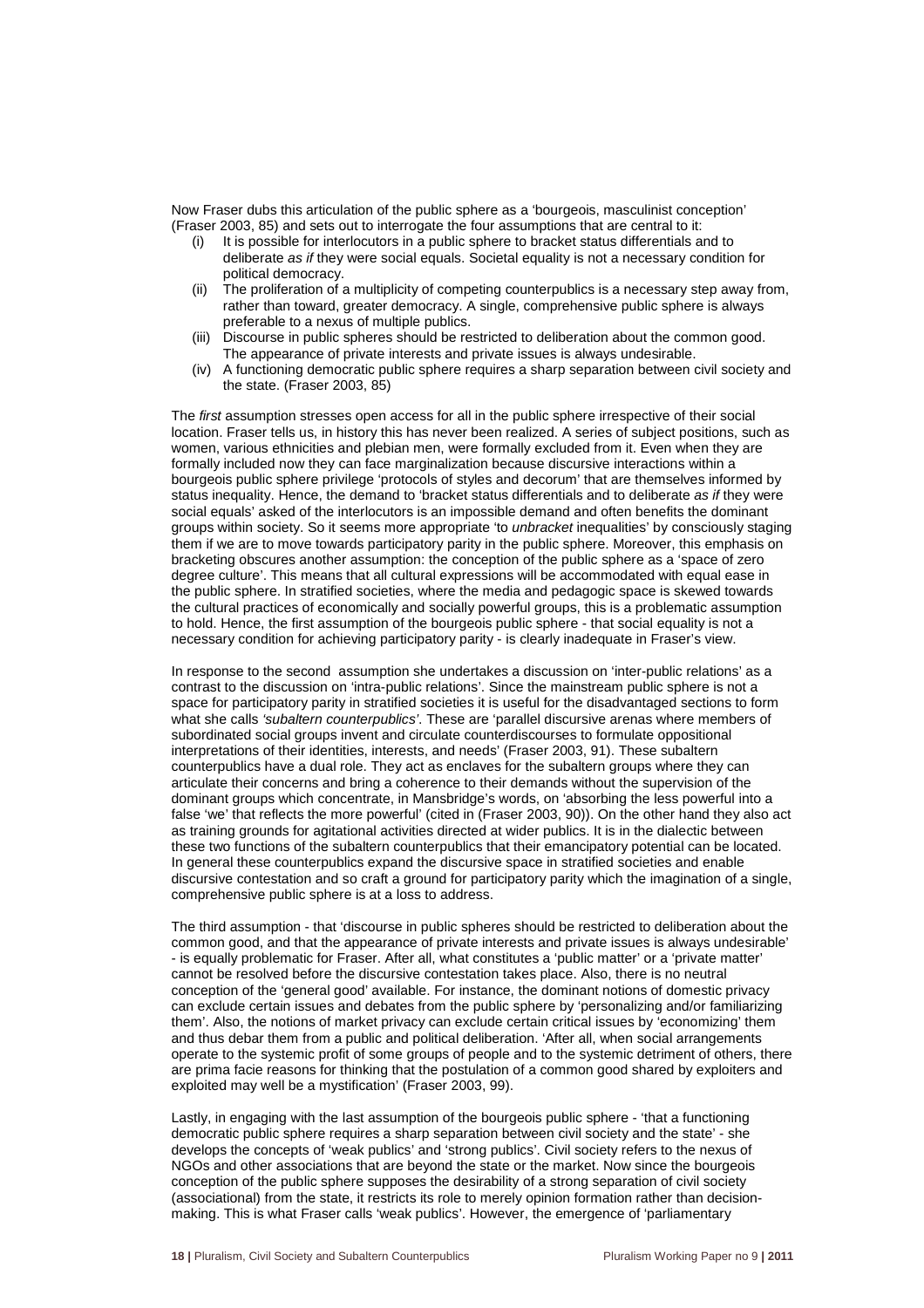Now Fraser dubs this articulation of the public sphere as a 'bourgeois, masculinist conception' (Fraser 2003, 85) and sets out to interrogate the four assumptions that are central to it:

- (i) It is possible for interlocutors in a public sphere to bracket status differentials and to deliberate as if they were social equals. Societal equality is not a necessary condition for political democracy.
- (ii) The proliferation of a multiplicity of competing counterpublics is a necessary step away from, rather than toward, greater democracy. A single, comprehensive public sphere is always preferable to a nexus of multiple publics.
- (iii) Discourse in public spheres should be restricted to deliberation about the common good. The appearance of private interests and private issues is always undesirable.
- (iv) A functioning democratic public sphere requires a sharp separation between civil society and the state. (Fraser 2003, 85)

The first assumption stresses open access for all in the public sphere irrespective of their social location. Fraser tells us, in history this has never been realized. A series of subject positions, such as women, various ethnicities and plebian men, were formally excluded from it. Even when they are formally included now they can face marginalization because discursive interactions within a bourgeois public sphere privilege 'protocols of styles and decorum' that are themselves informed by status inequality. Hence, the demand to 'bracket status differentials and to deliberate as if they were social equals' asked of the interlocutors is an impossible demand and often benefits the dominant groups within society. So it seems more appropriate 'to unbracket inequalities' by consciously staging them if we are to move towards participatory parity in the public sphere. Moreover, this emphasis on bracketing obscures another assumption: the conception of the public sphere as a 'space of zero degree culture'. This means that all cultural expressions will be accommodated with equal ease in the public sphere. In stratified societies, where the media and pedagogic space is skewed towards the cultural practices of economically and socially powerful groups, this is a problematic assumption to hold. Hence, the first assumption of the bourgeois public sphere - that social equality is not a necessary condition for achieving participatory parity - is clearly inadequate in Fraser's view.

In response to the second assumption she undertakes a discussion on 'inter-public relations' as a contrast to the discussion on 'intra-public relations'. Since the mainstream public sphere is not a space for participatory parity in stratified societies it is useful for the disadvantaged sections to form what she calls 'subaltern counterpublics'. These are 'parallel discursive arenas where members of subordinated social groups invent and circulate counterdiscourses to formulate oppositional interpretations of their identities, interests, and needs' (Fraser 2003, 91). These subaltern counterpublics have a dual role. They act as enclaves for the subaltern groups where they can articulate their concerns and bring a coherence to their demands without the supervision of the dominant groups which concentrate, in Mansbridge's words, on 'absorbing the less powerful into a false 'we' that reflects the more powerful' (cited in (Fraser 2003, 90)). On the other hand they also act as training grounds for agitational activities directed at wider publics. It is in the dialectic between these two functions of the subaltern counterpublics that their emancipatory potential can be located. In general these counterpublics expand the discursive space in stratified societies and enable discursive contestation and so craft a ground for participatory parity which the imagination of a single, comprehensive public sphere is at a loss to address.

The third assumption - that 'discourse in public spheres should be restricted to deliberation about the common good, and that the appearance of private interests and private issues is always undesirable' - is equally problematic for Fraser. After all, what constitutes a 'public matter' or a 'private matter' cannot be resolved before the discursive contestation takes place. Also, there is no neutral conception of the 'general good' available. For instance, the dominant notions of domestic privacy can exclude certain issues and debates from the public sphere by 'personalizing and/or familiarizing them'. Also, the notions of market privacy can exclude certain critical issues by 'economizing' them and thus debar them from a public and political deliberation. 'After all, when social arrangements operate to the systemic profit of some groups of people and to the systemic detriment of others, there are prima facie reasons for thinking that the postulation of a common good shared by exploiters and exploited may well be a mystification' (Fraser 2003, 99).

Lastly, in engaging with the last assumption of the bourgeois public sphere - 'that a functioning democratic public sphere requires a sharp separation between civil society and the state' - she develops the concepts of 'weak publics' and 'strong publics'. Civil society refers to the nexus of NGOs and other associations that are beyond the state or the market. Now since the bourgeois conception of the public sphere supposes the desirability of a strong separation of civil society (associational) from the state, it restricts its role to merely opinion formation rather than decisionmaking. This is what Fraser calls 'weak publics'. However, the emergence of 'parliamentary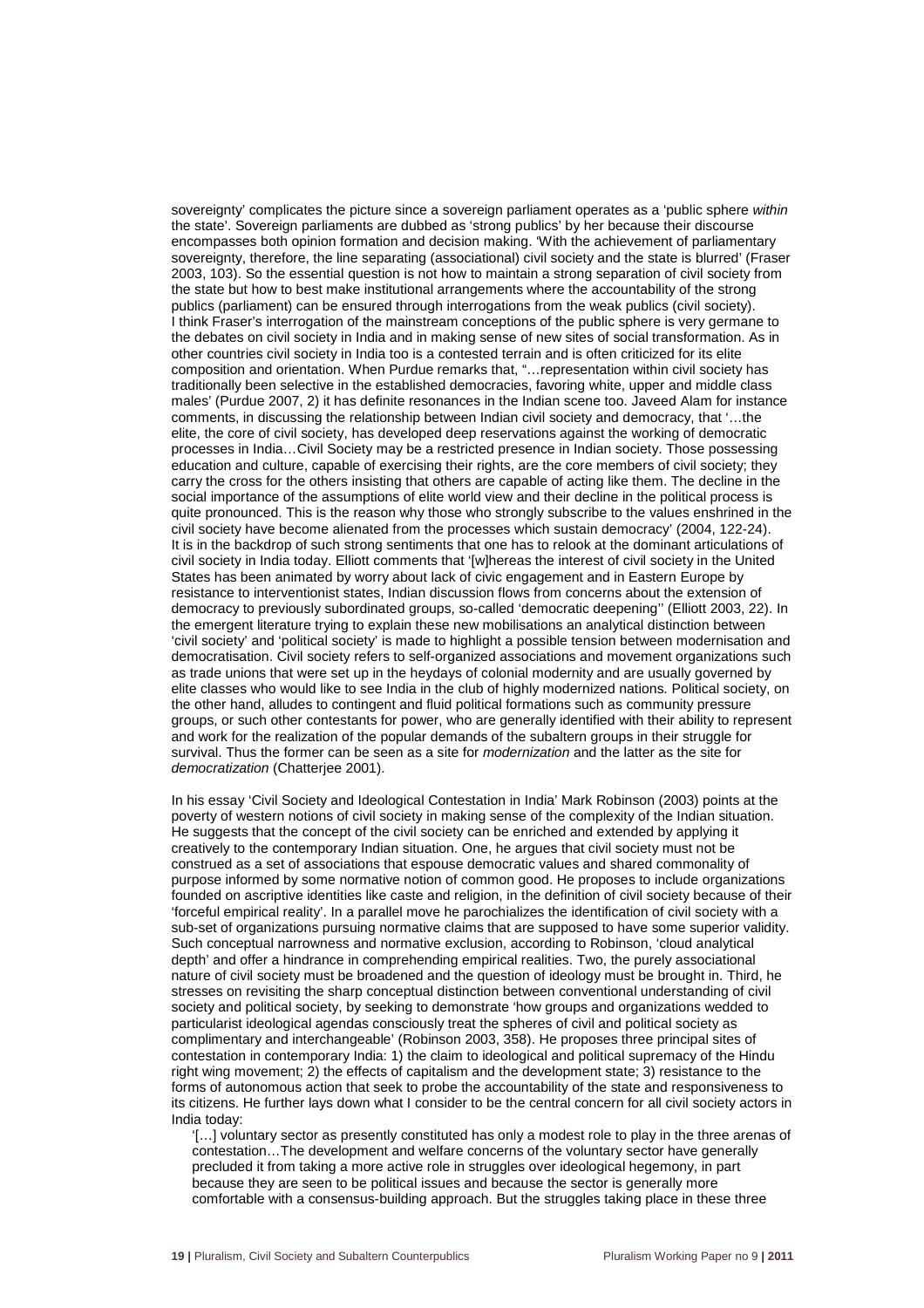sovereignty' complicates the picture since a sovereign parliament operates as a 'public sphere within the state'. Sovereign parliaments are dubbed as 'strong publics' by her because their discourse encompasses both opinion formation and decision making. 'With the achievement of parliamentary sovereignty, therefore, the line separating (associational) civil society and the state is blurred' (Fraser 2003, 103). So the essential question is not how to maintain a strong separation of civil society from the state but how to best make institutional arrangements where the accountability of the strong publics (parliament) can be ensured through interrogations from the weak publics (civil society). I think Fraser's interrogation of the mainstream conceptions of the public sphere is very germane to the debates on civil society in India and in making sense of new sites of social transformation. As in other countries civil society in India too is a contested terrain and is often criticized for its elite composition and orientation. When Purdue remarks that, "…representation within civil society has traditionally been selective in the established democracies, favoring white, upper and middle class males' (Purdue 2007, 2) it has definite resonances in the Indian scene too. Javeed Alam for instance comments, in discussing the relationship between Indian civil society and democracy, that '…the elite, the core of civil society, has developed deep reservations against the working of democratic processes in India…Civil Society may be a restricted presence in Indian society. Those possessing education and culture, capable of exercising their rights, are the core members of civil society; they carry the cross for the others insisting that others are capable of acting like them. The decline in the social importance of the assumptions of elite world view and their decline in the political process is quite pronounced. This is the reason why those who strongly subscribe to the values enshrined in the civil society have become alienated from the processes which sustain democracy' (2004, 122-24). It is in the backdrop of such strong sentiments that one has to relook at the dominant articulations of civil society in India today. Elliott comments that '[w]hereas the interest of civil society in the United States has been animated by worry about lack of civic engagement and in Eastern Europe by resistance to interventionist states, Indian discussion flows from concerns about the extension of democracy to previously subordinated groups, so-called 'democratic deepening'' (Elliott 2003, 22). In the emergent literature trying to explain these new mobilisations an analytical distinction between 'civil society' and 'political society' is made to highlight a possible tension between modernisation and democratisation. Civil society refers to self-organized associations and movement organizations such as trade unions that were set up in the heydays of colonial modernity and are usually governed by elite classes who would like to see India in the club of highly modernized nations. Political society, on the other hand, alludes to contingent and fluid political formations such as community pressure groups, or such other contestants for power, who are generally identified with their ability to represent and work for the realization of the popular demands of the subaltern groups in their struggle for survival. Thus the former can be seen as a site for modernization and the latter as the site for democratization (Chatterjee 2001).

In his essay 'Civil Society and Ideological Contestation in India' Mark Robinson (2003) points at the poverty of western notions of civil society in making sense of the complexity of the Indian situation. He suggests that the concept of the civil society can be enriched and extended by applying it creatively to the contemporary Indian situation. One, he argues that civil society must not be construed as a set of associations that espouse democratic values and shared commonality of purpose informed by some normative notion of common good. He proposes to include organizations founded on ascriptive identities like caste and religion, in the definition of civil society because of their 'forceful empirical reality'. In a parallel move he parochializes the identification of civil society with a sub-set of organizations pursuing normative claims that are supposed to have some superior validity. Such conceptual narrowness and normative exclusion, according to Robinson, 'cloud analytical depth' and offer a hindrance in comprehending empirical realities. Two, the purely associational nature of civil society must be broadened and the question of ideology must be brought in. Third, he stresses on revisiting the sharp conceptual distinction between conventional understanding of civil society and political society, by seeking to demonstrate 'how groups and organizations wedded to particularist ideological agendas consciously treat the spheres of civil and political society as complimentary and interchangeable' (Robinson 2003, 358). He proposes three principal sites of contestation in contemporary India: 1) the claim to ideological and political supremacy of the Hindu right wing movement; 2) the effects of capitalism and the development state; 3) resistance to the forms of autonomous action that seek to probe the accountability of the state and responsiveness to its citizens. He further lays down what I consider to be the central concern for all civil society actors in India today:

'[…] voluntary sector as presently constituted has only a modest role to play in the three arenas of contestation…The development and welfare concerns of the voluntary sector have generally precluded it from taking a more active role in struggles over ideological hegemony, in part because they are seen to be political issues and because the sector is generally more comfortable with a consensus-building approach. But the struggles taking place in these three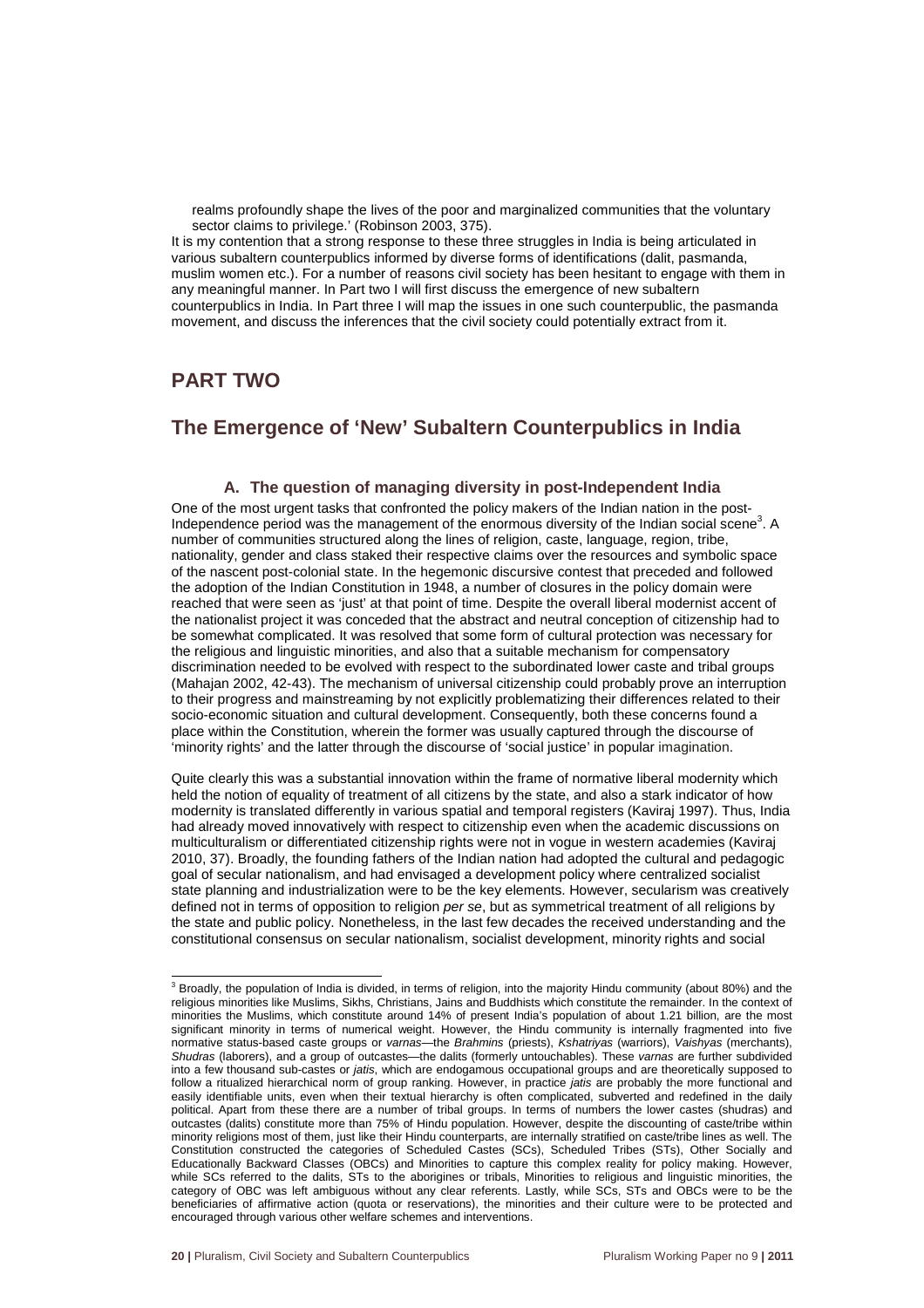realms profoundly shape the lives of the poor and marginalized communities that the voluntary sector claims to privilege.' (Robinson 2003, 375).

It is my contention that a strong response to these three struggles in India is being articulated in various subaltern counterpublics informed by diverse forms of identifications (dalit, pasmanda, muslim women etc.). For a number of reasons civil society has been hesitant to engage with them in any meaningful manner. In Part two I will first discuss the emergence of new subaltern counterpublics in India. In Part three I will map the issues in one such counterpublic, the pasmanda movement, and discuss the inferences that the civil society could potentially extract from it.

# **PART TWO**

## **The Emergence of 'New' Subaltern Counterpublics in India**

#### **A. The question of managing diversity in post-Independent India**

One of the most urgent tasks that confronted the policy makers of the Indian nation in the post-Independence period was the management of the enormous diversity of the Indian social scene<sup>3</sup>. A number of communities structured along the lines of religion, caste, language, region, tribe, nationality, gender and class staked their respective claims over the resources and symbolic space of the nascent post-colonial state. In the hegemonic discursive contest that preceded and followed the adoption of the Indian Constitution in 1948, a number of closures in the policy domain were reached that were seen as 'just' at that point of time. Despite the overall liberal modernist accent of the nationalist project it was conceded that the abstract and neutral conception of citizenship had to be somewhat complicated. It was resolved that some form of cultural protection was necessary for the religious and linguistic minorities, and also that a suitable mechanism for compensatory discrimination needed to be evolved with respect to the subordinated lower caste and tribal groups (Mahajan 2002, 42-43). The mechanism of universal citizenship could probably prove an interruption to their progress and mainstreaming by not explicitly problematizing their differences related to their socio-economic situation and cultural development. Consequently, both these concerns found a place within the Constitution, wherein the former was usually captured through the discourse of 'minority rights' and the latter through the discourse of 'social justice' in popular imagination.

Quite clearly this was a substantial innovation within the frame of normative liberal modernity which held the notion of equality of treatment of all citizens by the state, and also a stark indicator of how modernity is translated differently in various spatial and temporal registers (Kaviraj 1997). Thus, India had already moved innovatively with respect to citizenship even when the academic discussions on multiculturalism or differentiated citizenship rights were not in vogue in western academies (Kaviraj 2010, 37). Broadly, the founding fathers of the Indian nation had adopted the cultural and pedagogic goal of secular nationalism, and had envisaged a development policy where centralized socialist state planning and industrialization were to be the key elements. However, secularism was creatively defined not in terms of opposition to religion per se, but as symmetrical treatment of all religions by the state and public policy. Nonetheless, in the last few decades the received understanding and the constitutional consensus on secular nationalism, socialist development, minority rights and social

 3 Broadly, the population of India is divided, in terms of religion, into the majority Hindu community (about 80%) and the religious minorities like Muslims, Sikhs, Christians, Jains and Buddhists which constitute the remainder. In the context of minorities the Muslims, which constitute around 14% of present India's population of about 1.21 billion, are the most significant minority in terms of numerical weight. However, the Hindu community is internally fragmented into five normative status-based caste groups or varnas—the Brahmins (priests), Kshatriyas (warriors), Vaishyas (merchants), Shudras (laborers), and a group of outcastes—the dalits (formerly untouchables). These varnas are further subdivided into a few thousand sub-castes or jatis, which are endogamous occupational groups and are theoretically supposed to follow a ritualized hierarchical norm of group ranking. However, in practice jatis are probably the more functional and easily identifiable units, even when their textual hierarchy is often complicated, subverted and redefined in the daily political. Apart from these there are a number of tribal groups. In terms of numbers the lower castes (shudras) and outcastes (dalits) constitute more than 75% of Hindu population. However, despite the discounting of caste/tribe within minority religions most of them, just like their Hindu counterparts, are internally stratified on caste/tribe lines as well. The Constitution constructed the categories of Scheduled Castes (SCs), Scheduled Tribes (STs), Other Socially and Educationally Backward Classes (OBCs) and Minorities to capture this complex reality for policy making. However, while SCs referred to the dalits, STs to the aborigines or tribals, Minorities to religious and linguistic minorities, the category of OBC was left ambiguous without any clear referents. Lastly, while SCs, STs and OBCs were to be the beneficiaries of affirmative action (quota or reservations), the minorities and their culture were to be protected and encouraged through various other welfare schemes and interventions.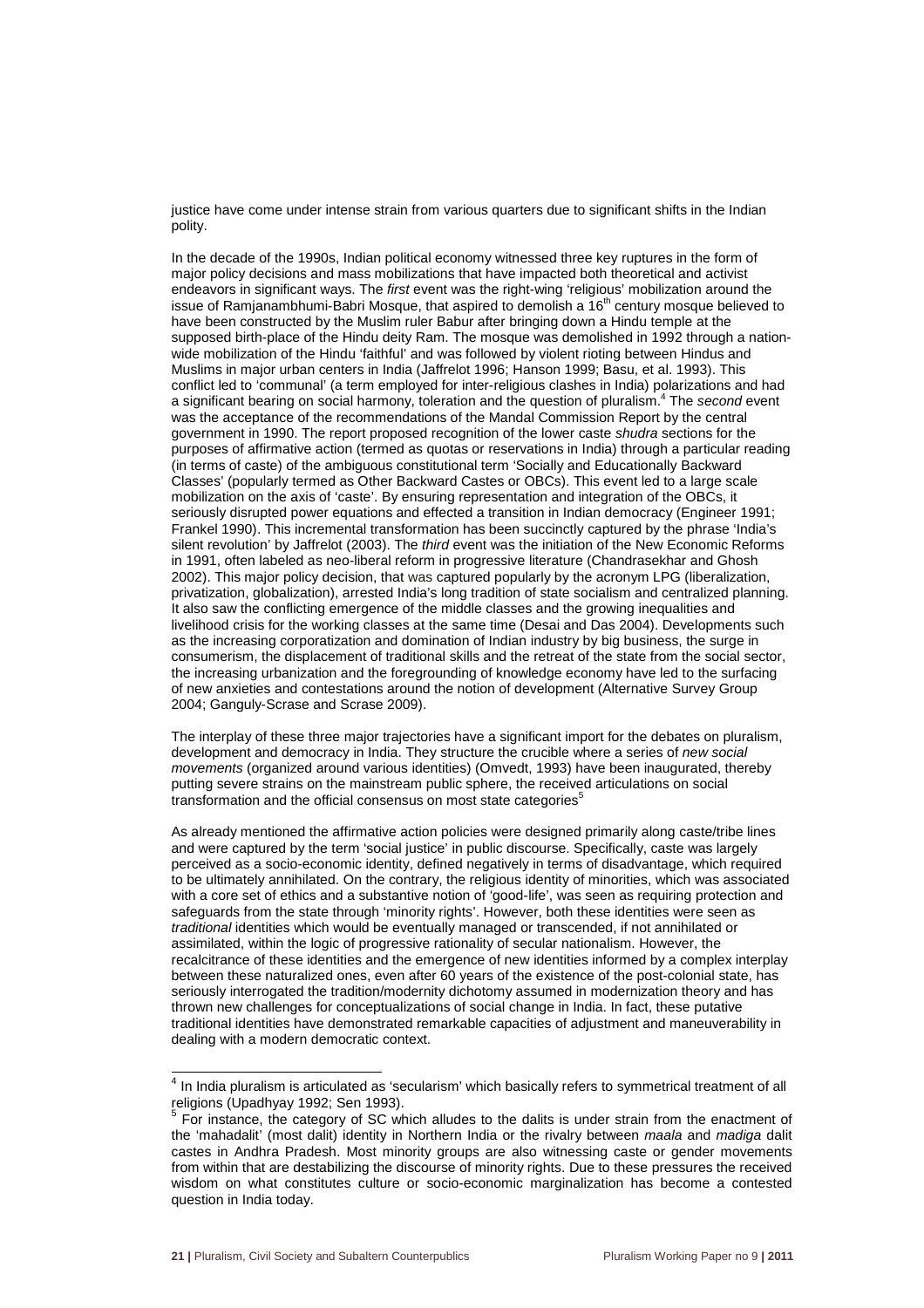justice have come under intense strain from various quarters due to significant shifts in the Indian polity.

In the decade of the 1990s, Indian political economy witnessed three key ruptures in the form of major policy decisions and mass mobilizations that have impacted both theoretical and activist endeavors in significant ways. The first event was the right-wing 'religious' mobilization around the issue of Ramjanambhumi-Babri Mosque, that aspired to demolish a  $16<sup>th</sup>$  century mosque believed to have been constructed by the Muslim ruler Babur after bringing down a Hindu temple at the supposed birth-place of the Hindu deity Ram. The mosque was demolished in 1992 through a nationwide mobilization of the Hindu 'faithful' and was followed by violent rioting between Hindus and Muslims in major urban centers in India (Jaffrelot 1996; Hanson 1999; Basu, et al. 1993). This conflict led to 'communal' (a term employed for inter-religious clashes in India) polarizations and had a significant bearing on social harmony, toleration and the question of pluralism.<sup>4</sup> The second event was the acceptance of the recommendations of the Mandal Commission Report by the central government in 1990. The report proposed recognition of the lower caste shudra sections for the purposes of affirmative action (termed as quotas or reservations in India) through a particular reading (in terms of caste) of the ambiguous constitutional term 'Socially and Educationally Backward Classes' (popularly termed as Other Backward Castes or OBCs). This event led to a large scale mobilization on the axis of 'caste'. By ensuring representation and integration of the OBCs, it seriously disrupted power equations and effected a transition in Indian democracy (Engineer 1991; Frankel 1990). This incremental transformation has been succinctly captured by the phrase 'India's silent revolution' by Jaffrelot (2003). The third event was the initiation of the New Economic Reforms in 1991, often labeled as neo-liberal reform in progressive literature (Chandrasekhar and Ghosh 2002). This major policy decision, that was captured popularly by the acronym LPG (liberalization, privatization, globalization), arrested India's long tradition of state socialism and centralized planning. It also saw the conflicting emergence of the middle classes and the growing inequalities and livelihood crisis for the working classes at the same time (Desai and Das 2004). Developments such as the increasing corporatization and domination of Indian industry by big business, the surge in consumerism, the displacement of traditional skills and the retreat of the state from the social sector, the increasing urbanization and the foregrounding of knowledge economy have led to the surfacing of new anxieties and contestations around the notion of development (Alternative Survey Group 2004; Ganguly-Scrase and Scrase 2009).

The interplay of these three major trajectories have a significant import for the debates on pluralism, development and democracy in India. They structure the crucible where a series of new social movements (organized around various identities) (Omvedt, 1993) have been inaugurated, thereby putting severe strains on the mainstream public sphere, the received articulations on social transformation and the official consensus on most state categories $^5$ 

As already mentioned the affirmative action policies were designed primarily along caste/tribe lines and were captured by the term 'social justice' in public discourse. Specifically, caste was largely perceived as a socio-economic identity, defined negatively in terms of disadvantage, which required to be ultimately annihilated. On the contrary, the religious identity of minorities, which was associated with a core set of ethics and a substantive notion of 'good-life', was seen as requiring protection and safeguards from the state through 'minority rights'. However, both these identities were seen as traditional identities which would be eventually managed or transcended, if not annihilated or assimilated, within the logic of progressive rationality of secular nationalism. However, the recalcitrance of these identities and the emergence of new identities informed by a complex interplay between these naturalized ones, even after 60 years of the existence of the post-colonial state, has seriously interrogated the tradition/modernity dichotomy assumed in modernization theory and has thrown new challenges for conceptualizations of social change in India. In fact, these putative traditional identities have demonstrated remarkable capacities of adjustment and maneuverability in dealing with a modern democratic context.

 4 In India pluralism is articulated as 'secularism' which basically refers to symmetrical treatment of all religions (Upadhyay 1992; Sen 1993).

 $5$  For instance, the category of SC which alludes to the dalits is under strain from the enactment of the 'mahadalit' (most dalit) identity in Northern India or the rivalry between maala and madiga dalit castes in Andhra Pradesh. Most minority groups are also witnessing caste or gender movements from within that are destabilizing the discourse of minority rights. Due to these pressures the received wisdom on what constitutes culture or socio-economic marginalization has become a contested question in India today.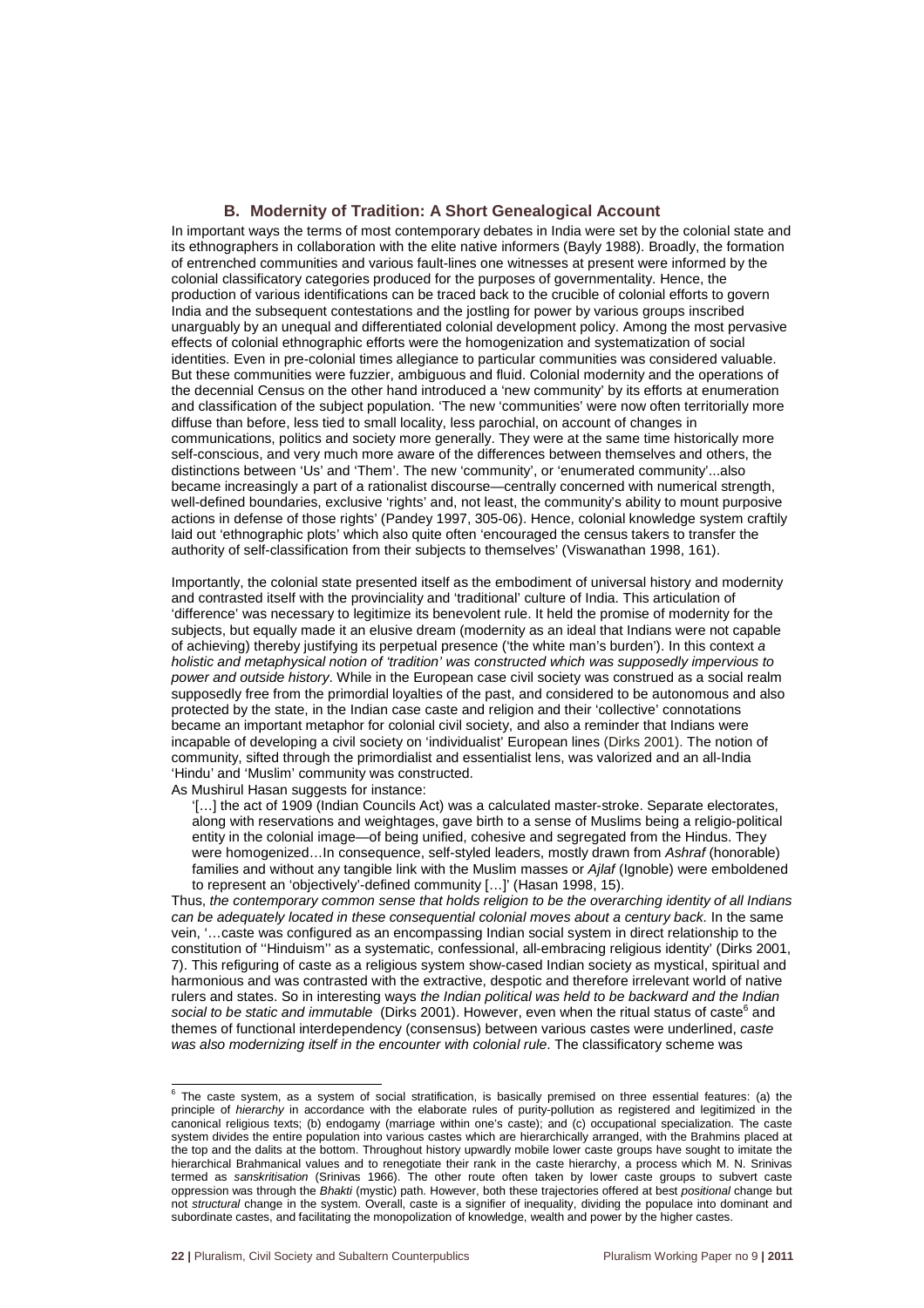#### **B. Modernity of Tradition: A Short Genealogical Account**

In important ways the terms of most contemporary debates in India were set by the colonial state and its ethnographers in collaboration with the elite native informers (Bayly 1988). Broadly, the formation of entrenched communities and various fault-lines one witnesses at present were informed by the colonial classificatory categories produced for the purposes of governmentality. Hence, the production of various identifications can be traced back to the crucible of colonial efforts to govern India and the subsequent contestations and the jostling for power by various groups inscribed unarguably by an unequal and differentiated colonial development policy. Among the most pervasive effects of colonial ethnographic efforts were the homogenization and systematization of social identities. Even in pre-colonial times allegiance to particular communities was considered valuable. But these communities were fuzzier, ambiguous and fluid. Colonial modernity and the operations of the decennial Census on the other hand introduced a 'new community' by its efforts at enumeration and classification of the subject population. 'The new 'communities' were now often territorially more diffuse than before, less tied to small locality, less parochial, on account of changes in communications, politics and society more generally. They were at the same time historically more self-conscious, and very much more aware of the differences between themselves and others, the distinctions between 'Us' and 'Them'. The new 'community', or 'enumerated community'...also became increasingly a part of a rationalist discourse—centrally concerned with numerical strength, well-defined boundaries, exclusive 'rights' and, not least, the community's ability to mount purposive actions in defense of those rights' (Pandey 1997, 305-06). Hence, colonial knowledge system craftily laid out 'ethnographic plots' which also quite often 'encouraged the census takers to transfer the authority of self-classification from their subjects to themselves' (Viswanathan 1998, 161).

Importantly, the colonial state presented itself as the embodiment of universal history and modernity and contrasted itself with the provinciality and 'traditional' culture of India. This articulation of 'difference' was necessary to legitimize its benevolent rule. It held the promise of modernity for the subjects, but equally made it an elusive dream (modernity as an ideal that Indians were not capable of achieving) thereby justifying its perpetual presence ('the white man's burden'). In this context a holistic and metaphysical notion of 'tradition' was constructed which was supposedly impervious to power and outside history. While in the European case civil society was construed as a social realm supposedly free from the primordial loyalties of the past, and considered to be autonomous and also protected by the state, in the Indian case caste and religion and their 'collective' connotations became an important metaphor for colonial civil society, and also a reminder that Indians were incapable of developing a civil society on 'individualist' European lines (Dirks 2001). The notion of community, sifted through the primordialist and essentialist lens, was valorized and an all-India 'Hindu' and 'Muslim' community was constructed.

As Mushirul Hasan suggests for instance:

'[…] the act of 1909 (Indian Councils Act) was a calculated master-stroke. Separate electorates, along with reservations and weightages, gave birth to a sense of Muslims being a religio-political entity in the colonial image—of being unified, cohesive and segregated from the Hindus. They were homogenized...In consequence, self-styled leaders, mostly drawn from Ashraf (honorable) families and without any tangible link with the Muslim masses or Ajlaf (Ignoble) were emboldened to represent an 'objectively'-defined community […]' (Hasan 1998, 15).

Thus, the contemporary common sense that holds religion to be the overarching identity of all Indians can be adequately located in these consequential colonial moves about a century back. In the same vein, '…caste was configured as an encompassing Indian social system in direct relationship to the constitution of ''Hinduism'' as a systematic, confessional, all-embracing religious identity' (Dirks 2001, 7). This refiguring of caste as a religious system show-cased Indian society as mystical, spiritual and harmonious and was contrasted with the extractive, despotic and therefore irrelevant world of native rulers and states. So in interesting ways the Indian political was held to be backward and the Indian social to be static and immutable (Dirks 2001). However, even when the ritual status of caste<sup>6</sup> and themes of functional interdependency (consensus) between various castes were underlined, caste was also modernizing itself in the encounter with colonial rule. The classificatory scheme was

 6 The caste system, as a system of social stratification, is basically premised on three essential features: (a) the principle of hierarchy in accordance with the elaborate rules of purity-pollution as registered and legitimized in the canonical religious texts; (b) endogamy (marriage within one's caste); and (c) occupational specialization. The caste system divides the entire population into various castes which are hierarchically arranged, with the Brahmins placed at the top and the dalits at the bottom. Throughout history upwardly mobile lower caste groups have sought to imitate the hierarchical Brahmanical values and to renegotiate their rank in the caste hierarchy, a process which M. N. Srinivas termed as sanskritisation (Srinivas 1966). The other route often taken by lower caste groups to subvert caste oppression was through the Bhakti (mystic) path. However, both these trajectories offered at best positional change but not structural change in the system. Overall, caste is a signifier of inequality, dividing the populace into dominant and subordinate castes, and facilitating the monopolization of knowledge, wealth and power by the higher castes.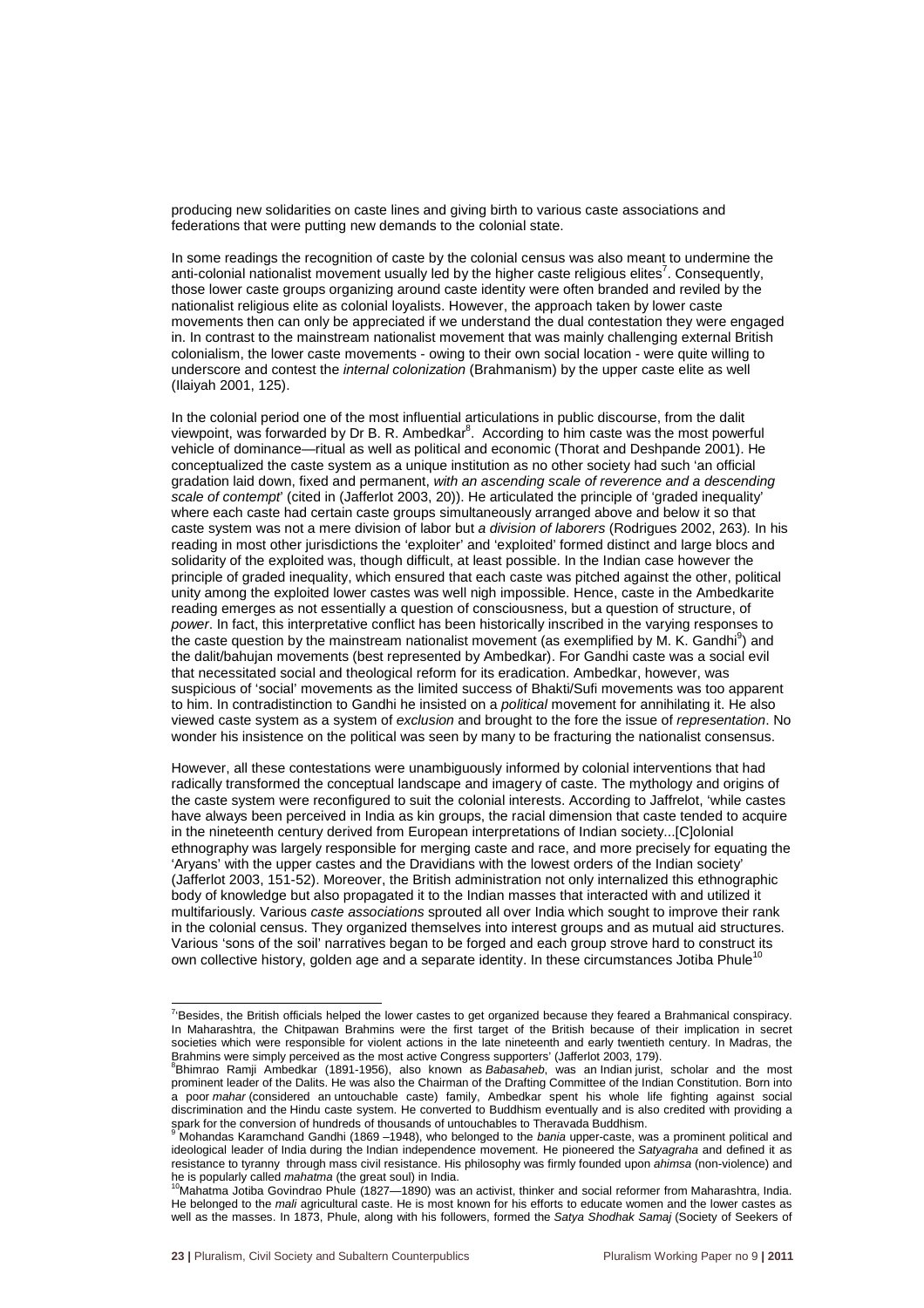producing new solidarities on caste lines and giving birth to various caste associations and federations that were putting new demands to the colonial state.

In some readings the recognition of caste by the colonial census was also meant to undermine the anti-colonial nationalist movement usually led by the higher caste religious elites<sup>7</sup>. Consequently, those lower caste groups organizing around caste identity were often branded and reviled by the nationalist religious elite as colonial loyalists. However, the approach taken by lower caste movements then can only be appreciated if we understand the dual contestation they were engaged in. In contrast to the mainstream nationalist movement that was mainly challenging external British colonialism, the lower caste movements - owing to their own social location - were quite willing to underscore and contest the *internal colonization* (Brahmanism) by the upper caste elite as well (Ilaiyah 2001, 125).

In the colonial period one of the most influential articulations in public discourse, from the dalit viewpoint, was forwarded by Dr B. R. Ambedkar<sup>8</sup>. According to him caste was the most powerful vehicle of dominance—ritual as well as political and economic (Thorat and Deshpande 2001). He conceptualized the caste system as a unique institution as no other society had such 'an official gradation laid down, fixed and permanent, with an ascending scale of reverence and a descending scale of contempt' (cited in (Jafferlot 2003, 20)). He articulated the principle of 'graded inequality' where each caste had certain caste groups simultaneously arranged above and below it so that caste system was not a mere division of labor but a division of laborers (Rodrigues 2002, 263). In his reading in most other jurisdictions the 'exploiter' and 'exploited' formed distinct and large blocs and solidarity of the exploited was, though difficult, at least possible. In the Indian case however the principle of graded inequality, which ensured that each caste was pitched against the other, political unity among the exploited lower castes was well nigh impossible. Hence, caste in the Ambedkarite reading emerges as not essentially a question of consciousness, but a question of structure, of power. In fact, this interpretative conflict has been historically inscribed in the varying responses to the caste question by the mainstream nationalist movement (as exemplified by M. K. Gandhi<sup>9</sup>) and the dalit/bahujan movements (best represented by Ambedkar). For Gandhi caste was a social evil that necessitated social and theological reform for its eradication. Ambedkar, however, was suspicious of 'social' movements as the limited success of Bhakti/Sufi movements was too apparent to him. In contradistinction to Gandhi he insisted on a political movement for annihilating it. He also viewed caste system as a system of exclusion and brought to the fore the issue of representation. No wonder his insistence on the political was seen by many to be fracturing the nationalist consensus.

However, all these contestations were unambiguously informed by colonial interventions that had radically transformed the conceptual landscape and imagery of caste. The mythology and origins of the caste system were reconfigured to suit the colonial interests. According to Jaffrelot, 'while castes have always been perceived in India as kin groups, the racial dimension that caste tended to acquire in the nineteenth century derived from European interpretations of Indian society...[C]olonial ethnography was largely responsible for merging caste and race, and more precisely for equating the 'Aryans' with the upper castes and the Dravidians with the lowest orders of the Indian society' (Jafferlot 2003, 151-52). Moreover, the British administration not only internalized this ethnographic body of knowledge but also propagated it to the Indian masses that interacted with and utilized it multifariously. Various caste associations sprouted all over India which sought to improve their rank in the colonial census. They organized themselves into interest groups and as mutual aid structures. Various 'sons of the soil' narratives began to be forged and each group strove hard to construct its own collective history, golden age and a separate identity. In these circumstances Jotiba Phule<sup>11</sup>

 7 'Besides, the British officials helped the lower castes to get organized because they feared a Brahmanical conspiracy. In Maharashtra, the Chitpawan Brahmins were the first target of the British because of their implication in secret societies which were responsible for violent actions in the late nineteenth and early twentieth century. In Madras, the Brahmins were simply perceived as the most active Congress supporters' (Jafferlot 2003, 179).

<sup>&</sup>lt;sup>8</sup>Bhimrao Ramji Ambedkar (1891-1956), also known as Babasaheb, was an Indian jurist, scholar and the most prominent leader of the Dalits. He was also the Chairman of the Drafting Committee of the Indian Constitution. Born into a poor mahar (considered an untouchable caste) family, Ambedkar spent his whole life fighting against social discrimination and the Hindu caste system. He converted to Buddhism eventually and is also credited with providing a spark for the conversion of hundreds of thousands of untouchables to Theravada Buddhism.<br>9 Mehandse Keremehand Candhi (1960, 1949), who helanged to the harie unner easte, we

Mohandas Karamchand Gandhi (1869 -1948), who belonged to the bania upper-caste, was a prominent political and ideological leader of India during the Indian independence movement. He pioneered the Satyagraha and defined it as resistance to tyranny through mass civil resistance. His philosophy was firmly founded upon ahimsa (non-violence) and he is popularly called mahatma (the great soul) in India.

<sup>&</sup>lt;sup>10</sup>Mahatma Jotiba Govindrao Phule (1827-1890) was an activist, thinker and social reformer from Maharashtra, India. He belonged to the mali agricultural caste. He is most known for his efforts to educate women and the lower castes as well as the masses. In 1873, Phule, along with his followers, formed the Satya Shodhak Samaj (Society of Seekers of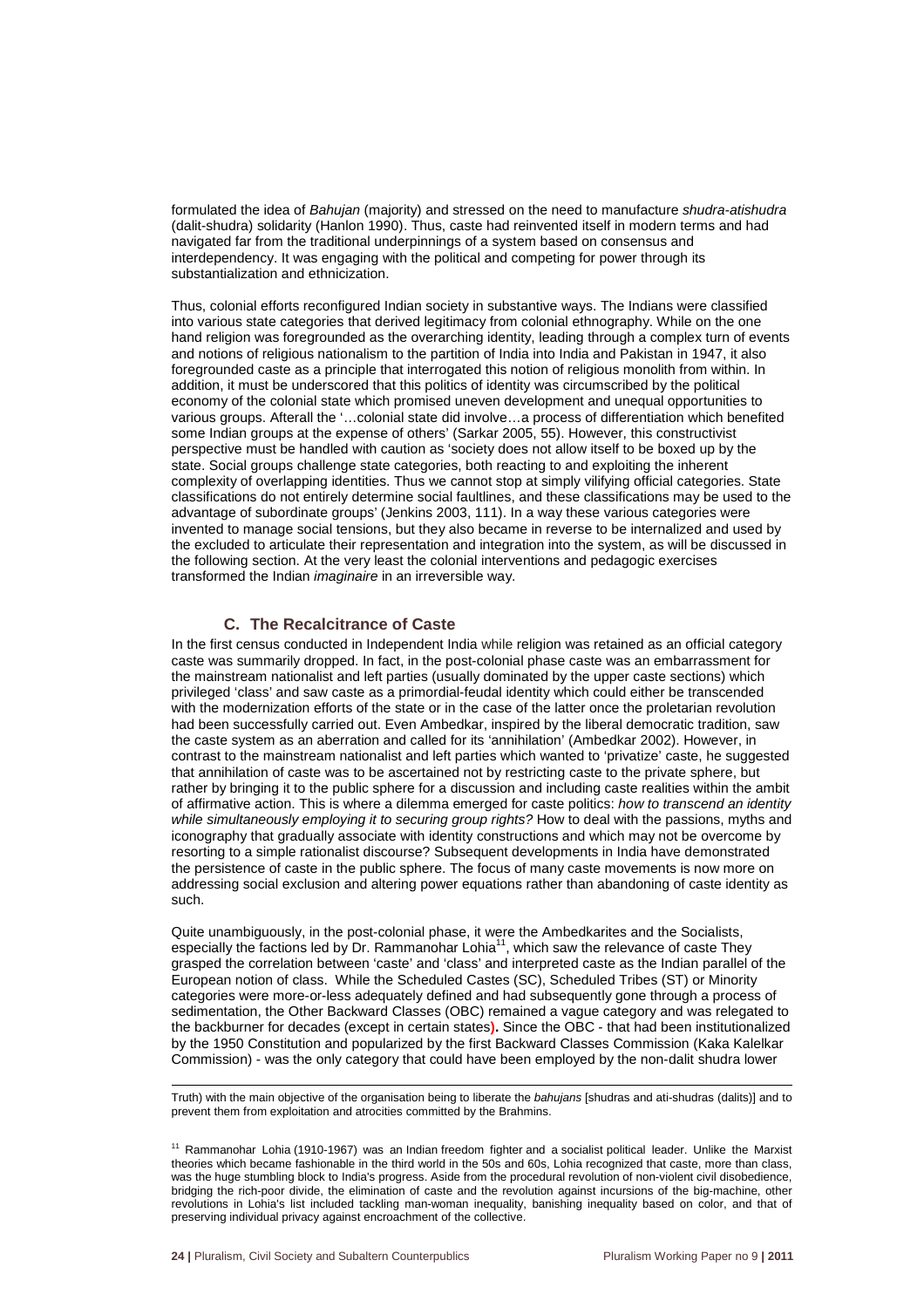formulated the idea of Bahujan (majority) and stressed on the need to manufacture shudra-atishudra (dalit-shudra) solidarity (Hanlon 1990). Thus, caste had reinvented itself in modern terms and had navigated far from the traditional underpinnings of a system based on consensus and interdependency. It was engaging with the political and competing for power through its substantialization and ethnicization.

Thus, colonial efforts reconfigured Indian society in substantive ways. The Indians were classified into various state categories that derived legitimacy from colonial ethnography. While on the one hand religion was foregrounded as the overarching identity, leading through a complex turn of events and notions of religious nationalism to the partition of India into India and Pakistan in 1947, it also foregrounded caste as a principle that interrogated this notion of religious monolith from within. In addition, it must be underscored that this politics of identity was circumscribed by the political economy of the colonial state which promised uneven development and unequal opportunities to various groups. Afterall the '…colonial state did involve…a process of differentiation which benefited some Indian groups at the expense of others' (Sarkar 2005, 55). However, this constructivist perspective must be handled with caution as 'society does not allow itself to be boxed up by the state. Social groups challenge state categories, both reacting to and exploiting the inherent complexity of overlapping identities. Thus we cannot stop at simply vilifying official categories. State classifications do not entirely determine social faultlines, and these classifications may be used to the advantage of subordinate groups' (Jenkins 2003, 111). In a way these various categories were invented to manage social tensions, but they also became in reverse to be internalized and used by the excluded to articulate their representation and integration into the system, as will be discussed in the following section. At the very least the colonial interventions and pedagogic exercises transformed the Indian imaginaire in an irreversible way.

#### **C. The Recalcitrance of Caste**

In the first census conducted in Independent India while religion was retained as an official category caste was summarily dropped. In fact, in the post-colonial phase caste was an embarrassment for the mainstream nationalist and left parties (usually dominated by the upper caste sections) which privileged 'class' and saw caste as a primordial-feudal identity which could either be transcended with the modernization efforts of the state or in the case of the latter once the proletarian revolution had been successfully carried out. Even Ambedkar, inspired by the liberal democratic tradition, saw the caste system as an aberration and called for its 'annihilation' (Ambedkar 2002). However, in contrast to the mainstream nationalist and left parties which wanted to 'privatize' caste, he suggested that annihilation of caste was to be ascertained not by restricting caste to the private sphere, but rather by bringing it to the public sphere for a discussion and including caste realities within the ambit of affirmative action. This is where a dilemma emerged for caste politics: how to transcend an identity while simultaneously employing it to securing group rights? How to deal with the passions, myths and iconography that gradually associate with identity constructions and which may not be overcome by resorting to a simple rationalist discourse? Subsequent developments in India have demonstrated the persistence of caste in the public sphere. The focus of many caste movements is now more on addressing social exclusion and altering power equations rather than abandoning of caste identity as such.

Quite unambiguously, in the post-colonial phase, it were the Ambedkarites and the Socialists, especially the factions led by Dr. Rammanohar Lohia<sup>11</sup>, which saw the relevance of caste They grasped the correlation between 'caste' and 'class' and interpreted caste as the Indian parallel of the European notion of class. While the Scheduled Castes (SC), Scheduled Tribes (ST) or Minority categories were more-or-less adequately defined and had subsequently gone through a process of sedimentation, the Other Backward Classes (OBC) remained a vague category and was relegated to the backburner for decades (except in certain states**).** Since the OBC - that had been institutionalized by the 1950 Constitution and popularized by the first Backward Classes Commission (Kaka Kalelkar Commission) - was the only category that could have been employed by the non-dalit shudra lower

l Truth) with the main objective of the organisation being to liberate the bahujans [shudras and ati-shudras (dalits)] and to prevent them from exploitation and atrocities committed by the Brahmins.

<sup>&</sup>lt;sup>11</sup> Rammanohar Lohia (1910-1967) was an Indian freedom fighter and a socialist political leader. Unlike the Marxist theories which became fashionable in the third world in the 50s and 60s, Lohia recognized that caste, more than class, was the huge stumbling block to India's progress. Aside from the procedural revolution of non-violent civil disobedience, bridging the rich-poor divide, the elimination of caste and the revolution against incursions of the big-machine, other revolutions in Lohia's list included tackling man-woman inequality, banishing inequality based on color, and that of preserving individual privacy against encroachment of the collective.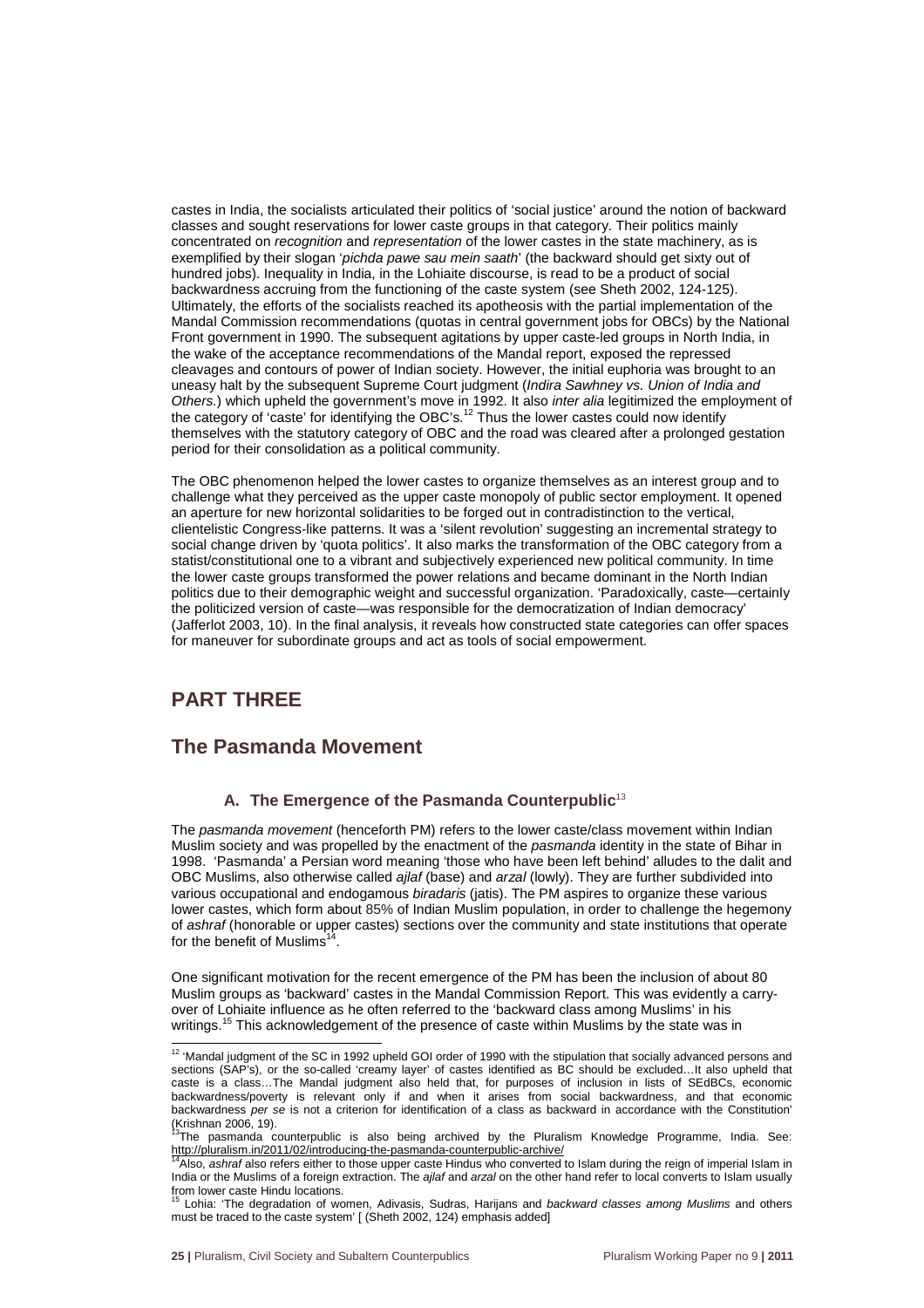castes in India, the socialists articulated their politics of 'social justice' around the notion of backward classes and sought reservations for lower caste groups in that category. Their politics mainly concentrated on recognition and representation of the lower castes in the state machinery, as is exemplified by their slogan '*pichda pawe sau mein saath*' (the backward should get sixty out of hundred jobs). Inequality in India, in the Lohiaite discourse, is read to be a product of social backwardness accruing from the functioning of the caste system (see Sheth 2002, 124-125). Ultimately, the efforts of the socialists reached its apotheosis with the partial implementation of the Mandal Commission recommendations (quotas in central government jobs for OBCs) by the National Front government in 1990. The subsequent agitations by upper caste-led groups in North India, in the wake of the acceptance recommendations of the Mandal report, exposed the repressed cleavages and contours of power of Indian society. However, the initial euphoria was brought to an uneasy halt by the subsequent Supreme Court judgment (Indira Sawhney vs. Union of India and Others.) which upheld the government's move in 1992. It also inter alia legitimized the employment of the category of 'caste' for identifying the OBC's.<sup>12</sup> Thus the lower castes could now identify themselves with the statutory category of OBC and the road was cleared after a prolonged gestation period for their consolidation as a political community.

The OBC phenomenon helped the lower castes to organize themselves as an interest group and to challenge what they perceived as the upper caste monopoly of public sector employment. It opened an aperture for new horizontal solidarities to be forged out in contradistinction to the vertical, clientelistic Congress-like patterns. It was a 'silent revolution' suggesting an incremental strategy to social change driven by 'quota politics'. It also marks the transformation of the OBC category from a statist/constitutional one to a vibrant and subjectively experienced new political community. In time the lower caste groups transformed the power relations and became dominant in the North Indian politics due to their demographic weight and successful organization. 'Paradoxically, caste—certainly the politicized version of caste—was responsible for the democratization of Indian democracy' (Jafferlot 2003, 10). In the final analysis, it reveals how constructed state categories can offer spaces for maneuver for subordinate groups and act as tools of social empowerment.

# **PART THREE**

### **The Pasmanda Movement**

#### A. The Emergence of the Pasmanda Counterpublic<sup>13</sup>

The pasmanda movement (henceforth PM) refers to the lower caste/class movement within Indian Muslim society and was propelled by the enactment of the pasmanda identity in the state of Bihar in 1998. 'Pasmanda' a Persian word meaning 'those who have been left behind' alludes to the dalit and OBC Muslims, also otherwise called ajlaf (base) and arzal (lowly). They are further subdivided into various occupational and endogamous biradaris (jatis). The PM aspires to organize these various lower castes, which form about 85% of Indian Muslim population, in order to challenge the hegemony of ashraf (honorable or upper castes) sections over the community and state institutions that operate for the benefit of Muslims<sup>1</sup> .

One significant motivation for the recent emergence of the PM has been the inclusion of about 80 Muslim groups as 'backward' castes in the Mandal Commission Report. This was evidently a carryover of Lohiaite influence as he often referred to the 'backward class among Muslims' in his writings.<sup>15</sup> This acknowledgement of the presence of caste within Muslims by the state was in

 $\overline{a}$  $12$  'Mandal judgment of the SC in 1992 upheld GOI order of 1990 with the stipulation that socially advanced persons and sections (SAP's), or the so-called 'creamy layer' of castes identified as BC should be excluded…It also upheld that caste is a class…The Mandal judgment also held that, for purposes of inclusion in lists of SEdBCs, economic backwardness/poverty is relevant only if and when it arises from social backwardness, and that economic backwardness per se is not a criterion for identification of a class as backward in accordance with the Constitution' (Krishnan 2006, 19).

 $3$ The pasmanda counterpublic is also being archived by the Pluralism Knowledge Programme, India. See: http://pluralism.in/2011/02/introducing-the-pasmanda-counterpublic-archive/

<sup>&</sup>lt;sup>4</sup> Also, ashraf also refers either to those upper caste Hindus who converted to Islam during the reign of imperial Islam in India or the Muslims of a foreign extraction. The ajlaf and arzal on the other hand refer to local converts to Islam usually from lower caste Hindu locations.

Lohia: 'The degradation of women, Adivasis, Sudras, Harijans and backward classes among Muslims and others must be traced to the caste system' [ (Sheth 2002, 124) emphasis added]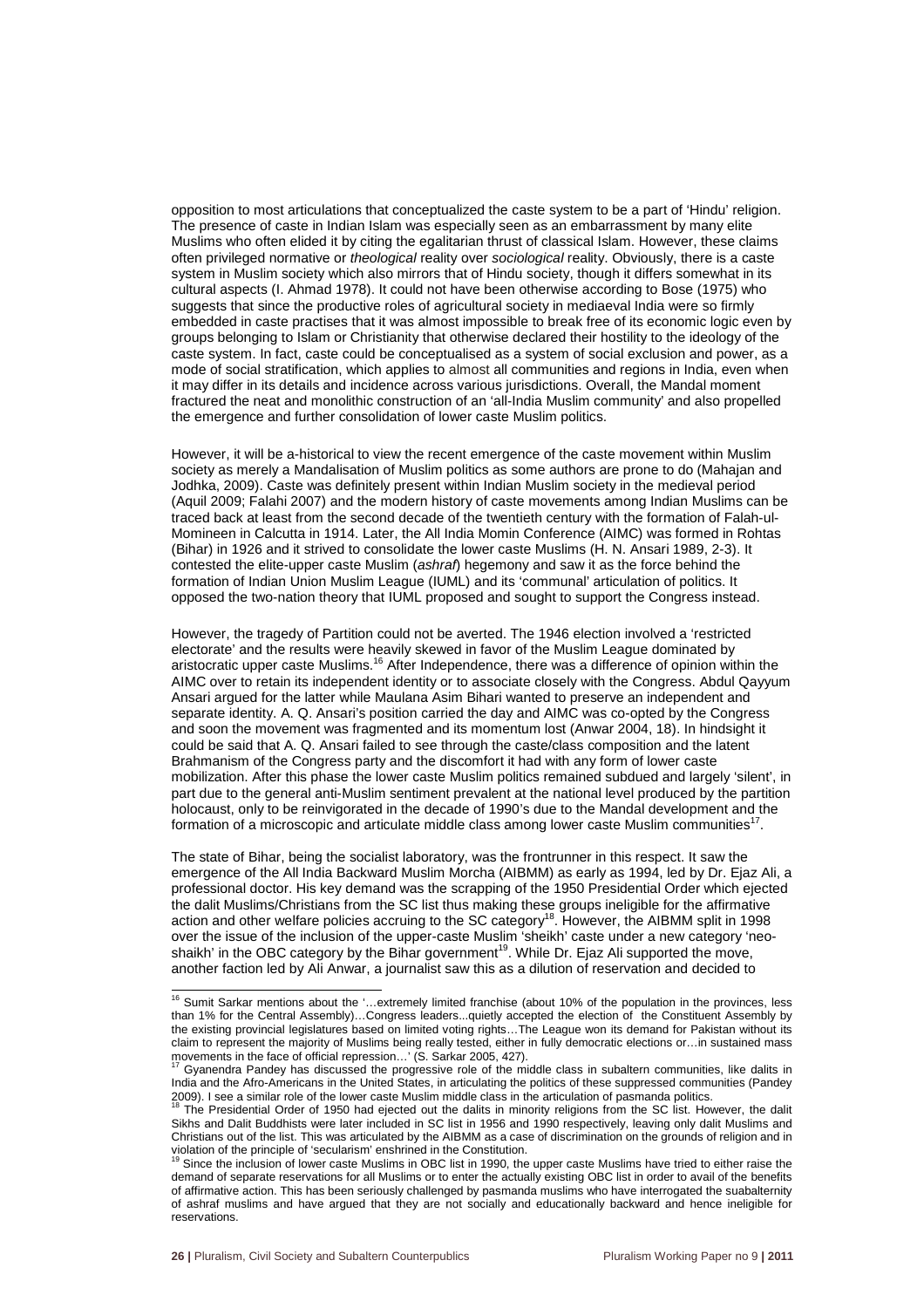opposition to most articulations that conceptualized the caste system to be a part of 'Hindu' religion. The presence of caste in Indian Islam was especially seen as an embarrassment by many elite Muslims who often elided it by citing the egalitarian thrust of classical Islam. However, these claims often privileged normative or *theological* reality over sociological reality. Obviously, there is a caste system in Muslim society which also mirrors that of Hindu society, though it differs somewhat in its cultural aspects (I. Ahmad 1978). It could not have been otherwise according to Bose (1975) who suggests that since the productive roles of agricultural society in mediaeval India were so firmly embedded in caste practises that it was almost impossible to break free of its economic logic even by groups belonging to Islam or Christianity that otherwise declared their hostility to the ideology of the caste system. In fact, caste could be conceptualised as a system of social exclusion and power, as a mode of social stratification, which applies to almost all communities and regions in India, even when it may differ in its details and incidence across various jurisdictions. Overall, the Mandal moment fractured the neat and monolithic construction of an 'all-India Muslim community' and also propelled the emergence and further consolidation of lower caste Muslim politics.

However, it will be a-historical to view the recent emergence of the caste movement within Muslim society as merely a Mandalisation of Muslim politics as some authors are prone to do (Mahajan and Jodhka, 2009). Caste was definitely present within Indian Muslim society in the medieval period (Aquil 2009; Falahi 2007) and the modern history of caste movements among Indian Muslims can be traced back at least from the second decade of the twentieth century with the formation of Falah-ul-Momineen in Calcutta in 1914. Later, the All India Momin Conference (AIMC) was formed in Rohtas (Bihar) in 1926 and it strived to consolidate the lower caste Muslims (H. N. Ansari 1989, 2-3). It contested the elite-upper caste Muslim (ashraf) hegemony and saw it as the force behind the formation of Indian Union Muslim League (IUML) and its 'communal' articulation of politics. It opposed the two-nation theory that IUML proposed and sought to support the Congress instead.

However, the tragedy of Partition could not be averted. The 1946 election involved a 'restricted electorate' and the results were heavily skewed in favor of the Muslim League dominated by aristocratic upper caste Muslims.<sup>16</sup> After Independence, there was a difference of opinion within the AIMC over to retain its independent identity or to associate closely with the Congress. Abdul Qayyum Ansari argued for the latter while Maulana Asim Bihari wanted to preserve an independent and separate identity. A. Q. Ansari's position carried the day and AIMC was co-opted by the Congress and soon the movement was fragmented and its momentum lost (Anwar 2004, 18). In hindsight it could be said that A. Q. Ansari failed to see through the caste/class composition and the latent Brahmanism of the Congress party and the discomfort it had with any form of lower caste mobilization. After this phase the lower caste Muslim politics remained subdued and largely 'silent', in part due to the general anti-Muslim sentiment prevalent at the national level produced by the partition holocaust, only to be reinvigorated in the decade of 1990's due to the Mandal development and the formation of a microscopic and articulate middle class among lower caste Muslim communities $17$ .

The state of Bihar, being the socialist laboratory, was the frontrunner in this respect. It saw the emergence of the All India Backward Muslim Morcha (AIBMM) as early as 1994, led by Dr. Ejaz Ali, a professional doctor. His key demand was the scrapping of the 1950 Presidential Order which ejected the dalit Muslims/Christians from the SC list thus making these groups ineligible for the affirmative action and other welfare policies accruing to the SC category<sup>18</sup>. However, the AIBMM split in 1998 over the issue of the inclusion of the upper-caste Muslim 'sheikh' caste under a new category 'neoshaikh' in the OBC category by the Bihar government<sup>19</sup>. While Dr. Ejaz Ali supported the move, another faction led by Ali Anwar, a journalist saw this as a dilution of reservation and decided to

l

 $16$  Sumit Sarkar mentions about the '...extremely limited franchise (about 10% of the population in the provinces, less than 1% for the Central Assembly)…Congress leaders...quietly accepted the election of the Constituent Assembly by the existing provincial legislatures based on limited voting rights…The League won its demand for Pakistan without its claim to represent the majority of Muslims being really tested, either in fully democratic elections or…in sustained mass mants in the face of official repression...' (S. Sarkar 2005, 427).<br>movements in the face of official repression...' (S. Sarkar 2005, 427).

Gyanendra Pandey has discussed the progressive role of the middle class in subaltern communities, like dalits in India and the Afro-Americans in the United States, in articulating the politics of these suppressed communities (Pandey 2009). I see a similar role of the lower caste Muslim middle class in the articulation of pasmanda politics.

The Presidential Order of 1950 had ejected out the dalits in minority religions from the SC list. However, the dalit Sikhs and Dalit Buddhists were later included in SC list in 1956 and 1990 respectively, leaving only dalit Muslims and Christians out of the list. This was articulated by the AIBMM as a case of discrimination on the grounds of religion and in violation of the principle of 'secularism' enshrined in the Constitution.<br><sup>19</sup> Since the inclusion of lower caste Muslims in OBC list in 1990, the upper caste Muslims have tried to either raise the

demand of separate reservations for all Muslims or to enter the actually existing OBC list in order to avail of the benefits of affirmative action. This has been seriously challenged by pasmanda muslims who have interrogated the suabalternity of ashraf muslims and have argued that they are not socially and educationally backward and hence ineligible for reservations.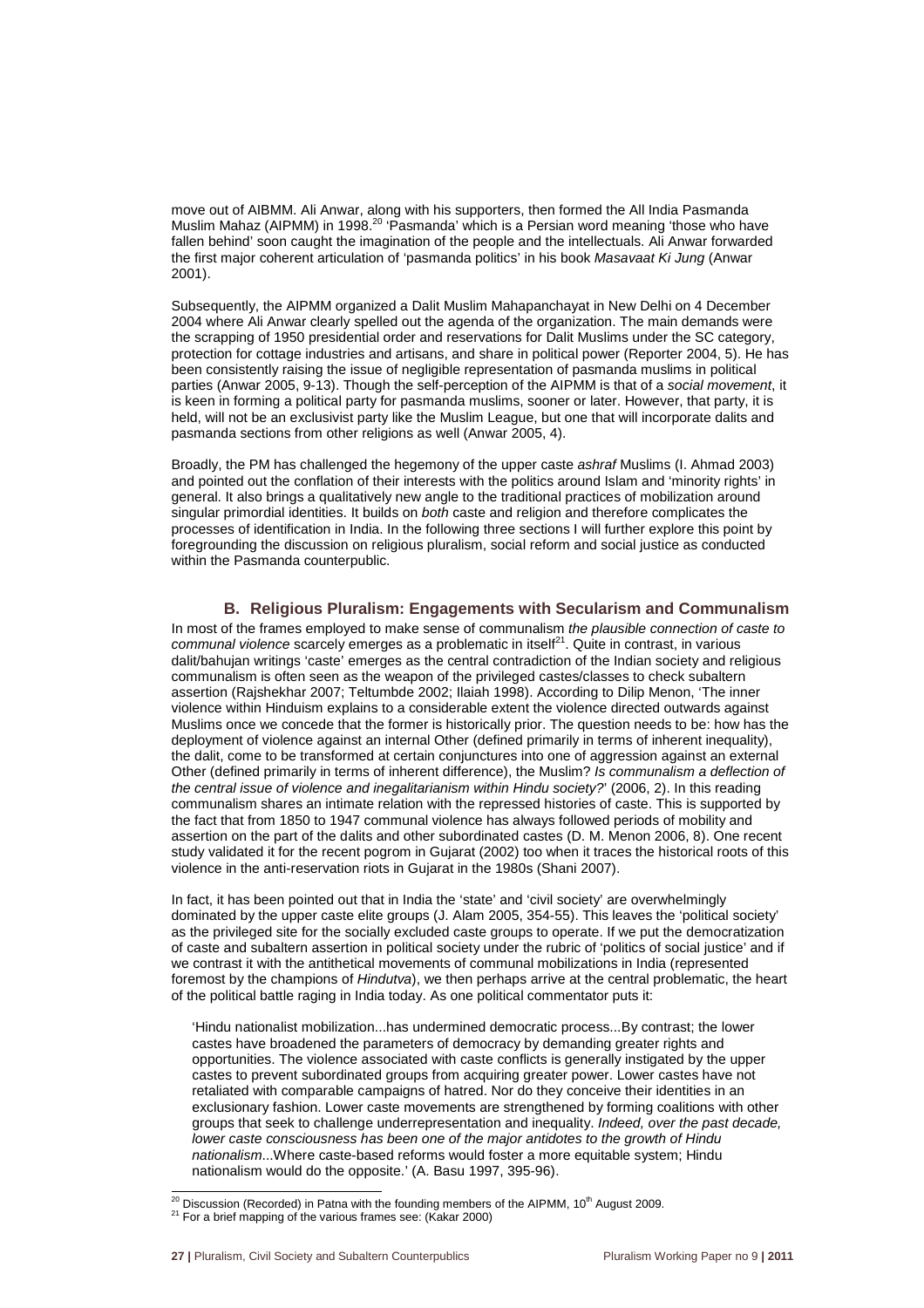move out of AIBMM. Ali Anwar, along with his supporters, then formed the All India Pasmanda Muslim Mahaz (AIPMM) in 1998.<sup>20</sup> 'Pasmanda' which is a Persian word meaning 'those who have fallen behind' soon caught the imagination of the people and the intellectuals. Ali Anwar forwarded the first major coherent articulation of 'pasmanda politics' in his book Masavaat Ki Jung (Anwar 2001).

Subsequently, the AIPMM organized a Dalit Muslim Mahapanchayat in New Delhi on 4 December 2004 where Ali Anwar clearly spelled out the agenda of the organization. The main demands were the scrapping of 1950 presidential order and reservations for Dalit Muslims under the SC category, protection for cottage industries and artisans, and share in political power (Reporter 2004, 5). He has been consistently raising the issue of negligible representation of pasmanda muslims in political parties (Anwar 2005, 9-13). Though the self-perception of the AIPMM is that of a social movement, it is keen in forming a political party for pasmanda muslims, sooner or later. However, that party, it is held, will not be an exclusivist party like the Muslim League, but one that will incorporate dalits and pasmanda sections from other religions as well (Anwar 2005, 4).

Broadly, the PM has challenged the hegemony of the upper caste ashraf Muslims (I. Ahmad 2003) and pointed out the conflation of their interests with the politics around Islam and 'minority rights' in general. It also brings a qualitatively new angle to the traditional practices of mobilization around singular primordial identities. It builds on both caste and religion and therefore complicates the processes of identification in India. In the following three sections I will further explore this point by foregrounding the discussion on religious pluralism, social reform and social justice as conducted within the Pasmanda counterpublic.

#### **B. Religious Pluralism: Engagements with Secularism and Communalism**

In most of the frames employed to make sense of communalism the plausible connection of caste to communal violence scarcely emerges as a problematic in itself<sup>21</sup>. Quite in contrast, in various dalit/bahujan writings 'caste' emerges as the central contradiction of the Indian society and religious communalism is often seen as the weapon of the privileged castes/classes to check subaltern assertion (Rajshekhar 2007; Teltumbde 2002; Ilaiah 1998). According to Dilip Menon, 'The inner violence within Hinduism explains to a considerable extent the violence directed outwards against Muslims once we concede that the former is historically prior. The question needs to be: how has the deployment of violence against an internal Other (defined primarily in terms of inherent inequality), the dalit, come to be transformed at certain conjunctures into one of aggression against an external Other (defined primarily in terms of inherent difference), the Muslim? Is communalism a deflection of the central issue of violence and inegalitarianism within Hindu society?' (2006, 2). In this reading communalism shares an intimate relation with the repressed histories of caste. This is supported by the fact that from 1850 to 1947 communal violence has always followed periods of mobility and assertion on the part of the dalits and other subordinated castes (D. M. Menon 2006, 8). One recent study validated it for the recent pogrom in Gujarat (2002) too when it traces the historical roots of this violence in the anti-reservation riots in Gujarat in the 1980s (Shani 2007).

In fact, it has been pointed out that in India the 'state' and 'civil society' are overwhelmingly dominated by the upper caste elite groups (J. Alam 2005, 354-55). This leaves the 'political society' as the privileged site for the socially excluded caste groups to operate. If we put the democratization of caste and subaltern assertion in political society under the rubric of 'politics of social justice' and if we contrast it with the antithetical movements of communal mobilizations in India (represented foremost by the champions of Hindutva), we then perhaps arrive at the central problematic, the heart of the political battle raging in India today. As one political commentator puts it:

'Hindu nationalist mobilization...has undermined democratic process...By contrast; the lower castes have broadened the parameters of democracy by demanding greater rights and opportunities. The violence associated with caste conflicts is generally instigated by the upper castes to prevent subordinated groups from acquiring greater power. Lower castes have not retaliated with comparable campaigns of hatred. Nor do they conceive their identities in an exclusionary fashion. Lower caste movements are strengthened by forming coalitions with other groups that seek to challenge underrepresentation and inequality. Indeed, over the past decade, lower caste consciousness has been one of the major antidotes to the growth of Hindu nationalism...Where caste-based reforms would foster a more equitable system; Hindu nationalism would do the opposite.' (A. Basu 1997, 395-96).

l  $^{20}$  Discussion (Recorded) in Patna with the founding members of the AIPMM, 10<sup>th</sup> August 2009.

<sup>&</sup>lt;sup>21</sup> For a brief mapping of the various frames see: (Kakar 2000)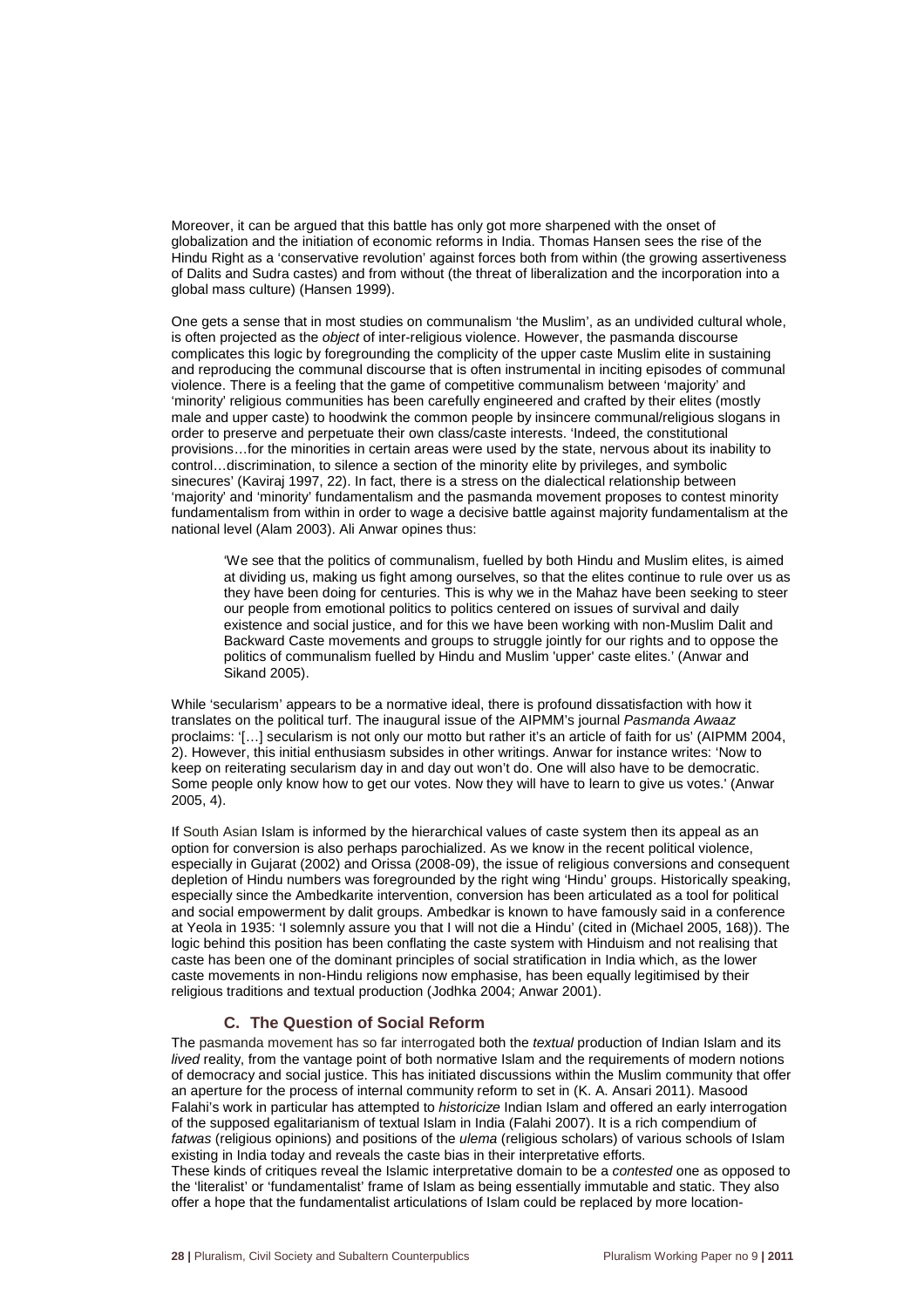Moreover, it can be argued that this battle has only got more sharpened with the onset of globalization and the initiation of economic reforms in India. Thomas Hansen sees the rise of the Hindu Right as a 'conservative revolution' against forces both from within (the growing assertiveness of Dalits and Sudra castes) and from without (the threat of liberalization and the incorporation into a global mass culture) (Hansen 1999).

One gets a sense that in most studies on communalism 'the Muslim', as an undivided cultural whole, is often projected as the *object* of inter-religious violence. However, the pasmanda discourse complicates this logic by foregrounding the complicity of the upper caste Muslim elite in sustaining and reproducing the communal discourse that is often instrumental in inciting episodes of communal violence. There is a feeling that the game of competitive communalism between 'majority' and 'minority' religious communities has been carefully engineered and crafted by their elites (mostly male and upper caste) to hoodwink the common people by insincere communal/religious slogans in order to preserve and perpetuate their own class/caste interests. 'Indeed, the constitutional provisions…for the minorities in certain areas were used by the state, nervous about its inability to control…discrimination, to silence a section of the minority elite by privileges, and symbolic sinecures' (Kaviraj 1997, 22). In fact, there is a stress on the dialectical relationship between 'majority' and 'minority' fundamentalism and the pasmanda movement proposes to contest minority fundamentalism from within in order to wage a decisive battle against majority fundamentalism at the national level (Alam 2003). Ali Anwar opines thus:

'We see that the politics of communalism, fuelled by both Hindu and Muslim elites, is aimed at dividing us, making us fight among ourselves, so that the elites continue to rule over us as they have been doing for centuries. This is why we in the Mahaz have been seeking to steer our people from emotional politics to politics centered on issues of survival and daily existence and social justice, and for this we have been working with non-Muslim Dalit and Backward Caste movements and groups to struggle jointly for our rights and to oppose the politics of communalism fuelled by Hindu and Muslim 'upper' caste elites.' (Anwar and Sikand 2005).

While 'secularism' appears to be a normative ideal, there is profound dissatisfaction with how it translates on the political turf. The inaugural issue of the AIPMM's journal Pasmanda Awaaz proclaims: '[…] secularism is not only our motto but rather it's an article of faith for us' (AIPMM 2004, 2). However, this initial enthusiasm subsides in other writings. Anwar for instance writes: 'Now to keep on reiterating secularism day in and day out won't do. One will also have to be democratic. Some people only know how to get our votes. Now they will have to learn to give us votes.' (Anwar 2005, 4).

If South Asian Islam is informed by the hierarchical values of caste system then its appeal as an option for conversion is also perhaps parochialized. As we know in the recent political violence, especially in Gujarat (2002) and Orissa (2008-09), the issue of religious conversions and consequent depletion of Hindu numbers was foregrounded by the right wing 'Hindu' groups. Historically speaking, especially since the Ambedkarite intervention, conversion has been articulated as a tool for political and social empowerment by dalit groups. Ambedkar is known to have famously said in a conference at Yeola in 1935: 'I solemnly assure you that I will not die a Hindu' (cited in (Michael 2005, 168)). The logic behind this position has been conflating the caste system with Hinduism and not realising that caste has been one of the dominant principles of social stratification in India which, as the lower caste movements in non-Hindu religions now emphasise, has been equally legitimised by their religious traditions and textual production (Jodhka 2004; Anwar 2001).

#### **C. The Question of Social Reform**

The pasmanda movement has so far interrogated both the *textual* production of Indian Islam and its lived reality, from the vantage point of both normative Islam and the requirements of modern notions of democracy and social justice. This has initiated discussions within the Muslim community that offer an aperture for the process of internal community reform to set in (K. A. Ansari 2011). Masood Falahi's work in particular has attempted to historicize Indian Islam and offered an early interrogation of the supposed egalitarianism of textual Islam in India (Falahi 2007). It is a rich compendium of fatwas (religious opinions) and positions of the *ulema* (religious scholars) of various schools of Islam existing in India today and reveals the caste bias in their interpretative efforts.

These kinds of critiques reveal the Islamic interpretative domain to be a contested one as opposed to the 'literalist' or 'fundamentalist' frame of Islam as being essentially immutable and static. They also offer a hope that the fundamentalist articulations of Islam could be replaced by more location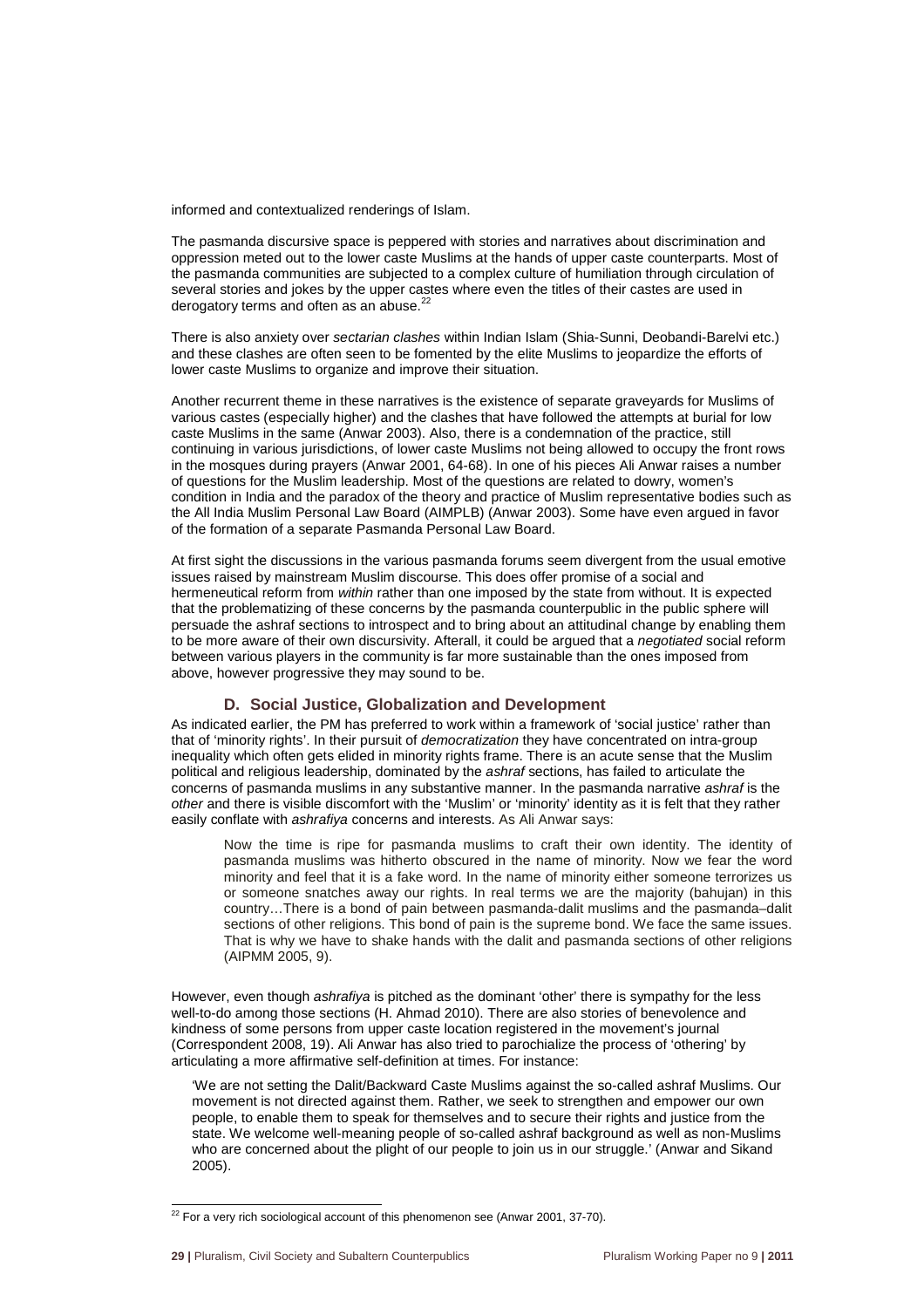informed and contextualized renderings of Islam.

The pasmanda discursive space is peppered with stories and narratives about discrimination and oppression meted out to the lower caste Muslims at the hands of upper caste counterparts. Most of the pasmanda communities are subjected to a complex culture of humiliation through circulation of several stories and jokes by the upper castes where even the titles of their castes are used in derogatory terms and often as an abuse.<sup>2</sup>

There is also anxiety over sectarian clashes within Indian Islam (Shia-Sunni, Deobandi-Barelvi etc.) and these clashes are often seen to be fomented by the elite Muslims to jeopardize the efforts of lower caste Muslims to organize and improve their situation.

Another recurrent theme in these narratives is the existence of separate graveyards for Muslims of various castes (especially higher) and the clashes that have followed the attempts at burial for low caste Muslims in the same (Anwar 2003). Also, there is a condemnation of the practice, still continuing in various jurisdictions, of lower caste Muslims not being allowed to occupy the front rows in the mosques during prayers (Anwar 2001, 64-68). In one of his pieces Ali Anwar raises a number of questions for the Muslim leadership. Most of the questions are related to dowry, women's condition in India and the paradox of the theory and practice of Muslim representative bodies such as the All India Muslim Personal Law Board (AIMPLB) (Anwar 2003). Some have even argued in favor of the formation of a separate Pasmanda Personal Law Board.

At first sight the discussions in the various pasmanda forums seem divergent from the usual emotive issues raised by mainstream Muslim discourse. This does offer promise of a social and hermeneutical reform from within rather than one imposed by the state from without. It is expected that the problematizing of these concerns by the pasmanda counterpublic in the public sphere will persuade the ashraf sections to introspect and to bring about an attitudinal change by enabling them to be more aware of their own discursivity. Afterall, it could be argued that a negotiated social reform between various players in the community is far more sustainable than the ones imposed from above, however progressive they may sound to be.

#### **D. Social Justice, Globalization and Development**

As indicated earlier, the PM has preferred to work within a framework of 'social justice' rather than that of 'minority rights'. In their pursuit of democratization they have concentrated on intra-group inequality which often gets elided in minority rights frame. There is an acute sense that the Muslim political and religious leadership, dominated by the ashraf sections, has failed to articulate the concerns of pasmanda muslims in any substantive manner. In the pasmanda narrative ashraf is the other and there is visible discomfort with the 'Muslim' or 'minority' identity as it is felt that they rather easily conflate with ashrafiya concerns and interests. As Ali Anwar says:

Now the time is ripe for pasmanda muslims to craft their own identity. The identity of pasmanda muslims was hitherto obscured in the name of minority. Now we fear the word minority and feel that it is a fake word. In the name of minority either someone terrorizes us or someone snatches away our rights. In real terms we are the majority (bahujan) in this country…There is a bond of pain between pasmanda-dalit muslims and the pasmanda–dalit sections of other religions. This bond of pain is the supreme bond. We face the same issues. That is why we have to shake hands with the dalit and pasmanda sections of other religions (AIPMM 2005, 9).

However, even though *ashrafiya* is pitched as the dominant 'other' there is sympathy for the less well-to-do among those sections (H. Ahmad 2010). There are also stories of benevolence and kindness of some persons from upper caste location registered in the movement's journal (Correspondent 2008, 19). Ali Anwar has also tried to parochialize the process of 'othering' by articulating a more affirmative self-definition at times. For instance:

'We are not setting the Dalit/Backward Caste Muslims against the so-called ashraf Muslims. Our movement is not directed against them. Rather, we seek to strengthen and empower our own people, to enable them to speak for themselves and to secure their rights and justice from the state. We welcome well-meaning people of so-called ashraf background as well as non-Muslims who are concerned about the plight of our people to join us in our struggle.' (Anwar and Sikand 2005).

l

 $22$  For a very rich sociological account of this phenomenon see (Anwar 2001, 37-70).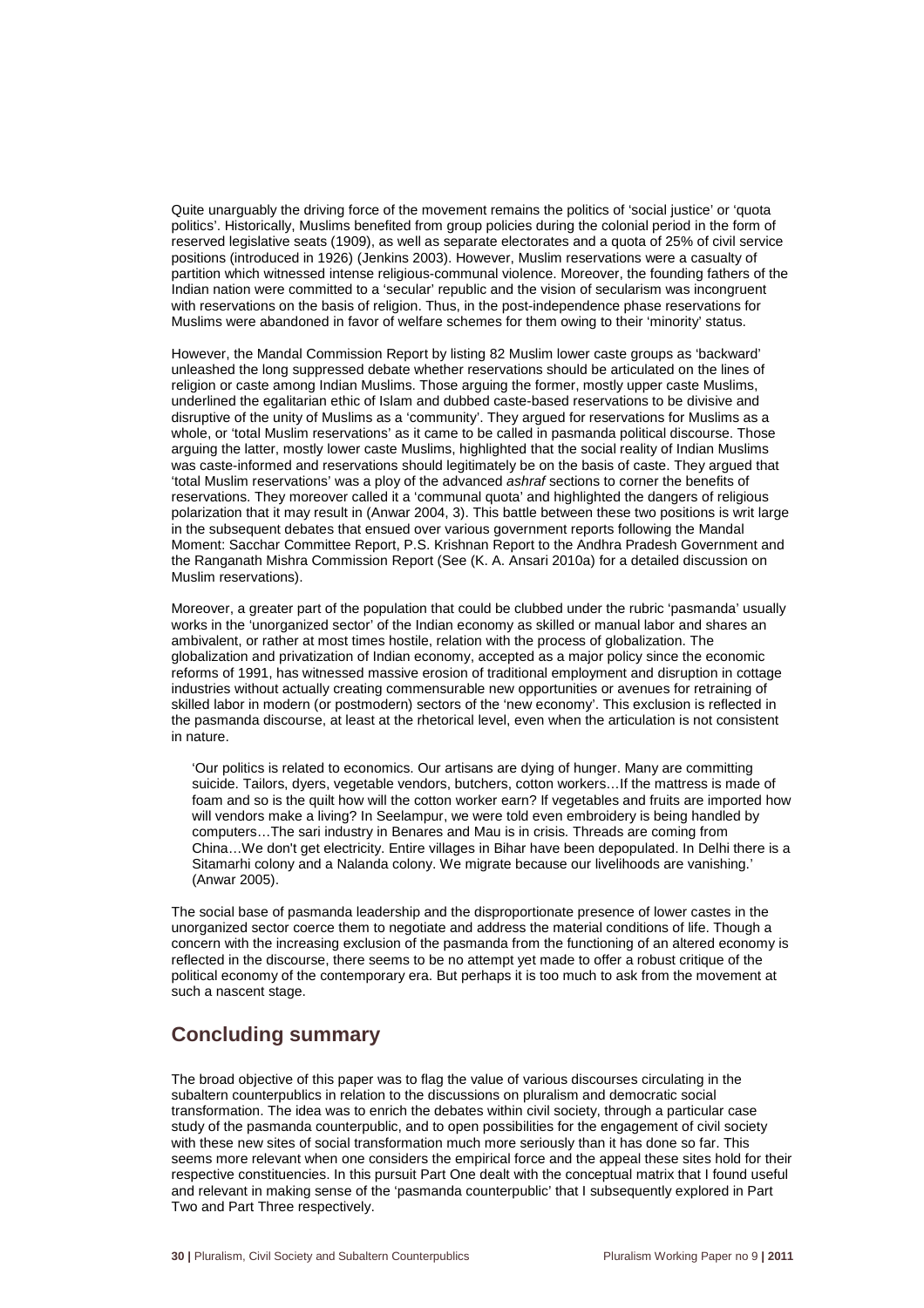Quite unarguably the driving force of the movement remains the politics of 'social justice' or 'quota politics'. Historically, Muslims benefited from group policies during the colonial period in the form of reserved legislative seats (1909), as well as separate electorates and a quota of 25% of civil service positions (introduced in 1926) (Jenkins 2003). However, Muslim reservations were a casualty of partition which witnessed intense religious-communal violence. Moreover, the founding fathers of the Indian nation were committed to a 'secular' republic and the vision of secularism was incongruent with reservations on the basis of religion. Thus, in the post-independence phase reservations for Muslims were abandoned in favor of welfare schemes for them owing to their 'minority' status.

However, the Mandal Commission Report by listing 82 Muslim lower caste groups as 'backward' unleashed the long suppressed debate whether reservations should be articulated on the lines of religion or caste among Indian Muslims. Those arguing the former, mostly upper caste Muslims, underlined the egalitarian ethic of Islam and dubbed caste-based reservations to be divisive and disruptive of the unity of Muslims as a 'community'. They argued for reservations for Muslims as a whole, or 'total Muslim reservations' as it came to be called in pasmanda political discourse. Those arguing the latter, mostly lower caste Muslims, highlighted that the social reality of Indian Muslims was caste-informed and reservations should legitimately be on the basis of caste. They argued that 'total Muslim reservations' was a ploy of the advanced ashraf sections to corner the benefits of reservations. They moreover called it a 'communal quota' and highlighted the dangers of religious polarization that it may result in (Anwar 2004, 3). This battle between these two positions is writ large in the subsequent debates that ensued over various government reports following the Mandal Moment: Sacchar Committee Report, P.S. Krishnan Report to the Andhra Pradesh Government and the Ranganath Mishra Commission Report (See (K. A. Ansari 2010a) for a detailed discussion on Muslim reservations).

Moreover, a greater part of the population that could be clubbed under the rubric 'pasmanda' usually works in the 'unorganized sector' of the Indian economy as skilled or manual labor and shares an ambivalent, or rather at most times hostile, relation with the process of globalization. The globalization and privatization of Indian economy, accepted as a major policy since the economic reforms of 1991, has witnessed massive erosion of traditional employment and disruption in cottage industries without actually creating commensurable new opportunities or avenues for retraining of skilled labor in modern (or postmodern) sectors of the 'new economy'. This exclusion is reflected in the pasmanda discourse, at least at the rhetorical level, even when the articulation is not consistent in nature.

'Our politics is related to economics. Our artisans are dying of hunger. Many are committing suicide. Tailors, dyers, vegetable vendors, butchers, cotton workers…If the mattress is made of foam and so is the quilt how will the cotton worker earn? If vegetables and fruits are imported how will vendors make a living? In Seelampur, we were told even embroidery is being handled by computers…The sari industry in Benares and Mau is in crisis. Threads are coming from China…We don't get electricity. Entire villages in Bihar have been depopulated. In Delhi there is a Sitamarhi colony and a Nalanda colony. We migrate because our livelihoods are vanishing.' (Anwar 2005).

The social base of pasmanda leadership and the disproportionate presence of lower castes in the unorganized sector coerce them to negotiate and address the material conditions of life. Though a concern with the increasing exclusion of the pasmanda from the functioning of an altered economy is reflected in the discourse, there seems to be no attempt yet made to offer a robust critique of the political economy of the contemporary era. But perhaps it is too much to ask from the movement at such a nascent stage.

# **Concluding summary**

The broad objective of this paper was to flag the value of various discourses circulating in the subaltern counterpublics in relation to the discussions on pluralism and democratic social transformation. The idea was to enrich the debates within civil society, through a particular case study of the pasmanda counterpublic, and to open possibilities for the engagement of civil society with these new sites of social transformation much more seriously than it has done so far. This seems more relevant when one considers the empirical force and the appeal these sites hold for their respective constituencies. In this pursuit Part One dealt with the conceptual matrix that I found useful and relevant in making sense of the 'pasmanda counterpublic' that I subsequently explored in Part Two and Part Three respectively.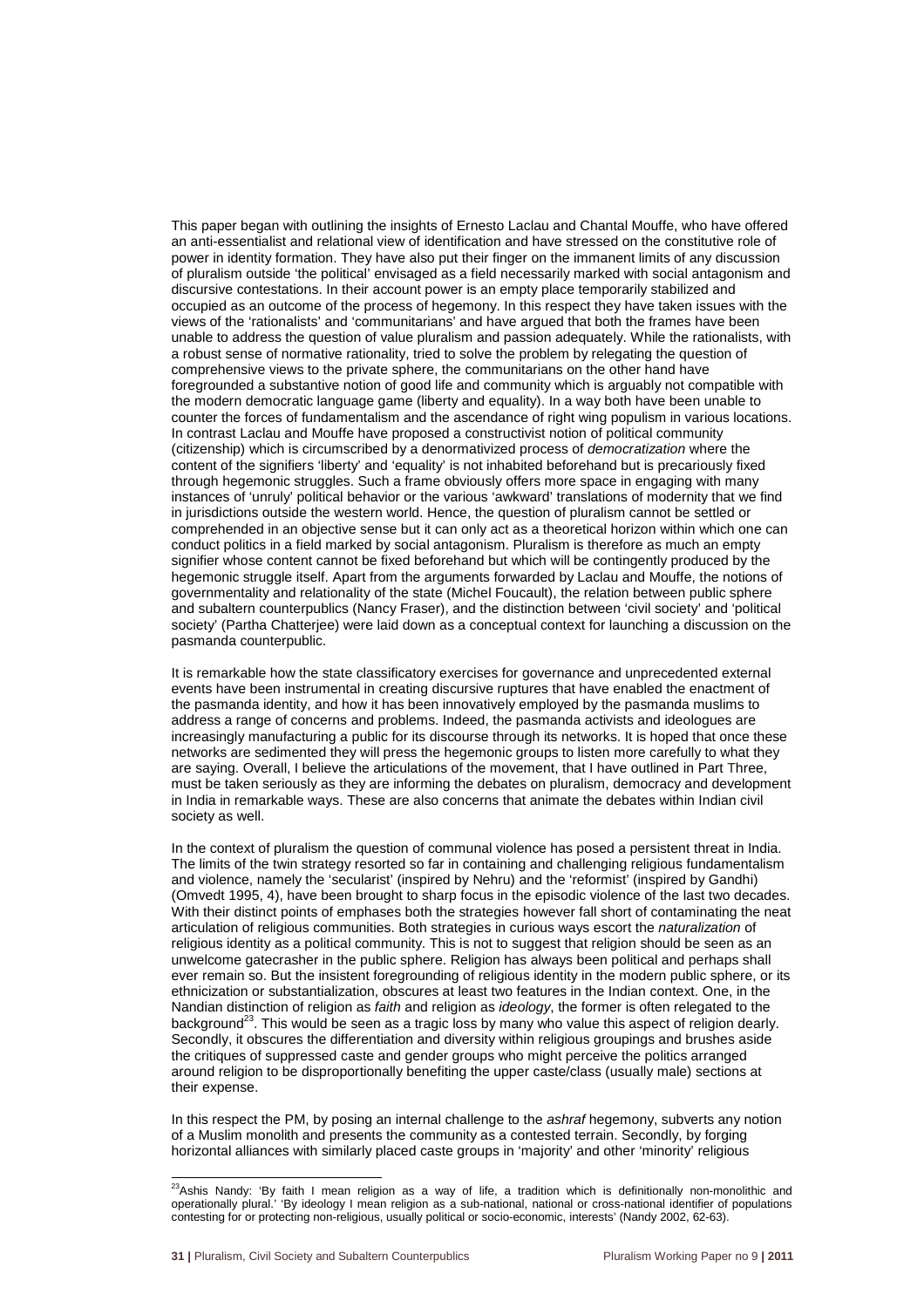This paper began with outlining the insights of Ernesto Laclau and Chantal Mouffe, who have offered an anti-essentialist and relational view of identification and have stressed on the constitutive role of power in identity formation. They have also put their finger on the immanent limits of any discussion of pluralism outside 'the political' envisaged as a field necessarily marked with social antagonism and discursive contestations. In their account power is an empty place temporarily stabilized and occupied as an outcome of the process of hegemony. In this respect they have taken issues with the views of the 'rationalists' and 'communitarians' and have argued that both the frames have been unable to address the question of value pluralism and passion adequately. While the rationalists, with a robust sense of normative rationality, tried to solve the problem by relegating the question of comprehensive views to the private sphere, the communitarians on the other hand have foregrounded a substantive notion of good life and community which is arguably not compatible with the modern democratic language game (liberty and equality). In a way both have been unable to counter the forces of fundamentalism and the ascendance of right wing populism in various locations. In contrast Laclau and Mouffe have proposed a constructivist notion of political community (citizenship) which is circumscribed by a denormativized process of democratization where the content of the signifiers 'liberty' and 'equality' is not inhabited beforehand but is precariously fixed through hegemonic struggles. Such a frame obviously offers more space in engaging with many instances of 'unruly' political behavior or the various 'awkward' translations of modernity that we find in jurisdictions outside the western world. Hence, the question of pluralism cannot be settled or comprehended in an objective sense but it can only act as a theoretical horizon within which one can conduct politics in a field marked by social antagonism. Pluralism is therefore as much an empty signifier whose content cannot be fixed beforehand but which will be contingently produced by the hegemonic struggle itself. Apart from the arguments forwarded by Laclau and Mouffe, the notions of governmentality and relationality of the state (Michel Foucault), the relation between public sphere and subaltern counterpublics (Nancy Fraser), and the distinction between 'civil society' and 'political society' (Partha Chatterjee) were laid down as a conceptual context for launching a discussion on the pasmanda counterpublic.

It is remarkable how the state classificatory exercises for governance and unprecedented external events have been instrumental in creating discursive ruptures that have enabled the enactment of the pasmanda identity, and how it has been innovatively employed by the pasmanda muslims to address a range of concerns and problems. Indeed, the pasmanda activists and ideologues are increasingly manufacturing a public for its discourse through its networks. It is hoped that once these networks are sedimented they will press the hegemonic groups to listen more carefully to what they are saying. Overall, I believe the articulations of the movement, that I have outlined in Part Three, must be taken seriously as they are informing the debates on pluralism, democracy and development in India in remarkable ways. These are also concerns that animate the debates within Indian civil society as well.

In the context of pluralism the question of communal violence has posed a persistent threat in India. The limits of the twin strategy resorted so far in containing and challenging religious fundamentalism and violence, namely the 'secularist' (inspired by Nehru) and the 'reformist' (inspired by Gandhi) (Omvedt 1995, 4), have been brought to sharp focus in the episodic violence of the last two decades. With their distinct points of emphases both the strategies however fall short of contaminating the neat articulation of religious communities. Both strategies in curious ways escort the naturalization of religious identity as a political community. This is not to suggest that religion should be seen as an unwelcome gatecrasher in the public sphere. Religion has always been political and perhaps shall ever remain so. But the insistent foregrounding of religious identity in the modern public sphere, or its ethnicization or substantialization, obscures at least two features in the Indian context. One, in the Nandian distinction of religion as faith and religion as *ideology*, the former is often relegated to the background<sup>23</sup>. This would be seen as a tragic loss by many who value this aspect of religion dearly. Secondly, it obscures the differentiation and diversity within religious groupings and brushes aside the critiques of suppressed caste and gender groups who might perceive the politics arranged around religion to be disproportionally benefiting the upper caste/class (usually male) sections at their expense.

In this respect the PM, by posing an internal challenge to the *ashraf* hegemony, subverts any notion of a Muslim monolith and presents the community as a contested terrain. Secondly, by forging horizontal alliances with similarly placed caste groups in 'majority' and other 'minority' religious

l  $^{23}$ Ashis Nandy: 'By faith I mean religion as a way of life, a tradition which is definitionally non-monolithic and operationally plural.' 'By ideology I mean religion as a sub-national, national or cross-national identifier of populations contesting for or protecting non-religious, usually political or socio-economic, interests' (Nandy 2002, 62-63).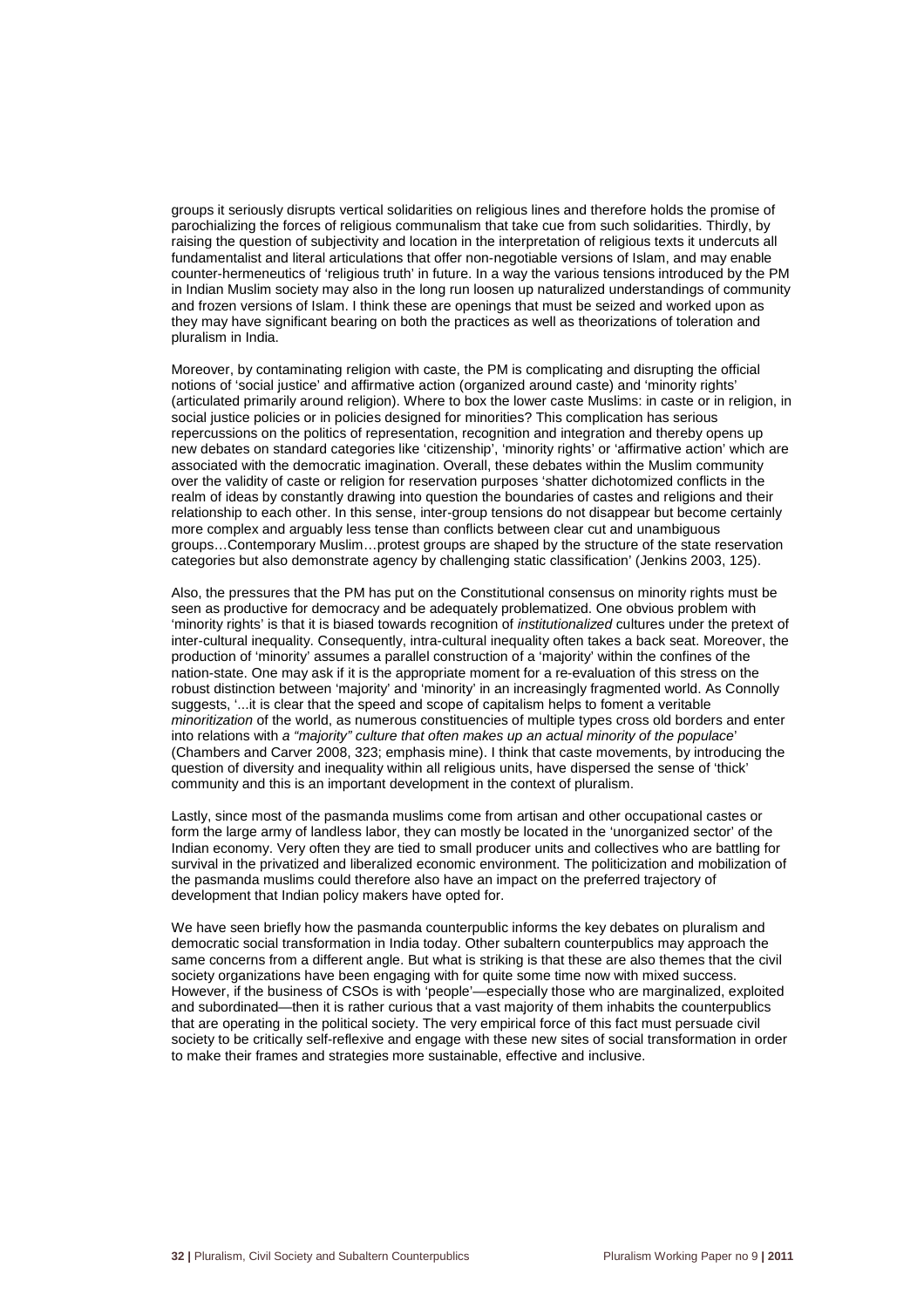groups it seriously disrupts vertical solidarities on religious lines and therefore holds the promise of parochializing the forces of religious communalism that take cue from such solidarities. Thirdly, by raising the question of subjectivity and location in the interpretation of religious texts it undercuts all fundamentalist and literal articulations that offer non-negotiable versions of Islam, and may enable counter-hermeneutics of 'religious truth' in future. In a way the various tensions introduced by the PM in Indian Muslim society may also in the long run loosen up naturalized understandings of community and frozen versions of Islam. I think these are openings that must be seized and worked upon as they may have significant bearing on both the practices as well as theorizations of toleration and pluralism in India.

Moreover, by contaminating religion with caste, the PM is complicating and disrupting the official notions of 'social justice' and affirmative action (organized around caste) and 'minority rights' (articulated primarily around religion). Where to box the lower caste Muslims: in caste or in religion, in social justice policies or in policies designed for minorities? This complication has serious repercussions on the politics of representation, recognition and integration and thereby opens up new debates on standard categories like 'citizenship', 'minority rights' or 'affirmative action' which are associated with the democratic imagination. Overall, these debates within the Muslim community over the validity of caste or religion for reservation purposes 'shatter dichotomized conflicts in the realm of ideas by constantly drawing into question the boundaries of castes and religions and their relationship to each other. In this sense, inter-group tensions do not disappear but become certainly more complex and arguably less tense than conflicts between clear cut and unambiguous groups…Contemporary Muslim…protest groups are shaped by the structure of the state reservation categories but also demonstrate agency by challenging static classification' (Jenkins 2003, 125).

Also, the pressures that the PM has put on the Constitutional consensus on minority rights must be seen as productive for democracy and be adequately problematized. One obvious problem with 'minority rights' is that it is biased towards recognition of institutionalized cultures under the pretext of inter-cultural inequality. Consequently, intra-cultural inequality often takes a back seat. Moreover, the production of 'minority' assumes a parallel construction of a 'majority' within the confines of the nation-state. One may ask if it is the appropriate moment for a re-evaluation of this stress on the robust distinction between 'majority' and 'minority' in an increasingly fragmented world. As Connolly suggests, '...it is clear that the speed and scope of capitalism helps to foment a veritable minoritization of the world, as numerous constituencies of multiple types cross old borders and enter into relations with a "majority" culture that often makes up an actual minority of the populace' (Chambers and Carver 2008, 323; emphasis mine). I think that caste movements, by introducing the question of diversity and inequality within all religious units, have dispersed the sense of 'thick' community and this is an important development in the context of pluralism.

Lastly, since most of the pasmanda muslims come from artisan and other occupational castes or form the large army of landless labor, they can mostly be located in the 'unorganized sector' of the Indian economy. Very often they are tied to small producer units and collectives who are battling for survival in the privatized and liberalized economic environment. The politicization and mobilization of the pasmanda muslims could therefore also have an impact on the preferred trajectory of development that Indian policy makers have opted for.

We have seen briefly how the pasmanda counterpublic informs the key debates on pluralism and democratic social transformation in India today. Other subaltern counterpublics may approach the same concerns from a different angle. But what is striking is that these are also themes that the civil society organizations have been engaging with for quite some time now with mixed success. However, if the business of CSOs is with 'people'—especially those who are marginalized, exploited and subordinated—then it is rather curious that a vast majority of them inhabits the counterpublics that are operating in the political society. The very empirical force of this fact must persuade civil society to be critically self-reflexive and engage with these new sites of social transformation in order to make their frames and strategies more sustainable, effective and inclusive.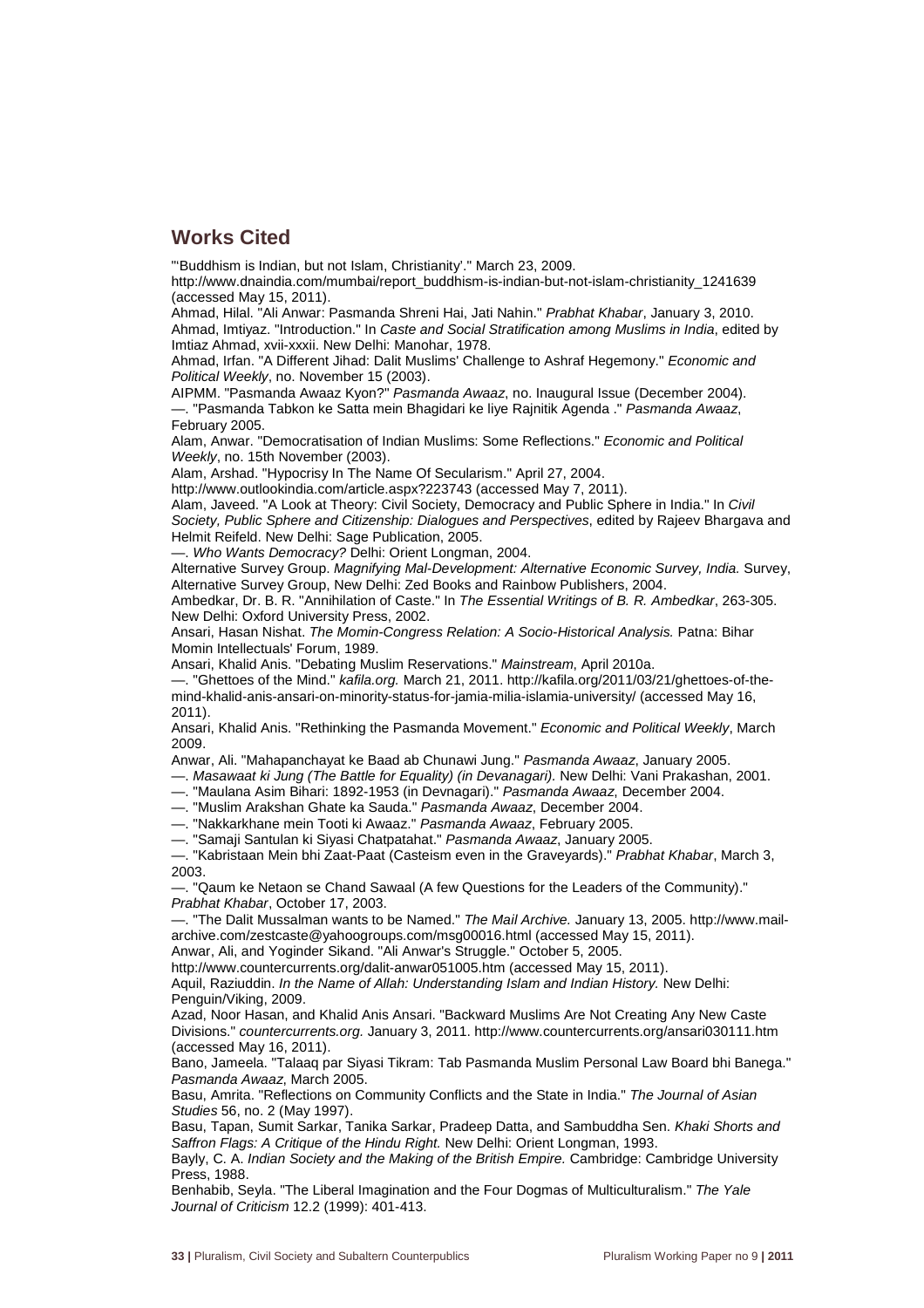### **Works Cited**

"'Buddhism is Indian, but not Islam, Christianity'." March 23, 2009.

http://www.dnaindia.com/mumbai/report\_buddhism-is-indian-but-not-islam-christianity\_1241639 (accessed May 15, 2011).

Ahmad, Hilal. "Ali Anwar: Pasmanda Shreni Hai, Jati Nahin." Prabhat Khabar, January 3, 2010. Ahmad, Imtiyaz. "Introduction." In Caste and Social Stratification among Muslims in India, edited by Imtiaz Ahmad, xvii-xxxii. New Delhi: Manohar, 1978.

Ahmad, Irfan. "A Different Jihad: Dalit Muslims' Challenge to Ashraf Hegemony." Economic and Political Weekly, no. November 15 (2003).

AIPMM. "Pasmanda Awaaz Kyon?" Pasmanda Awaaz, no. Inaugural Issue (December 2004). —. "Pasmanda Tabkon ke Satta mein Bhagidari ke liye Rajnitik Agenda ." Pasmanda Awaaz, February 2005.

Alam, Anwar. "Democratisation of Indian Muslims: Some Reflections." Economic and Political Weekly, no. 15th November (2003).

Alam, Arshad. "Hypocrisy In The Name Of Secularism." April 27, 2004.

http://www.outlookindia.com/article.aspx?223743 (accessed May 7, 2011).

Alam, Javeed. "A Look at Theory: Civil Society, Democracy and Public Sphere in India." In Civil Society, Public Sphere and Citizenship: Dialogues and Perspectives, edited by Rajeev Bhargava and Helmit Reifeld. New Delhi: Sage Publication, 2005.

—. Who Wants Democracy? Delhi: Orient Longman, 2004.

Alternative Survey Group. Magnifying Mal-Development: Alternative Economic Survey, India. Survey, Alternative Survey Group, New Delhi: Zed Books and Rainbow Publishers, 2004.

Ambedkar, Dr. B. R. "Annihilation of Caste." In The Essential Writings of B. R. Ambedkar, 263-305. New Delhi: Oxford University Press, 2002.

Ansari, Hasan Nishat. The Momin-Congress Relation: A Socio-Historical Analysis. Patna: Bihar Momin Intellectuals' Forum, 1989.

Ansari, Khalid Anis. "Debating Muslim Reservations." Mainstream, April 2010a.

—. "Ghettoes of the Mind." kafila.org. March 21, 2011. http://kafila.org/2011/03/21/ghettoes-of-themind-khalid-anis-ansari-on-minority-status-for-jamia-milia-islamia-university/ (accessed May 16, 2011).

Ansari, Khalid Anis. "Rethinking the Pasmanda Movement." Economic and Political Weekly, March 2009.

Anwar, Ali. "Mahapanchayat ke Baad ab Chunawi Jung." Pasmanda Awaaz, January 2005.

—. Masawaat ki Jung (The Battle for Equality) (in Devanagari). New Delhi: Vani Prakashan, 2001.

—. "Maulana Asim Bihari: 1892-1953 (in Devnagari)." Pasmanda Awaaz, December 2004.

—. "Muslim Arakshan Ghate ka Sauda." Pasmanda Awaaz, December 2004.

—. "Nakkarkhane mein Tooti ki Awaaz." Pasmanda Awaaz, February 2005.

—. "Samaji Santulan ki Siyasi Chatpatahat." Pasmanda Awaaz, January 2005.

-. "Kabristaan Mein bhi Zaat-Paat (Casteism even in the Graveyards)." Prabhat Khabar, March 3, 2003.

—. "Qaum ke Netaon se Chand Sawaal (A few Questions for the Leaders of the Community)." Prabhat Khabar, October 17, 2003.

—. "The Dalit Mussalman wants to be Named." The Mail Archive. January 13, 2005. http://www.mailarchive.com/zestcaste@yahoogroups.com/msg00016.html (accessed May 15, 2011).

Anwar, Ali, and Yoginder Sikand. "Ali Anwar's Struggle." October 5, 2005.

http://www.countercurrents.org/dalit-anwar051005.htm (accessed May 15, 2011). Aquil, Raziuddin. In the Name of Allah: Understanding Islam and Indian History. New Delhi: Penguin/Viking, 2009.

Azad, Noor Hasan, and Khalid Anis Ansari. "Backward Muslims Are Not Creating Any New Caste Divisions." countercurrents.org. January 3, 2011. http://www.countercurrents.org/ansari030111.htm (accessed May 16, 2011).

Bano, Jameela. "Talaaq par Siyasi Tikram: Tab Pasmanda Muslim Personal Law Board bhi Banega." Pasmanda Awaaz, March 2005.

Basu, Amrita. "Reflections on Community Conflicts and the State in India." The Journal of Asian Studies 56, no. 2 (May 1997).

Basu, Tapan, Sumit Sarkar, Tanika Sarkar, Pradeep Datta, and Sambuddha Sen. Khaki Shorts and Saffron Flags: A Critique of the Hindu Right. New Delhi: Orient Longman, 1993.

Bayly, C. A. Indian Society and the Making of the British Empire. Cambridge: Cambridge University Press, 1988.

Benhabib, Seyla. "The Liberal Imagination and the Four Dogmas of Multiculturalism." The Yale Journal of Criticism 12.2 (1999): 401-413.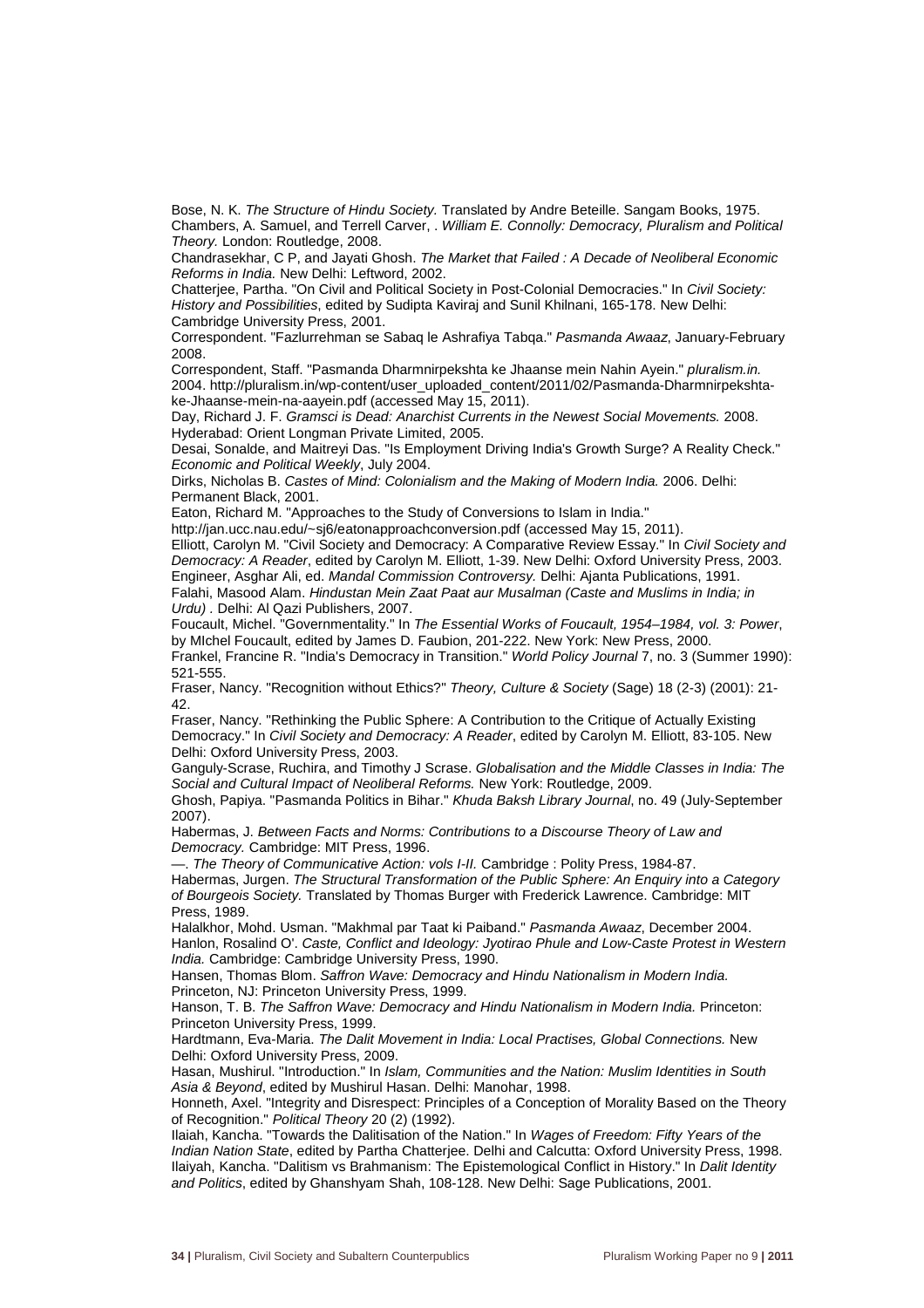Bose, N. K. The Structure of Hindu Society. Translated by Andre Beteille. Sangam Books, 1975. Chambers, A. Samuel, and Terrell Carver, . William E. Connolly: Democracy, Pluralism and Political Theory. London: Routledge, 2008.

Chandrasekhar, C P, and Jayati Ghosh. The Market that Failed : A Decade of Neoliberal Economic Reforms in India. New Delhi: Leftword, 2002.

Chatterjee, Partha. "On Civil and Political Society in Post-Colonial Democracies." In Civil Society: History and Possibilities, edited by Sudipta Kaviraj and Sunil Khilnani, 165-178. New Delhi: Cambridge University Press, 2001.

Correspondent. "Fazlurrehman se Sabaq le Ashrafiya Tabqa." Pasmanda Awaaz, January-February 2008.

Correspondent, Staff. "Pasmanda Dharmnirpekshta ke Jhaanse mein Nahin Ayein." pluralism.in. 2004. http://pluralism.in/wp-content/user\_uploaded\_content/2011/02/Pasmanda-Dharmnirpekshtake-Jhaanse-mein-na-aayein.pdf (accessed May 15, 2011).

Day, Richard J. F. Gramsci is Dead: Anarchist Currents in the Newest Social Movements. 2008. Hyderabad: Orient Longman Private Limited, 2005.

Desai, Sonalde, and Maitreyi Das. "Is Employment Driving India's Growth Surge? A Reality Check." Economic and Political Weekly, July 2004.

Dirks, Nicholas B. Castes of Mind: Colonialism and the Making of Modern India. 2006. Delhi: Permanent Black, 2001.

Eaton, Richard M. "Approaches to the Study of Conversions to Islam in India."

http://jan.ucc.nau.edu/~sj6/eatonapproachconversion.pdf (accessed May 15, 2011). Elliott, Carolyn M. "Civil Society and Democracy: A Comparative Review Essay." In Civil Society and

Democracy: A Reader, edited by Carolyn M. Elliott, 1-39. New Delhi: Oxford University Press, 2003. Engineer, Asghar Ali, ed. Mandal Commission Controversy. Delhi: Ajanta Publications, 1991. Falahi, Masood Alam. Hindustan Mein Zaat Paat aur Musalman (Caste and Muslims in India; in

Urdu) . Delhi: Al Qazi Publishers, 2007.

Foucault, Michel. "Governmentality." In The Essential Works of Foucault, 1954–1984, vol. 3: Power, by MIchel Foucault, edited by James D. Faubion, 201-222. New York: New Press, 2000.

Frankel, Francine R. "India's Democracy in Transition." World Policy Journal 7, no. 3 (Summer 1990): 521-555.

Fraser, Nancy. "Recognition without Ethics?" Theory, Culture & Society (Sage) 18 (2-3) (2001): 21- 42.

Fraser, Nancy. "Rethinking the Public Sphere: A Contribution to the Critique of Actually Existing Democracy." In Civil Society and Democracy: A Reader, edited by Carolyn M. Elliott, 83-105. New Delhi: Oxford University Press, 2003.

Ganguly-Scrase, Ruchira, and Timothy J Scrase. Globalisation and the Middle Classes in India: The Social and Cultural Impact of Neoliberal Reforms. New York: Routledge, 2009.

Ghosh, Papiya. "Pasmanda Politics in Bihar." Khuda Baksh Library Journal, no. 49 (July-September 2007).

Habermas, J. Between Facts and Norms: Contributions to a Discourse Theory of Law and Democracy. Cambridge: MIT Press, 1996.

—. The Theory of Communicative Action: vols I-II. Cambridge : Polity Press, 1984-87.

Habermas, Jurgen. The Structural Transformation of the Public Sphere: An Enquiry into a Category of Bourgeois Society. Translated by Thomas Burger with Frederick Lawrence. Cambridge: MIT Press, 1989.

Halalkhor, Mohd. Usman. "Makhmal par Taat ki Paiband." Pasmanda Awaaz, December 2004. Hanlon, Rosalind O'. Caste, Conflict and Ideology: Jyotirao Phule and Low-Caste Protest in Western India. Cambridge: Cambridge University Press, 1990.

Hansen, Thomas Blom. Saffron Wave: Democracy and Hindu Nationalism in Modern India. Princeton, NJ: Princeton University Press, 1999.

Hanson, T. B. The Saffron Wave: Democracy and Hindu Nationalism in Modern India. Princeton: Princeton University Press, 1999.

Hardtmann, Eva-Maria. The Dalit Movement in India: Local Practises, Global Connections. New Delhi: Oxford University Press, 2009.

Hasan, Mushirul. "Introduction." In Islam, Communities and the Nation: Muslim Identities in South Asia & Beyond, edited by Mushirul Hasan. Delhi: Manohar, 1998.

Honneth, Axel. "Integrity and Disrespect: Principles of a Conception of Morality Based on the Theory of Recognition." Political Theory 20 (2) (1992).

Ilaiah, Kancha. "Towards the Dalitisation of the Nation." In Wages of Freedom: Fifty Years of the Indian Nation State, edited by Partha Chatterjee. Delhi and Calcutta: Oxford University Press, 1998. Ilaiyah, Kancha. "Dalitism vs Brahmanism: The Epistemological Conflict in History." In Dalit Identity and Politics, edited by Ghanshyam Shah, 108-128. New Delhi: Sage Publications, 2001.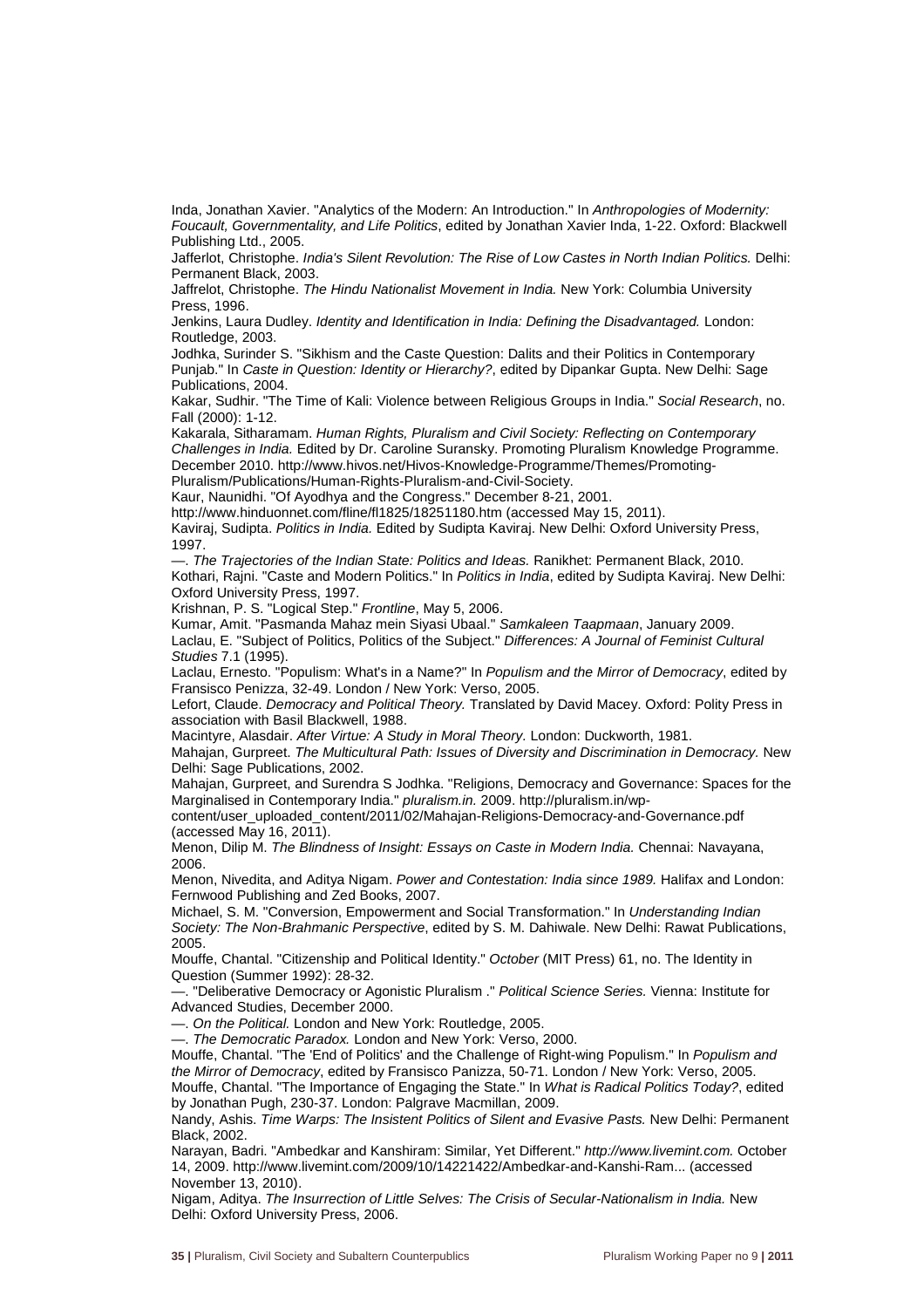Inda, Jonathan Xavier. "Analytics of the Modern: An Introduction." In Anthropologies of Modernity: Foucault, Governmentality, and Life Politics, edited by Jonathan Xavier Inda, 1-22. Oxford: Blackwell Publishing Ltd., 2005.

Jafferlot, Christophe. India's Silent Revolution: The Rise of Low Castes in North Indian Politics. Delhi: Permanent Black, 2003.

Jaffrelot, Christophe. The Hindu Nationalist Movement in India. New York: Columbia University Press, 1996.

Jenkins, Laura Dudley. Identity and Identification in India: Defining the Disadvantaged. London: Routledge, 2003.

Jodhka, Surinder S. "Sikhism and the Caste Question: Dalits and their Politics in Contemporary Punjab." In Caste in Question: Identity or Hierarchy?, edited by Dipankar Gupta. New Delhi: Sage Publications, 2004.

Kakar, Sudhir. "The Time of Kali: Violence between Religious Groups in India." Social Research, no. Fall (2000): 1-12.

Kakarala, Sitharamam. Human Rights, Pluralism and Civil Society: Reflecting on Contemporary Challenges in India. Edited by Dr. Caroline Suransky. Promoting Pluralism Knowledge Programme. December 2010. http://www.hivos.net/Hivos-Knowledge-Programme/Themes/Promoting-Pluralism/Publications/Human-Rights-Pluralism-and-Civil-Society.

Kaur, Naunidhi. "Of Ayodhya and the Congress." December 8-21, 2001.

http://www.hinduonnet.com/fline/fl1825/18251180.htm (accessed May 15, 2011).

Kaviraj, Sudipta. Politics in India. Edited by Sudipta Kaviraj. New Delhi: Oxford University Press, 1997.

—. The Trajectories of the Indian State: Politics and Ideas. Ranikhet: Permanent Black, 2010. Kothari, Rajni. "Caste and Modern Politics." In Politics in India, edited by Sudipta Kaviraj. New Delhi: Oxford University Press, 1997.

Krishnan, P. S. "Logical Step." Frontline, May 5, 2006.

Kumar, Amit. "Pasmanda Mahaz mein Siyasi Ubaal." Samkaleen Taapmaan, January 2009. Laclau, E. "Subject of Politics, Politics of the Subject." Differences: A Journal of Feminist Cultural Studies 7.1 (1995).

Laclau, Ernesto. "Populism: What's in a Name?" In Populism and the Mirror of Democracy, edited by Fransisco Penizza, 32-49. London / New York: Verso, 2005.

Lefort, Claude. Democracy and Political Theory. Translated by David Macey. Oxford: Polity Press in association with Basil Blackwell, 1988.

Macintyre, Alasdair. After Virtue: A Study in Moral Theory. London: Duckworth, 1981.

Mahajan, Gurpreet. The Multicultural Path: Issues of Diversity and Discrimination in Democracy. New Delhi: Sage Publications, 2002.

Mahajan, Gurpreet, and Surendra S Jodhka. "Religions, Democracy and Governance: Spaces for the Marginalised in Contemporary India." pluralism.in. 2009. http://pluralism.in/wp-

content/user\_uploaded\_content/2011/02/Mahajan-Religions-Democracy-and-Governance.pdf (accessed May 16, 2011).

Menon, Dilip M. The Blindness of Insight: Essays on Caste in Modern India. Chennai: Navayana, 2006.

Menon, Nivedita, and Aditya Nigam. Power and Contestation: India since 1989. Halifax and London: Fernwood Publishing and Zed Books, 2007.

Michael, S. M. "Conversion, Empowerment and Social Transformation." In Understanding Indian Society: The Non-Brahmanic Perspective, edited by S. M. Dahiwale. New Delhi: Rawat Publications, 2005.

Mouffe, Chantal. "Citizenship and Political Identity." October (MIT Press) 61, no. The Identity in Question (Summer 1992): 28-32.

—. "Deliberative Democracy or Agonistic Pluralism ." Political Science Series. Vienna: Institute for Advanced Studies, December 2000.

—. On the Political. London and New York: Routledge, 2005.

—. The Democratic Paradox. London and New York: Verso, 2000.

Mouffe, Chantal. "The 'End of Politics' and the Challenge of Right-wing Populism." In Populism and the Mirror of Democracy, edited by Fransisco Panizza, 50-71. London / New York: Verso, 2005. Mouffe, Chantal. "The Importance of Engaging the State." In What is Radical Politics Today?, edited by Jonathan Pugh, 230-37. London: Palgrave Macmillan, 2009.

Nandy, Ashis. Time Warps: The Insistent Politics of Silent and Evasive Pasts. New Delhi: Permanent Black, 2002.

Narayan, Badri. "Ambedkar and Kanshiram: Similar, Yet Different." http://www.livemint.com. October 14, 2009. http://www.livemint.com/2009/10/14221422/Ambedkar-and-Kanshi-Ram... (accessed November 13, 2010).

Nigam, Aditya. The Insurrection of Little Selves: The Crisis of Secular-Nationalism in India. New Delhi: Oxford University Press, 2006.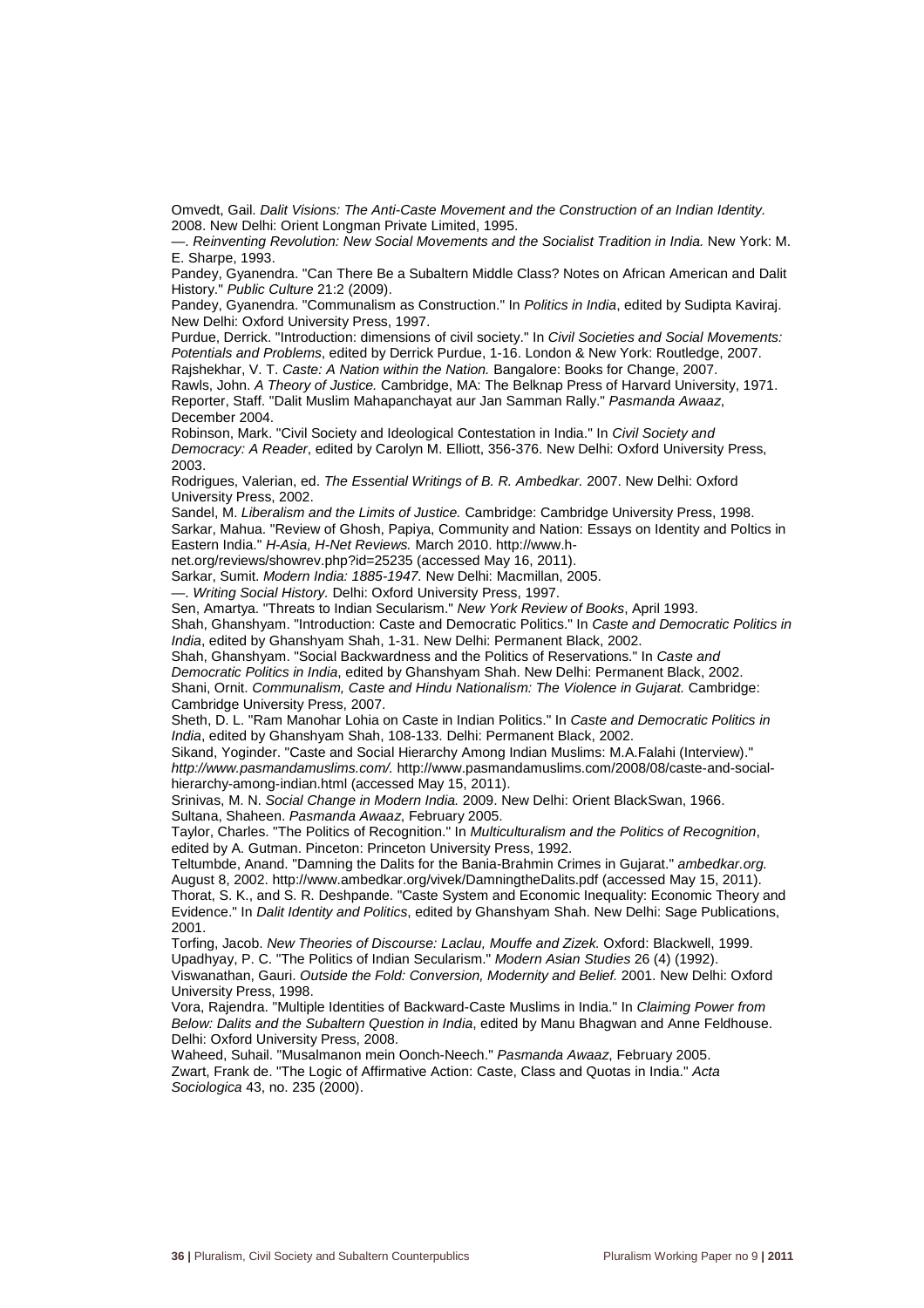Omvedt, Gail. Dalit Visions: The Anti-Caste Movement and the Construction of an Indian Identity. 2008. New Delhi: Orient Longman Private Limited, 1995.

—. Reinventing Revolution: New Social Movements and the Socialist Tradition in India. New York: M. E. Sharpe, 1993.

Pandey, Gyanendra. "Can There Be a Subaltern Middle Class? Notes on African American and Dalit History." Public Culture 21:2 (2009).

Pandey, Gyanendra. "Communalism as Construction." In Politics in India, edited by Sudipta Kavirai. New Delhi: Oxford University Press, 1997.

Purdue, Derrick. "Introduction: dimensions of civil society." In Civil Societies and Social Movements: Potentials and Problems, edited by Derrick Purdue, 1-16. London & New York: Routledge, 2007. Rajshekhar, V. T. Caste: A Nation within the Nation. Bangalore: Books for Change, 2007.

Rawls, John. A Theory of Justice. Cambridge, MA: The Belknap Press of Harvard University, 1971. Reporter, Staff. "Dalit Muslim Mahapanchayat aur Jan Samman Rally." Pasmanda Awaaz, December 2004.

Robinson, Mark. "Civil Society and Ideological Contestation in India." In Civil Society and Democracy: A Reader, edited by Carolyn M. Elliott, 356-376. New Delhi: Oxford University Press, 2003.

Rodrigues, Valerian, ed. The Essential Writings of B. R. Ambedkar. 2007. New Delhi: Oxford University Press, 2002.

Sandel, M. Liberalism and the Limits of Justice. Cambridge: Cambridge University Press, 1998. Sarkar, Mahua. "Review of Ghosh, Papiya, Community and Nation: Essays on Identity and Poltics in Eastern India." H-Asia, H-Net Reviews. March 2010. http://www.h-

net.org/reviews/showrev.php?id=25235 (accessed May 16, 2011).

Sarkar, Sumit. Modern India: 1885-1947. New Delhi: Macmillan, 2005.

—. Writing Social History. Delhi: Oxford University Press, 1997.

Sen, Amartya. "Threats to Indian Secularism." New York Review of Books, April 1993.

Shah, Ghanshyam. "Introduction: Caste and Democratic Politics." In Caste and Democratic Politics in India, edited by Ghanshyam Shah, 1-31. New Delhi: Permanent Black, 2002.

Shah, Ghanshyam. "Social Backwardness and the Politics of Reservations." In Caste and

Democratic Politics in India, edited by Ghanshyam Shah. New Delhi: Permanent Black, 2002. Shani, Ornit. Communalism, Caste and Hindu Nationalism: The Violence in Gujarat. Cambridge: Cambridge University Press, 2007.

Sheth, D. L. "Ram Manohar Lohia on Caste in Indian Politics." In Caste and Democratic Politics in India, edited by Ghanshyam Shah, 108-133. Delhi: Permanent Black, 2002.

Sikand, Yoginder. "Caste and Social Hierarchy Among Indian Muslims: M.A.Falahi (Interview)." http://www.pasmandamuslims.com/. http://www.pasmandamuslims.com/2008/08/caste-and-socialhierarchy-among-indian.html (accessed May 15, 2011).

Srinivas, M. N. Social Change in Modern India. 2009. New Delhi: Orient BlackSwan, 1966. Sultana, Shaheen. Pasmanda Awaaz, February 2005.

Taylor, Charles. "The Politics of Recognition." In Multiculturalism and the Politics of Recognition, edited by A. Gutman. Pinceton: Princeton University Press, 1992.

Teltumbde, Anand. "Damning the Dalits for the Bania-Brahmin Crimes in Gujarat." ambedkar.org. August 8, 2002. http://www.ambedkar.org/vivek/DamningtheDalits.pdf (accessed May 15, 2011). Thorat, S. K., and S. R. Deshpande. "Caste System and Economic Inequality: Economic Theory and Evidence." In Dalit Identity and Politics, edited by Ghanshyam Shah. New Delhi: Sage Publications, 2001.

Torfing, Jacob. New Theories of Discourse: Laclau, Mouffe and Zizek. Oxford: Blackwell, 1999. Upadhyay, P. C. "The Politics of Indian Secularism." Modern Asian Studies 26 (4) (1992).

Viswanathan, Gauri. Outside the Fold: Conversion, Modernity and Belief. 2001. New Delhi: Oxford University Press, 1998.

Vora, Rajendra. "Multiple Identities of Backward-Caste Muslims in India." In Claiming Power from Below: Dalits and the Subaltern Question in India, edited by Manu Bhagwan and Anne Feldhouse. Delhi: Oxford University Press, 2008.

Waheed, Suhail. "Musalmanon mein Oonch-Neech." Pasmanda Awaaz, February 2005. Zwart, Frank de. "The Logic of Affirmative Action: Caste, Class and Quotas in India." Acta Sociologica 43, no. 235 (2000).